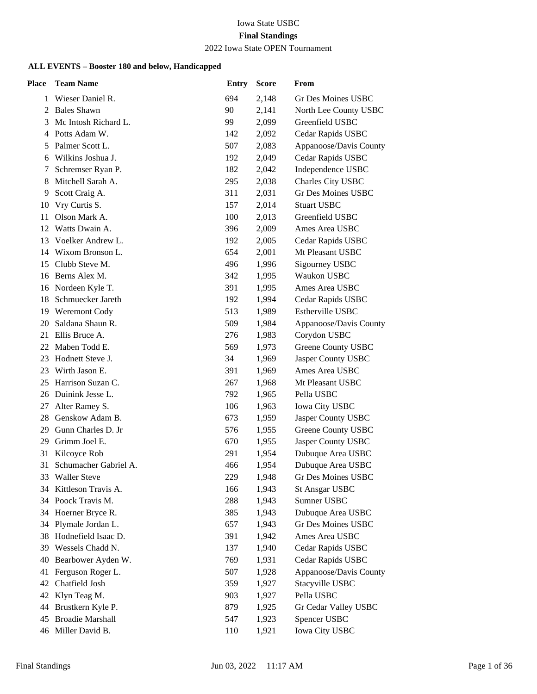#### Iowa State USBC **Final Standings** 2022 Iowa State OPEN Tournament

| <b>Place</b> | <b>Team Name</b>                             | <b>Entry</b> | <b>Score</b> | From                   |
|--------------|----------------------------------------------|--------------|--------------|------------------------|
| 1            | Wieser Daniel R.                             | 694          | 2,148        | Gr Des Moines USBC     |
| 2            | <b>Bales Shawn</b>                           | 90           | 2,141        | North Lee County USBC  |
| 3            | Mc Intosh Richard L.                         | 99           | 2,099        | Greenfield USBC        |
| 4            | Potts Adam W.                                | 142          | 2,092        | Cedar Rapids USBC      |
| 5            | Palmer Scott L.                              | 507          | 2,083        | Appanoose/Davis County |
| 6            | Wilkins Joshua J.                            | 192          | 2,049        | Cedar Rapids USBC      |
| 7            | Schremser Ryan P.                            | 182          | 2,042        | Independence USBC      |
| 8            | Mitchell Sarah A.                            | 295          | 2,038        | Charles City USBC      |
| 9            | Scott Craig A.                               | 311          | 2,031        | Gr Des Moines USBC     |
| 10           | Vry Curtis S.                                | 157          | 2,014        | <b>Stuart USBC</b>     |
| 11           | Olson Mark A.                                | 100          | 2,013        | Greenfield USBC        |
| 12           | Watts Dwain A.                               | 396          | 2,009        | Ames Area USBC         |
| 13           | Voelker Andrew L.                            | 192          | 2,005        | Cedar Rapids USBC      |
| 14           | Wixom Bronson L.                             | 654          | 2,001        | Mt Pleasant USBC       |
| 15           | Clubb Steve M.                               | 496          | 1,996        | Sigourney USBC         |
| 16           | Berns Alex M.                                | 342          | 1,995        | Waukon USBC            |
| 16           | Nordeen Kyle T.                              | 391          | 1,995        | Ames Area USBC         |
| 18           | Schmuecker Jareth                            | 192          | 1,994        | Cedar Rapids USBC      |
| 19           | <b>Weremont Cody</b>                         | 513          | 1,989        | Estherville USBC       |
| 20           | Saldana Shaun R.                             | 509          | 1,984        | Appanoose/Davis County |
| 21           | Ellis Bruce A.                               | 276          | 1,983        | Corydon USBC           |
| 22           | Maben Todd E.                                | 569          | 1,973        | Greene County USBC     |
| 23           | Hodnett Steve J.                             | 34           | 1,969        | Jasper County USBC     |
| 23           | Wirth Jason E.                               | 391          | 1,969        | Ames Area USBC         |
| 25           | Harrison Suzan C.                            | 267          | 1,968        | Mt Pleasant USBC       |
|              | 26 Duinink Jesse L.                          | 792          | 1,965        | Pella USBC             |
| 27           | Alter Ramey S.                               | 106          | 1,963        | <b>Iowa City USBC</b>  |
| 28           | Genskow Adam B.                              | 673          | 1,959        | Jasper County USBC     |
| 29           | Gunn Charles D. Jr                           | 576          | 1,955        | Greene County USBC     |
| 29           | Grimm Joel E.                                | 670          | 1,955        | Jasper County USBC     |
| 31           | Kilcoyce Rob                                 | 291          | 1,954        | Dubuque Area USBC      |
| 31           | Schumacher Gabriel A.                        | 466          | 1,954        | Dubuque Area USBC      |
| 33           | <b>Waller Steve</b>                          | 229          | 1,948        | Gr Des Moines USBC     |
| 34           | Kittleson Travis A.                          | 166          | 1,943        | <b>St Ansgar USBC</b>  |
| 34           | Poock Travis M.                              | 288          | 1,943        | Sumner USBC            |
| 34           | Hoerner Bryce R.                             | 385          | 1,943        | Dubuque Area USBC      |
| 34           | Plymale Jordan L.                            | 657          | 1,943        | Gr Des Moines USBC     |
| 38           | Hodnefield Isaac D.                          | 391          | 1,942        | Ames Area USBC         |
| 39           | Wessels Chadd N.                             | 137          | 1,940        | Cedar Rapids USBC      |
| 40           | Bearbower Ayden W.                           | 769          | 1,931        | Cedar Rapids USBC      |
| 41           | Ferguson Roger L.                            | 507          | 1,928        | Appanoose/Davis County |
| 42           | Chatfield Josh                               | 359          | 1,927        | Stacyville USBC        |
| 42           | Klyn Teag M.                                 | 903          | 1,927        | Pella USBC             |
| 44           | Brustkern Kyle P.<br><b>Broadie Marshall</b> | 879          | 1,925        | Gr Cedar Valley USBC   |
| 45<br>46     | Miller David B.                              | 547          | 1,923        | Spencer USBC           |
|              |                                              | 110          | 1,921        | Iowa City USBC         |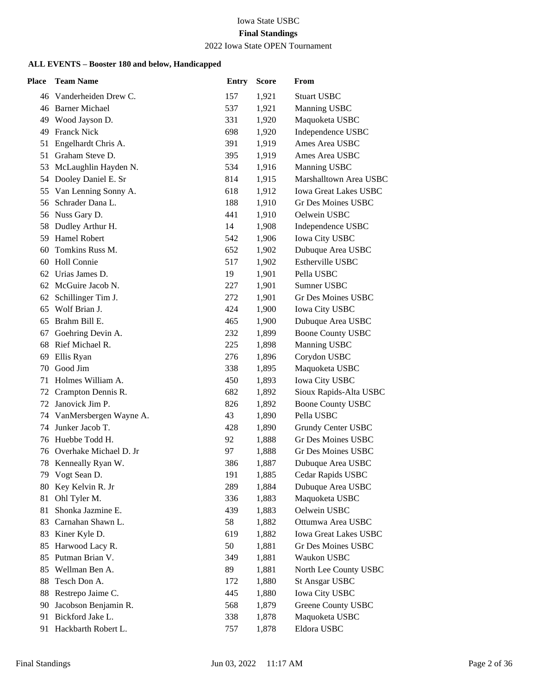# 2022 Iowa State OPEN Tournament

| <b>Place</b> | <b>Team Name</b>        | <b>Entry</b> | <b>Score</b> | From                         |
|--------------|-------------------------|--------------|--------------|------------------------------|
|              | 46 Vanderheiden Drew C. | 157          | 1,921        | <b>Stuart USBC</b>           |
|              | 46 Barner Michael       | 537          | 1,921        | Manning USBC                 |
| 49           | Wood Jayson D.          | 331          | 1,920        | Maquoketa USBC               |
| 49           | <b>Franck Nick</b>      | 698          | 1,920        | Independence USBC            |
| 51           | Engelhardt Chris A.     | 391          | 1,919        | Ames Area USBC               |
| 51           | Graham Steve D.         | 395          | 1,919        | Ames Area USBC               |
| 53           | McLaughlin Hayden N.    | 534          | 1,916        | Manning USBC                 |
|              | 54 Dooley Daniel E. Sr  | 814          | 1,915        | Marshalltown Area USBC       |
| 55           | Van Lenning Sonny A.    | 618          | 1,912        | <b>Iowa Great Lakes USBC</b> |
|              | 56 Schrader Dana L.     | 188          | 1,910        | Gr Des Moines USBC           |
| 56           | Nuss Gary D.            | 441          | 1,910        | Oelwein USBC                 |
|              | 58 Dudley Arthur H.     | 14           | 1,908        | Independence USBC            |
| 59.          | <b>Hamel Robert</b>     | 542          | 1,906        | <b>Iowa City USBC</b>        |
| 60           | Tomkins Russ M.         | 652          | 1,902        | Dubuque Area USBC            |
| 60           | Holl Connie             | 517          | 1,902        | Estherville USBC             |
| 62           | Urias James D.          | 19           | 1,901        | Pella USBC                   |
|              | 62 McGuire Jacob N.     | 227          | 1,901        | Sumner USBC                  |
| 62           | Schillinger Tim J.      | 272          | 1,901        | Gr Des Moines USBC           |
| 65           | Wolf Brian J.           | 424          | 1,900        | <b>Iowa City USBC</b>        |
| 65           | Brahm Bill E.           | 465          | 1,900        | Dubuque Area USBC            |
| 67           | Goehring Devin A.       | 232          | 1,899        | <b>Boone County USBC</b>     |
| 68           | Rief Michael R.         | 225          | 1,898        | Manning USBC                 |
| 69           | Ellis Ryan              | 276          | 1,896        | Corydon USBC                 |
| 70           | Good Jim                | 338          | 1,895        | Maquoketa USBC               |
| 71           | Holmes William A.       | 450          | 1,893        | <b>Iowa City USBC</b>        |
| 72           | Crampton Dennis R.      | 682          | 1,892        | Sioux Rapids-Alta USBC       |
| 72           | Janovick Jim P.         | 826          | 1,892        | <b>Boone County USBC</b>     |
| 74           | VanMersbergen Wayne A.  | 43           | 1,890        | Pella USBC                   |
| 74           | Junker Jacob T.         | 428          | 1,890        | <b>Grundy Center USBC</b>    |
| 76           | Huebbe Todd H.          | 92           | 1,888        | <b>Gr Des Moines USBC</b>    |
| 76           | Overhake Michael D. Jr  | 97           | 1,888        | Gr Des Moines USBC           |
| 78           | Kenneally Ryan W.       | 386          | 1,887        | Dubuque Area USBC            |
|              | 79 Vogt Sean D.         | 191          | 1,885        | Cedar Rapids USBC            |
| 80           | Key Kelvin R. Jr        | 289          | 1,884        | Dubuque Area USBC            |
| 81           | Ohl Tyler M.            | 336          | 1,883        | Maquoketa USBC               |
| 81           | Shonka Jazmine E.       | 439          | 1,883        | Oelwein USBC                 |
| 83           | Carnahan Shawn L.       | 58           | 1,882        | Ottumwa Area USBC            |
| 83           | Kiner Kyle D.           | 619          | 1,882        | <b>Iowa Great Lakes USBC</b> |
| 85           | Harwood Lacy R.         | 50           | 1,881        | <b>Gr Des Moines USBC</b>    |
| 85           | Putman Brian V.         | 349          | 1,881        | Waukon USBC                  |
| 85           | Wellman Ben A.          | 89           | 1,881        | North Lee County USBC        |
| 88           | Tesch Don A.            | 172          | 1,880        | <b>St Ansgar USBC</b>        |
| 88           | Restrepo Jaime C.       | 445          | 1,880        | <b>Iowa City USBC</b>        |
| 90           | Jacobson Benjamin R.    | 568          | 1,879        | Greene County USBC           |
| 91           | Bickford Jake L.        | 338          | 1,878        | Maquoketa USBC               |
| 91           | Hackbarth Robert L.     | 757          | 1,878        | Eldora USBC                  |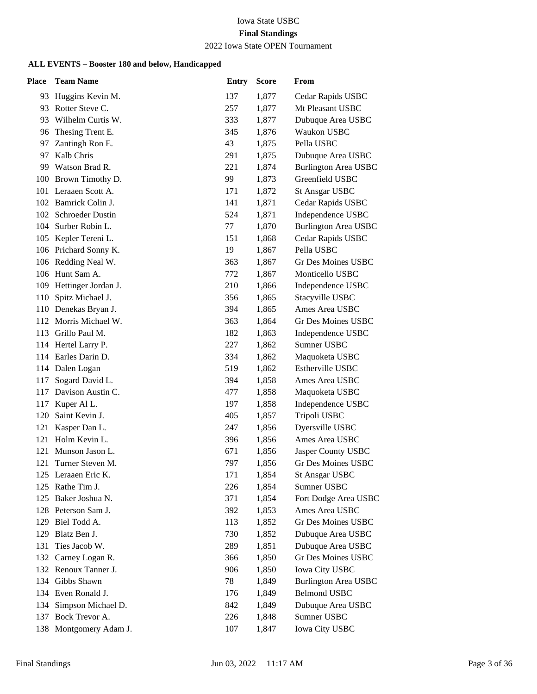# 2022 Iowa State OPEN Tournament

| Place | <b>Team Name</b>        | <b>Entry</b> | <b>Score</b> | From                        |
|-------|-------------------------|--------------|--------------|-----------------------------|
| 93    | Huggins Kevin M.        | 137          | 1,877        | Cedar Rapids USBC           |
| 93    | Rotter Steve C.         | 257          | 1,877        | Mt Pleasant USBC            |
| 93    | Wilhelm Curtis W.       | 333          | 1,877        | Dubuque Area USBC           |
| 96    | Thesing Trent E.        | 345          | 1,876        | Waukon USBC                 |
| 97    | Zantingh Ron E.         | 43           | 1,875        | Pella USBC                  |
| 97    | Kalb Chris              | 291          | 1,875        | Dubuque Area USBC           |
| 99    | Watson Brad R.          | 221          | 1,874        | <b>Burlington Area USBC</b> |
| 100   | Brown Timothy D.        | 99           | 1,873        | Greenfield USBC             |
| 101   | Leraaen Scott A.        | 171          | 1,872        | <b>St Ansgar USBC</b>       |
| 102   | Bamrick Colin J.        | 141          | 1,871        | Cedar Rapids USBC           |
| 102   | <b>Schroeder Dustin</b> | 524          | 1,871        | Independence USBC           |
|       | 104 Surber Robin L.     | 77           | 1,870        | <b>Burlington Area USBC</b> |
| 105   | Kepler Tereni L.        | 151          | 1,868        | Cedar Rapids USBC           |
|       | 106 Prichard Sonny K.   | 19           | 1,867        | Pella USBC                  |
|       | 106 Redding Neal W.     | 363          | 1,867        | Gr Des Moines USBC          |
|       | 106 Hunt Sam A.         | 772          | 1,867        | Monticello USBC             |
|       | 109 Hettinger Jordan J. | 210          | 1,866        | Independence USBC           |
| 110   | Spitz Michael J.        | 356          | 1,865        | Stacyville USBC             |
|       | 110 Denekas Bryan J.    | 394          | 1,865        | Ames Area USBC              |
|       | 112 Morris Michael W.   | 363          | 1,864        | Gr Des Moines USBC          |
| 113   | Grillo Paul M.          | 182          | 1,863        | Independence USBC           |
|       | 114 Hertel Larry P.     | 227          | 1,862        | Sumner USBC                 |
|       | 114 Earles Darin D.     | 334          | 1,862        | Maquoketa USBC              |
|       | 114 Dalen Logan         | 519          | 1,862        | Estherville USBC            |
| 117   | Sogard David L.         | 394          | 1,858        | Ames Area USBC              |
| 117   | Davison Austin C.       | 477          | 1,858        | Maquoketa USBC              |
| 117   | Kuper Al L.             | 197          | 1,858        | Independence USBC           |
| 120   | Saint Kevin J.          | 405          | 1,857        | Tripoli USBC                |
| 121   | Kasper Dan L.           | 247          | 1,856        | Dyersville USBC             |
| 121   | Holm Kevin L.           | 396          | 1,856        | Ames Area USBC              |
| 121   | Munson Jason L.         | 671          | 1,856        | Jasper County USBC          |
| 121   | Turner Steven M.        | 797          | 1,856        | Gr Des Moines USBC          |
|       | 125 Leraaen Eric K.     | 171          | 1,854        | <b>St Ansgar USBC</b>       |
| 125   | Rathe Tim J.            | 226          | 1,854        | Sumner USBC                 |
| 125   | Baker Joshua N.         | 371          | 1,854        | Fort Dodge Area USBC        |
|       | 128 Peterson Sam J.     | 392          | 1,853        | Ames Area USBC              |
| 129   | Biel Todd A.            | 113          | 1,852        | Gr Des Moines USBC          |
| 129   | Blatz Ben J.            | 730          | 1,852        | Dubuque Area USBC           |
| 131   | Ties Jacob W.           | 289          | 1,851        | Dubuque Area USBC           |
|       | 132 Carney Logan R.     | 366          | 1,850        | <b>Gr Des Moines USBC</b>   |
| 132   | Renoux Tanner J.        | 906          | 1,850        | <b>Iowa City USBC</b>       |
| 134   | Gibbs Shawn             | 78           | 1,849        | <b>Burlington Area USBC</b> |
|       | 134 Even Ronald J.      | 176          | 1,849        | <b>Belmond USBC</b>         |
|       | 134 Simpson Michael D.  | 842          | 1,849        | Dubuque Area USBC           |
| 137   | Bock Trevor A.          | 226          | 1,848        | Sumner USBC                 |
| 138   | Montgomery Adam J.      | 107          | 1,847        | Iowa City USBC              |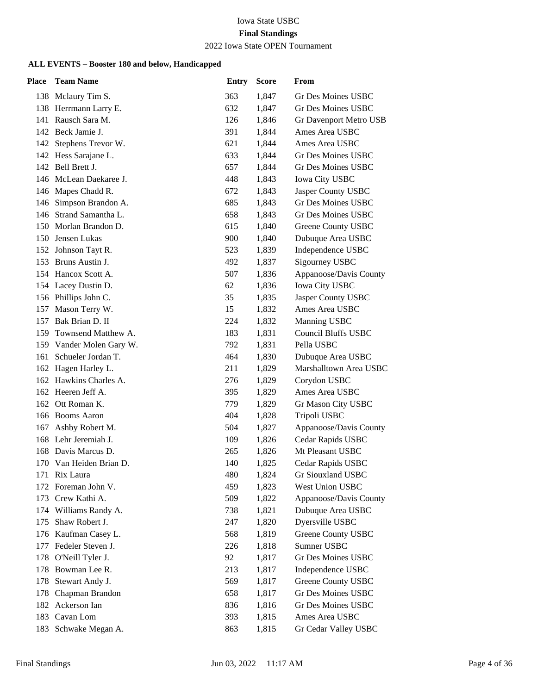# 2022 Iowa State OPEN Tournament

| <b>Place</b> | <b>Team Name</b>         | <b>Entry</b> | <b>Score</b> | From                       |
|--------------|--------------------------|--------------|--------------|----------------------------|
|              | 138 Mclaury Tim S.       | 363          | 1,847        | Gr Des Moines USBC         |
|              | 138 Herrmann Larry E.    | 632          | 1,847        | Gr Des Moines USBC         |
|              | 141 Rausch Sara M.       | 126          | 1,846        | Gr Davenport Metro USB     |
|              | 142 Beck Jamie J.        | 391          | 1,844        | Ames Area USBC             |
| 142          | Stephens Trevor W.       | 621          | 1,844        | Ames Area USBC             |
|              | 142 Hess Sarajane L.     | 633          | 1,844        | Gr Des Moines USBC         |
|              | 142 Bell Brett J.        | 657          | 1,844        | <b>Gr Des Moines USBC</b>  |
|              | 146 McLean Daekaree J.   | 448          | 1,843        | <b>Iowa City USBC</b>      |
|              | 146 Mapes Chadd R.       | 672          | 1,843        | Jasper County USBC         |
| 146          | Simpson Brandon A.       | 685          | 1,843        | <b>Gr Des Moines USBC</b>  |
|              | 146 Strand Samantha L.   | 658          | 1,843        | <b>Gr Des Moines USBC</b>  |
|              | 150 Morlan Brandon D.    | 615          | 1,840        | Greene County USBC         |
|              | 150 Jensen Lukas         | 900          | 1,840        | Dubuque Area USBC          |
|              | 152 Johnson Tayt R.      | 523          | 1,839        | Independence USBC          |
|              | 153 Bruns Austin J.      | 492          | 1,837        | Sigourney USBC             |
|              | 154 Hancox Scott A.      | 507          | 1,836        | Appanoose/Davis County     |
|              | 154 Lacey Dustin D.      | 62           | 1,836        | <b>Iowa City USBC</b>      |
|              | 156 Phillips John C.     | 35           | 1,835        | Jasper County USBC         |
|              | 157 Mason Terry W.       | 15           | 1,832        | Ames Area USBC             |
|              | 157 Bak Brian D. II      | 224          | 1,832        | Manning USBC               |
|              | 159 Townsend Matthew A.  | 183          | 1,831        | <b>Council Bluffs USBC</b> |
|              | 159 Vander Molen Gary W. | 792          | 1,831        | Pella USBC                 |
|              | 161 Schueler Jordan T.   | 464          | 1,830        | Dubuque Area USBC          |
|              | 162 Hagen Harley L.      | 211          | 1,829        | Marshalltown Area USBC     |
|              | 162 Hawkins Charles A.   | 276          | 1,829        | Corydon USBC               |
|              | 162 Heeren Jeff A.       | 395          | 1,829        | Ames Area USBC             |
|              | 162 Ott Roman K.         | 779          | 1,829        | Gr Mason City USBC         |
|              | 166 Booms Aaron          | 404          | 1,828        | Tripoli USBC               |
| 167          | Ashby Robert M.          | 504          | 1,827        | Appanoose/Davis County     |
|              | 168 Lehr Jeremiah J.     | 109          | 1,826        | Cedar Rapids USBC          |
|              | 168 Davis Marcus D.      | 265          | 1,826        | Mt Pleasant USBC           |
|              | 170 Van Heiden Brian D.  | 140          | 1,825        | Cedar Rapids USBC          |
|              | 171 Rix Laura            | 480          | 1,824        | Gr Siouxland USBC          |
| 172          | Foreman John V.          | 459          | 1,823        | West Union USBC            |
|              | 173 Crew Kathi A.        | 509          | 1,822        | Appanoose/Davis County     |
|              | 174 Williams Randy A.    | 738          | 1,821        | Dubuque Area USBC          |
| 175          | Shaw Robert J.           | 247          | 1,820        | Dyersville USBC            |
|              | 176 Kaufman Casey L.     | 568          | 1,819        | Greene County USBC         |
| 177          | Fedeler Steven J.        | 226          | 1,818        | Sumner USBC                |
|              | 178 O'Neill Tyler J.     | 92           | 1,817        | Gr Des Moines USBC         |
| 178          | Bowman Lee R.            | 213          | 1,817        | Independence USBC          |
| 178          | Stewart Andy J.          | 569          | 1,817        | <b>Greene County USBC</b>  |
|              | 178 Chapman Brandon      | 658          | 1,817        | <b>Gr Des Moines USBC</b>  |
|              | 182 Ackerson Ian         | 836          | 1,816        | Gr Des Moines USBC         |
|              | 183 Cavan Lom            | 393          | 1,815        | Ames Area USBC             |
| 183          | Schwake Megan A.         | 863          | 1,815        | Gr Cedar Valley USBC       |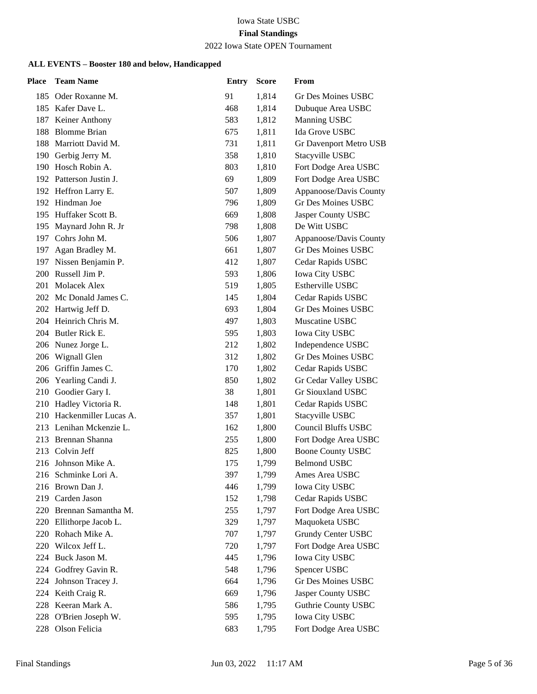# 2022 Iowa State OPEN Tournament

| Place | <b>Team Name</b>          | <b>Entry</b> | <b>Score</b> | From                       |
|-------|---------------------------|--------------|--------------|----------------------------|
|       | 185 Oder Roxanne M.       | 91           | 1,814        | Gr Des Moines USBC         |
|       | 185 Kafer Dave L.         | 468          | 1,814        | Dubuque Area USBC          |
| 187   | Keiner Anthony            | 583          | 1,812        | Manning USBC               |
| 188   | <b>Blomme Brian</b>       | 675          | 1,811        | Ida Grove USBC             |
| 188   | Marriott David M.         | 731          | 1,811        | Gr Davenport Metro USB     |
| 190   | Gerbig Jerry M.           | 358          | 1,810        | Stacyville USBC            |
| 190   | Hosch Robin A.            | 803          | 1,810        | Fort Dodge Area USBC       |
|       | 192 Patterson Justin J.   | 69           | 1,809        | Fort Dodge Area USBC       |
|       | 192 Heffron Larry E.      | 507          | 1,809        | Appanoose/Davis County     |
|       | 192 Hindman Joe           | 796          | 1,809        | <b>Gr Des Moines USBC</b>  |
|       | 195 Huffaker Scott B.     | 669          | 1,808        | Jasper County USBC         |
|       | 195 Maynard John R. Jr    | 798          | 1,808        | De Witt USBC               |
| 197   | Cohrs John M.             | 506          | 1,807        | Appanoose/Davis County     |
| 197   | Agan Bradley M.           | 661          | 1,807        | Gr Des Moines USBC         |
|       | 197 Nissen Benjamin P.    | 412          | 1,807        | Cedar Rapids USBC          |
|       | 200 Russell Jim P.        | 593          | 1,806        | <b>Iowa City USBC</b>      |
| 201   | Molacek Alex              | 519          | 1,805        | Estherville USBC           |
|       | 202 Mc Donald James C.    | 145          | 1,804        | Cedar Rapids USBC          |
|       | 202 Hartwig Jeff D.       | 693          | 1,804        | <b>Gr Des Moines USBC</b>  |
|       | 204 Heinrich Chris M.     | 497          | 1,803        | Muscatine USBC             |
|       | 204 Butler Rick E.        | 595          | 1,803        | <b>Iowa City USBC</b>      |
|       | 206 Nunez Jorge L.        | 212          | 1,802        | Independence USBC          |
|       | 206 Wignall Glen          | 312          | 1,802        | <b>Gr Des Moines USBC</b>  |
|       | 206 Griffin James C.      | 170          | 1,802        | Cedar Rapids USBC          |
|       | 206 Yearling Candi J.     | 850          | 1,802        | Gr Cedar Valley USBC       |
| 210   | Goodier Gary I.           | 38           | 1,801        | Gr Siouxland USBC          |
|       | 210 Hadley Victoria R.    | 148          | 1,801        | Cedar Rapids USBC          |
|       | 210 Hackenmiller Lucas A. | 357          | 1,801        | Stacyville USBC            |
|       | 213 Lenihan Mckenzie L.   | 162          | 1,800        | <b>Council Bluffs USBC</b> |
| 213   | Brennan Shanna            | 255          | 1,800        | Fort Dodge Area USBC       |
| 213   | Colvin Jeff               | 825          | 1,800        | <b>Boone County USBC</b>   |
|       | 216 Johnson Mike A.       | 175          | 1,799        | <b>Belmond USBC</b>        |
|       | 216 Schminke Lori A.      | 397          | 1,799        | Ames Area USBC             |
|       | 216 Brown Dan J.          | 446          | 1,799        | <b>Iowa City USBC</b>      |
| 219   | Carden Jason              | 152          | 1,798        | Cedar Rapids USBC          |
|       | 220 Brennan Samantha M.   | 255          | 1,797        | Fort Dodge Area USBC       |
| 220   | Ellithorpe Jacob L.       | 329          | 1,797        | Maquoketa USBC             |
| 220   | Rohach Mike A.            | 707          | 1,797        | <b>Grundy Center USBC</b>  |
| 220   | Wilcox Jeff L.            | 720          | 1,797        | Fort Dodge Area USBC       |
| 224   | Buck Jason M.             | 445          | 1,796        | <b>Iowa City USBC</b>      |
| 224   | Godfrey Gavin R.          | 548          | 1,796        | Spencer USBC               |
| 224   | Johnson Tracey J.         | 664          | 1,796        | <b>Gr Des Moines USBC</b>  |
| 224   | Keith Craig R.            | 669          | 1,796        | Jasper County USBC         |
| 228   | Keeran Mark A.            | 586          | 1,795        | <b>Guthrie County USBC</b> |
| 228   | O'Brien Joseph W.         | 595          | 1,795        | Iowa City USBC             |
| 228   | Olson Felicia             | 683          | 1,795        | Fort Dodge Area USBC       |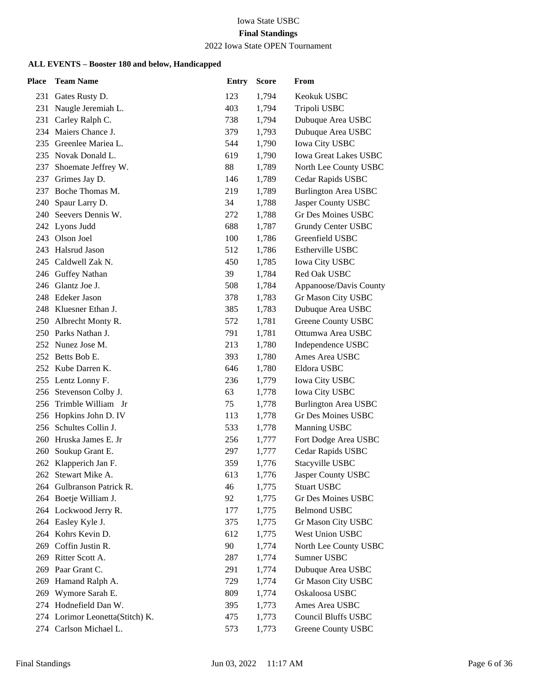# 2022 Iowa State OPEN Tournament

| <b>Place</b> | <b>Team Name</b>                         | <b>Entry</b> | <b>Score</b>   | From                                 |
|--------------|------------------------------------------|--------------|----------------|--------------------------------------|
|              | 231 Gates Rusty D.                       | 123          | 1,794          | Keokuk USBC                          |
| 231          | Naugle Jeremiah L.                       | 403          | 1,794          | Tripoli USBC                         |
| 231          | Carley Ralph C.                          | 738          | 1,794          | Dubuque Area USBC                    |
|              | 234 Maiers Chance J.                     | 379          | 1,793          | Dubuque Area USBC                    |
|              | 235 Greenlee Mariea L.                   | 544          | 1,790          | Iowa City USBC                       |
|              | 235 Novak Donald L.                      | 619          | 1,790          | <b>Iowa Great Lakes USBC</b>         |
| 237          | Shoemate Jeffrey W.                      | 88           | 1,789          | North Lee County USBC                |
|              | 237 Grimes Jay D.                        | 146          | 1,789          | Cedar Rapids USBC                    |
|              | 237 Boche Thomas M.                      | 219          | 1,789          | <b>Burlington Area USBC</b>          |
| 240          | Spaur Larry D.                           | 34           | 1,788          | Jasper County USBC                   |
|              | 240 Seevers Dennis W.                    | 272          | 1,788          | <b>Gr Des Moines USBC</b>            |
|              | 242 Lyons Judd                           | 688          | 1,787          | Grundy Center USBC                   |
|              | 243 Olson Joel                           | 100          | 1,786          | Greenfield USBC                      |
|              | 243 Halsrud Jason                        | 512          | 1,786          | Estherville USBC                     |
|              | 245 Caldwell Zak N.                      | 450          | 1,785          | <b>Iowa City USBC</b>                |
|              | 246 Guffey Nathan                        | 39           | 1,784          | Red Oak USBC                         |
|              | 246 Glantz Joe J.                        | 508          | 1,784          | Appanoose/Davis County               |
|              | 248 Edeker Jason                         | 378          | 1,783          | Gr Mason City USBC                   |
|              | 248 Kluesner Ethan J.                    | 385          | 1,783          | Dubuque Area USBC                    |
|              | 250 Albrecht Monty R.                    | 572          | 1,781          | <b>Greene County USBC</b>            |
|              | 250 Parks Nathan J.                      | 791          | 1,781          | Ottumwa Area USBC                    |
|              | 252 Nunez Jose M.                        | 213          | 1,780          | Independence USBC                    |
|              | 252 Betts Bob E.                         | 393          | 1,780          | Ames Area USBC                       |
|              | 252 Kube Darren K.                       | 646          | 1,780          | Eldora USBC                          |
|              | 255 Lentz Lonny F.                       | 236          | 1,779          | <b>Iowa City USBC</b>                |
|              | 256 Stevenson Colby J.                   | 63           | 1,778          | Iowa City USBC                       |
|              | 256 Trimble William Jr                   | 75           | 1,778          | <b>Burlington Area USBC</b>          |
|              | 256 Hopkins John D. IV                   | 113          | 1,778          | <b>Gr Des Moines USBC</b>            |
| 256          | Schultes Collin J.                       | 533          | 1,778          | Manning USBC                         |
|              | 260 Hruska James E. Jr                   | 256          | 1,777          | Fort Dodge Area USBC                 |
| 260          | Soukup Grant E.                          | 297          | 1,777          | Cedar Rapids USBC                    |
| 262          | Klapperich Jan F.                        | 359          | 1,776          | Stacyville USBC                      |
|              | 262 Stewart Mike A.                      | 613          | 1,776          | Jasper County USBC                   |
| 264          | Gulbranson Patrick R.                    | 46           | 1,775          | <b>Stuart USBC</b>                   |
|              | 264 Boetje William J.                    | 92           | 1,775          | <b>Gr Des Moines USBC</b>            |
|              | 264 Lockwood Jerry R.                    | 177          | 1,775          | <b>Belmond USBC</b>                  |
|              | 264 Easley Kyle J.                       | 375          | 1,775          | Gr Mason City USBC                   |
|              | 264 Kohrs Kevin D.                       | 612          | 1,775          | <b>West Union USBC</b>               |
| 269          | Coffin Justin R.<br>269 Ritter Scott A.  | 90           | 1,774          | North Lee County USBC                |
|              | Paar Grant C.                            | 287          | 1,774          | Sumner USBC                          |
| 269          |                                          | 291          | 1,774          | Dubuque Area USBC                    |
| 269          | Hamand Ralph A.                          | 729          | 1,774          | Gr Mason City USBC<br>Oskaloosa USBC |
| 269          | Wymore Sarah E.<br>274 Hodnefield Dan W. | 809<br>395   | 1,774          | Ames Area USBC                       |
|              | 274 Lorimor Leonetta(Stitch) K.          | 475          | 1,773<br>1,773 | Council Bluffs USBC                  |
|              | 274 Carlson Michael L.                   | 573          | 1,773          | Greene County USBC                   |
|              |                                          |              |                |                                      |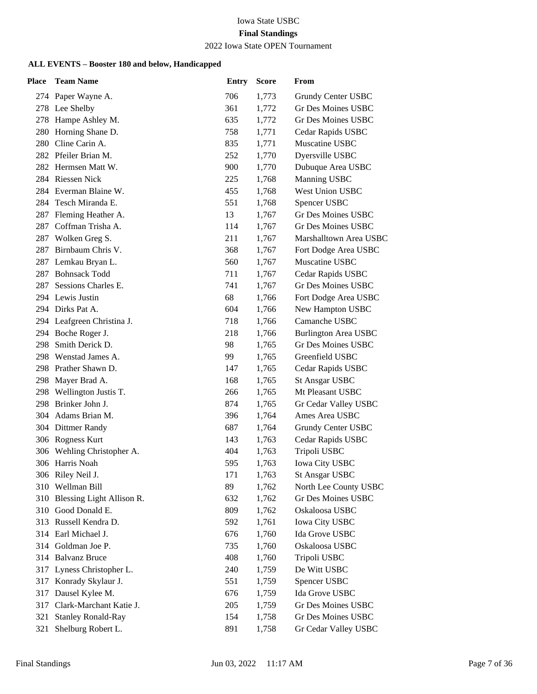# 2022 Iowa State OPEN Tournament

| Place | <b>Team Name</b>           | <b>Entry</b> | <b>Score</b> | From                        |
|-------|----------------------------|--------------|--------------|-----------------------------|
|       | 274 Paper Wayne A.         | 706          | 1,773        | Grundy Center USBC          |
|       | 278 Lee Shelby             | 361          | 1,772        | Gr Des Moines USBC          |
|       | 278 Hampe Ashley M.        | 635          | 1,772        | <b>Gr Des Moines USBC</b>   |
|       | 280 Horning Shane D.       | 758          | 1,771        | Cedar Rapids USBC           |
| 280   | Cline Carin A.             | 835          | 1,771        | Muscatine USBC              |
|       | 282 Pfeiler Brian M.       | 252          | 1,770        | Dyersville USBC             |
|       | 282 Hermsen Matt W.        | 900          | 1,770        | Dubuque Area USBC           |
|       | 284 Riessen Nick           | 225          | 1,768        | Manning USBC                |
|       | 284 Everman Blaine W.      | 455          | 1,768        | <b>West Union USBC</b>      |
|       | 284 Tesch Miranda E.       | 551          | 1,768        | Spencer USBC                |
| 287   | Fleming Heather A.         | 13           | 1,767        | <b>Gr Des Moines USBC</b>   |
|       | 287 Coffman Trisha A.      | 114          | 1,767        | Gr Des Moines USBC          |
| 287   | Wolken Greg S.             | 211          | 1,767        | Marshalltown Area USBC      |
| 287   | Birnbaum Chris V.          | 368          | 1,767        | Fort Dodge Area USBC        |
| 287   | Lemkau Bryan L.            | 560          | 1,767        | Muscatine USBC              |
| 287   | <b>Bohnsack Todd</b>       | 711          | 1,767        | Cedar Rapids USBC           |
| 287   | Sessions Charles E.        | 741          | 1,767        | <b>Gr Des Moines USBC</b>   |
|       | 294 Lewis Justin           | 68           | 1,766        | Fort Dodge Area USBC        |
|       | 294 Dirks Pat A.           | 604          | 1,766        | New Hampton USBC            |
|       | 294 Leafgreen Christina J. | 718          | 1,766        | Camanche USBC               |
|       | 294 Boche Roger J.         | 218          | 1,766        | <b>Burlington Area USBC</b> |
| 298   | Smith Derick D.            | 98           | 1,765        | <b>Gr Des Moines USBC</b>   |
|       | 298 Wenstad James A.       | 99           | 1,765        | Greenfield USBC             |
|       | 298 Prather Shawn D.       | 147          | 1,765        | Cedar Rapids USBC           |
| 298   | Mayer Brad A.              | 168          | 1,765        | <b>St Ansgar USBC</b>       |
| 298   | Wellington Justis T.       | 266          | 1,765        | Mt Pleasant USBC            |
|       | 298 Brinker John J.        | 874          | 1,765        | Gr Cedar Valley USBC        |
|       | 304 Adams Brian M.         | 396          | 1,764        | Ames Area USBC              |
|       | 304 Dittmer Randy          | 687          | 1,764        | Grundy Center USBC          |
|       | 306 Rogness Kurt           | 143          | 1,763        | Cedar Rapids USBC           |
|       | 306 Wehling Christopher A. | 404          | 1,763        | Tripoli USBC                |
|       | 306 Harris Noah            | 595          | 1,763        | <b>Iowa City USBC</b>       |
|       | 306 Riley Neil J.          | 171          | 1,763        | <b>St Ansgar USBC</b>       |
| 310   | Wellman Bill               | 89           | 1,762        | North Lee County USBC       |
| 310   | Blessing Light Allison R.  | 632          | 1,762        | <b>Gr Des Moines USBC</b>   |
|       | 310 Good Donald E.         | 809          | 1,762        | Oskaloosa USBC              |
| 313   | Russell Kendra D.          | 592          | 1,761        | <b>Iowa City USBC</b>       |
| 314   | Earl Michael J.            | 676          | 1,760        | Ida Grove USBC              |
| 314   | Goldman Joe P.             | 735          | 1,760        | Oskaloosa USBC              |
|       | 314 Balvanz Bruce          | 408          | 1,760        | Tripoli USBC                |
| 317   | Lyness Christopher L.      | 240          | 1,759        | De Witt USBC                |
| 317   | Konrady Skylaur J.         | 551          | 1,759        | Spencer USBC                |
| 317   | Dausel Kylee M.            | 676          | 1,759        | Ida Grove USBC              |
| 317   | Clark-Marchant Katie J.    | 205          | 1,759        | Gr Des Moines USBC          |
| 321   | <b>Stanley Ronald-Ray</b>  | 154          | 1,758        | Gr Des Moines USBC          |
| 321   | Shelburg Robert L.         | 891          | 1,758        | Gr Cedar Valley USBC        |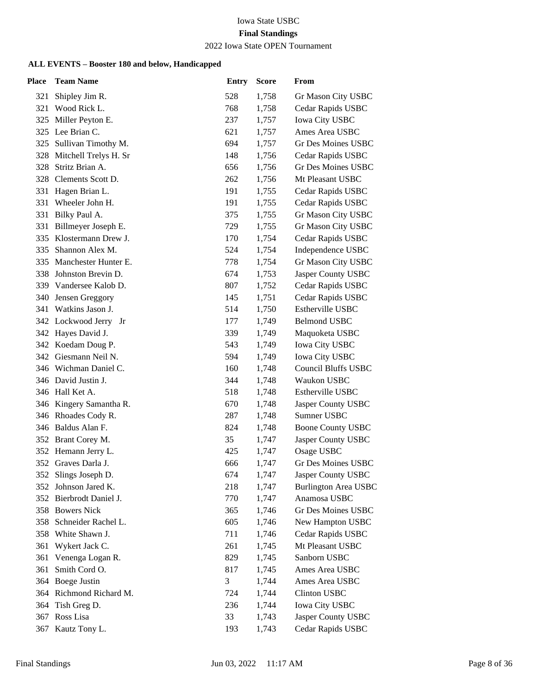# 2022 Iowa State OPEN Tournament

| <b>Place</b> | <b>Team Name</b>        | <b>Entry</b> | <b>Score</b> | From                        |
|--------------|-------------------------|--------------|--------------|-----------------------------|
| 321          | Shipley Jim R.          | 528          | 1,758        | Gr Mason City USBC          |
| 321          | Wood Rick L.            | 768          | 1,758        | Cedar Rapids USBC           |
|              | 325 Miller Peyton E.    | 237          | 1,757        | Iowa City USBC              |
|              | 325 Lee Brian C.        | 621          | 1,757        | Ames Area USBC              |
| 325          | Sullivan Timothy M.     | 694          | 1,757        | Gr Des Moines USBC          |
| 328          | Mitchell Trelys H. Sr   | 148          | 1,756        | Cedar Rapids USBC           |
| 328          | Stritz Brian A.         | 656          | 1,756        | Gr Des Moines USBC          |
|              | 328 Clements Scott D.   | 262          | 1,756        | Mt Pleasant USBC            |
| 331          | Hagen Brian L.          | 191          | 1,755        | Cedar Rapids USBC           |
| 331          | Wheeler John H.         | 191          | 1,755        | Cedar Rapids USBC           |
|              | 331 Bilky Paul A.       | 375          | 1,755        | Gr Mason City USBC          |
|              | 331 Billmeyer Joseph E. | 729          | 1,755        | Gr Mason City USBC          |
|              | 335 Klostermann Drew J. | 170          | 1,754        | Cedar Rapids USBC           |
| 335          | Shannon Alex M.         | 524          | 1,754        | Independence USBC           |
| 335          | Manchester Hunter E.    | 778          | 1,754        | Gr Mason City USBC          |
|              | 338 Johnston Brevin D.  | 674          | 1,753        | Jasper County USBC          |
|              | 339 Vandersee Kalob D.  | 807          | 1,752        | Cedar Rapids USBC           |
| 340          | Jensen Greggory         | 145          | 1,751        | Cedar Rapids USBC           |
|              | 341 Watkins Jason J.    | 514          | 1,750        | Estherville USBC            |
|              | 342 Lockwood Jerry Jr   | 177          | 1,749        | <b>Belmond USBC</b>         |
|              | 342 Hayes David J.      | 339          | 1,749        | Maquoketa USBC              |
|              | 342 Koedam Doug P.      | 543          | 1,749        | Iowa City USBC              |
|              | 342 Giesmann Neil N.    | 594          | 1,749        | Iowa City USBC              |
|              | 346 Wichman Daniel C.   | 160          | 1,748        | <b>Council Bluffs USBC</b>  |
|              | 346 David Justin J.     | 344          | 1,748        | Waukon USBC                 |
|              | 346 Hall Ket A.         | 518          | 1,748        | Estherville USBC            |
|              | 346 Kingery Samantha R. | 670          | 1,748        | Jasper County USBC          |
|              | 346 Rhoades Cody R.     | 287          | 1,748        | Sumner USBC                 |
|              | 346 Baldus Alan F.      | 824          | 1,748        | <b>Boone County USBC</b>    |
|              | 352 Brant Corey M.      | 35           | 1,747        | Jasper County USBC          |
|              | 352 Hemann Jerry L.     | 425          | 1,747        | Osage USBC                  |
|              | 352 Graves Darla J.     | 666          | 1,747        | Gr Des Moines USBC          |
|              | 352 Slings Joseph D.    | 674          | 1,747        | Jasper County USBC          |
| 352          | Johnson Jared K.        | 218          | 1,747        | <b>Burlington Area USBC</b> |
|              | 352 Bierbrodt Daniel J. | 770          | 1,747        | Anamosa USBC                |
|              | 358 Bowers Nick         | 365          | 1,746        | <b>Gr Des Moines USBC</b>   |
| 358          | Schneider Rachel L.     | 605          | 1,746        | New Hampton USBC            |
|              | 358 White Shawn J.      | 711          | 1,746        | Cedar Rapids USBC           |
| 361          | Wykert Jack C.          | 261          | 1,745        | Mt Pleasant USBC            |
| 361          | Venenga Logan R.        | 829          | 1,745        | Sanborn USBC                |
| 361          | Smith Cord O.           | 817          | 1,745        | Ames Area USBC              |
| 364          | <b>Boege Justin</b>     | 3            | 1,744        | Ames Area USBC              |
|              | 364 Richmond Richard M. | 724          | 1,744        | <b>Clinton USBC</b>         |
|              | 364 Tish Greg D.        | 236          | 1,744        | Iowa City USBC              |
|              | 367 Ross Lisa           | 33           | 1,743        | Jasper County USBC          |
| 367          | Kautz Tony L.           | 193          | 1,743        | Cedar Rapids USBC           |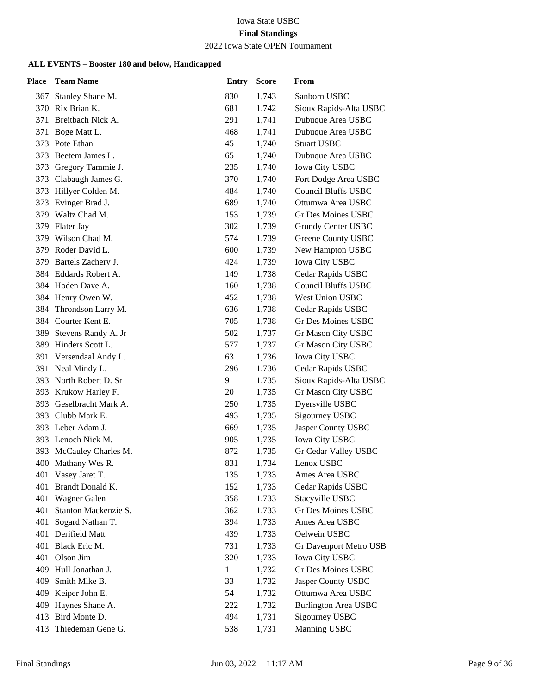# 2022 Iowa State OPEN Tournament

| Place | <b>Team Name</b>        | <b>Entry</b> | <b>Score</b> | From                        |
|-------|-------------------------|--------------|--------------|-----------------------------|
| 367   | Stanley Shane M.        | 830          | 1,743        | Sanborn USBC                |
| 370   | Rix Brian K.            | 681          | 1,742        | Sioux Rapids-Alta USBC      |
| 371   | Breitbach Nick A.       | 291          | 1,741        | Dubuque Area USBC           |
| 371   | Boge Matt L.            | 468          | 1,741        | Dubuque Area USBC           |
| 373   | Pote Ethan              | 45           | 1,740        | <b>Stuart USBC</b>          |
| 373   | Beetem James L.         | 65           | 1,740        | Dubuque Area USBC           |
| 373   | Gregory Tammie J.       | 235          | 1,740        | <b>Iowa City USBC</b>       |
|       | 373 Clabaugh James G.   | 370          | 1,740        | Fort Dodge Area USBC        |
| 373   | Hillyer Colden M.       | 484          | 1,740        | <b>Council Bluffs USBC</b>  |
| 373   | Evinger Brad J.         | 689          | 1,740        | Ottumwa Area USBC           |
| 379   | Waltz Chad M.           | 153          | 1,739        | <b>Gr Des Moines USBC</b>   |
|       | 379 Flater Jay          | 302          | 1,739        | Grundy Center USBC          |
| 379   | Wilson Chad M.          | 574          | 1,739        | Greene County USBC          |
|       | 379 Roder David L.      | 600          | 1,739        | New Hampton USBC            |
| 379   | Bartels Zachery J.      | 424          | 1,739        | <b>Iowa City USBC</b>       |
|       | 384 Eddards Robert A.   | 149          | 1,738        | Cedar Rapids USBC           |
|       | 384 Hoden Dave A.       | 160          | 1,738        | <b>Council Bluffs USBC</b>  |
|       | 384 Henry Owen W.       | 452          | 1,738        | West Union USBC             |
| 384   | Throndson Larry M.      | 636          | 1,738        | Cedar Rapids USBC           |
|       | 384 Courter Kent E.     | 705          | 1,738        | Gr Des Moines USBC          |
| 389   | Stevens Randy A. Jr     | 502          | 1,737        | Gr Mason City USBC          |
|       | 389 Hinders Scott L.    | 577          | 1,737        | Gr Mason City USBC          |
|       | 391 Versendaal Andy L.  | 63           | 1,736        | <b>Iowa City USBC</b>       |
|       | 391 Neal Mindy L.       | 296          | 1,736        | Cedar Rapids USBC           |
|       | 393 North Robert D. Sr  | 9            | 1,735        | Sioux Rapids-Alta USBC      |
|       | 393 Krukow Harley F.    | 20           | 1,735        | Gr Mason City USBC          |
| 393   | Geselbracht Mark A.     | 250          | 1,735        | Dyersville USBC             |
|       | 393 Clubb Mark E.       | 493          | 1,735        | Sigourney USBC              |
|       | 393 Leber Adam J.       | 669          | 1,735        | Jasper County USBC          |
|       | 393 Lenoch Nick M.      | 905          | 1,735        | Iowa City USBC              |
|       | 393 McCauley Charles M. | 872          | 1,735        | Gr Cedar Valley USBC        |
|       | 400 Mathany Wes R.      | 831          | 1,734        | Lenox USBC                  |
|       | 401 Vasey Jaret T.      | 135          | 1,733        | Ames Area USBC              |
| 401   | Brandt Donald K.        | 152          | 1,733        | Cedar Rapids USBC           |
| 401   | Wagner Galen            | 358          | 1,733        | Stacyville USBC             |
| 401   | Stanton Mackenzie S.    | 362          | 1,733        | <b>Gr Des Moines USBC</b>   |
| 401   | Sogard Nathan T.        | 394          | 1,733        | Ames Area USBC              |
| 401   | Derifield Matt          | 439          | 1,733        | Oelwein USBC                |
| 401   | Black Eric M.           | 731          | 1,733        | Gr Davenport Metro USB      |
| 401   | Olson Jim               | 320          | 1,733        | <b>Iowa City USBC</b>       |
| 409   | Hull Jonathan J.        | $\mathbf 1$  | 1,732        | Gr Des Moines USBC          |
| 409   | Smith Mike B.           | 33           | 1,732        | Jasper County USBC          |
| 409   | Keiper John E.          | 54           | 1,732        | Ottumwa Area USBC           |
| 409   | Haynes Shane A.         | 222          | 1,732        | <b>Burlington Area USBC</b> |
| 413   | Bird Monte D.           | 494          | 1,731        | Sigourney USBC              |
| 413   | Thiedeman Gene G.       | 538          | 1,731        | Manning USBC                |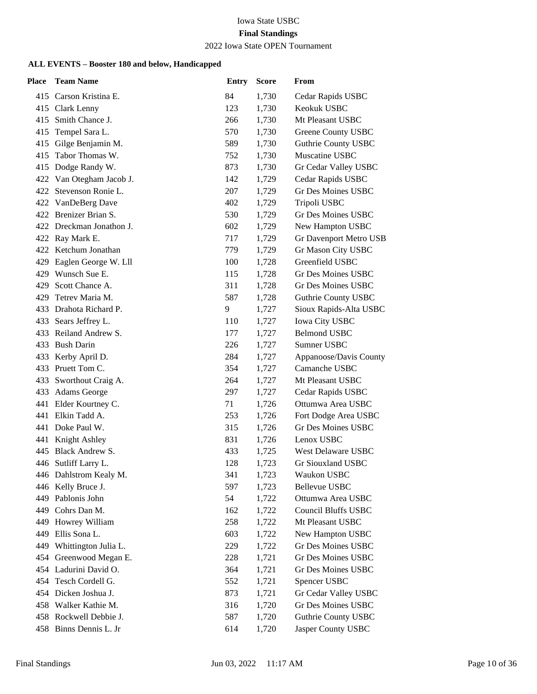# 2022 Iowa State OPEN Tournament

| <b>Place</b> | <b>Team Name</b>         | <b>Entry</b> | <b>Score</b> | From                       |
|--------------|--------------------------|--------------|--------------|----------------------------|
|              | 415 Carson Kristina E.   | 84           | 1,730        | Cedar Rapids USBC          |
|              | 415 Clark Lenny          | 123          | 1,730        | Keokuk USBC                |
| 415          | Smith Chance J.          | 266          | 1,730        | Mt Pleasant USBC           |
|              | 415 Tempel Sara L.       | 570          | 1,730        | Greene County USBC         |
|              | 415 Gilge Benjamin M.    | 589          | 1,730        | <b>Guthrie County USBC</b> |
| 415          | Tabor Thomas W.          | 752          | 1,730        | Muscatine USBC             |
|              | 415 Dodge Randy W.       | 873          | 1,730        | Gr Cedar Valley USBC       |
|              | 422 Van Otegham Jacob J. | 142          | 1,729        | Cedar Rapids USBC          |
|              | 422 Stevenson Ronie L.   | 207          | 1,729        | Gr Des Moines USBC         |
|              | 422 VanDeBerg Dave       | 402          | 1,729        | Tripoli USBC               |
|              | 422 Brenizer Brian S.    | 530          | 1,729        | <b>Gr Des Moines USBC</b>  |
|              | 422 Dreckman Jonathon J. | 602          | 1,729        | New Hampton USBC           |
|              | 422 Ray Mark E.          | 717          | 1,729        | Gr Davenport Metro USB     |
| 422          | Ketchum Jonathan         | 779          | 1,729        | Gr Mason City USBC         |
| 429          | Eaglen George W. Lll     | 100          | 1,728        | Greenfield USBC            |
|              | 429 Wunsch Sue E.        | 115          | 1,728        | <b>Gr Des Moines USBC</b>  |
| 429          | Scott Chance A.          | 311          | 1,728        | Gr Des Moines USBC         |
| 429          | Tetrev Maria M.          | 587          | 1,728        | <b>Guthrie County USBC</b> |
|              | 433 Drahota Richard P.   | 9            | 1,727        | Sioux Rapids-Alta USBC     |
|              | 433 Sears Jeffrey L.     | 110          | 1,727        | <b>Iowa City USBC</b>      |
|              | 433 Reiland Andrew S.    | 177          | 1,727        | <b>Belmond USBC</b>        |
| 433          | <b>Bush Darin</b>        | 226          | 1,727        | Sumner USBC                |
|              | 433 Kerby April D.       | 284          | 1,727        | Appanoose/Davis County     |
|              | 433 Pruett Tom C.        | 354          | 1,727        | Camanche USBC              |
|              | 433 Sworthout Craig A.   | 264          | 1,727        | Mt Pleasant USBC           |
|              | 433 Adams George         | 297          | 1,727        | Cedar Rapids USBC          |
| 441          | Elder Kourtney C.        | 71           | 1,726        | Ottumwa Area USBC          |
|              | 441 Elkin Tadd A.        | 253          | 1,726        | Fort Dodge Area USBC       |
|              | 441 Doke Paul W.         | 315          | 1,726        | <b>Gr Des Moines USBC</b>  |
| 441          | Knight Ashley            | 831          | 1,726        | Lenox USBC                 |
| 445          | <b>Black Andrew S.</b>   | 433          | 1,725        | West Delaware USBC         |
|              | 446 Sutliff Larry L.     | 128          | 1,723        | Gr Siouxland USBC          |
|              | 446 Dahlstrom Kealy M.   | 341          | 1,723        | Waukon USBC                |
|              | 446 Kelly Bruce J.       | 597          | 1,723        | <b>Bellevue USBC</b>       |
| 449          | Pablonis John            | 54           | 1,722        | Ottumwa Area USBC          |
|              | 449 Cohrs Dan M.         | 162          | 1,722        | Council Bluffs USBC        |
| 449          | Howrey William           | 258          | 1,722        | Mt Pleasant USBC           |
| 449          | Ellis Sona L.            | 603          | 1,722        | New Hampton USBC           |
| 449          | Whittington Julia L.     | 229          | 1,722        | <b>Gr Des Moines USBC</b>  |
|              | 454 Greenwood Megan E.   | 228          | 1,721        | <b>Gr Des Moines USBC</b>  |
|              | 454 Ladurini David O.    | 364          | 1,721        | <b>Gr Des Moines USBC</b>  |
| 454          | Tesch Cordell G.         | 552          | 1,721        | Spencer USBC               |
|              | 454 Dicken Joshua J.     | 873          | 1,721        | Gr Cedar Valley USBC       |
|              | 458 Walker Kathie M.     | 316          | 1,720        | Gr Des Moines USBC         |
|              | 458 Rockwell Debbie J.   | 587          | 1,720        | Guthrie County USBC        |
| 458          | Binns Dennis L. Jr       | 614          | 1,720        | Jasper County USBC         |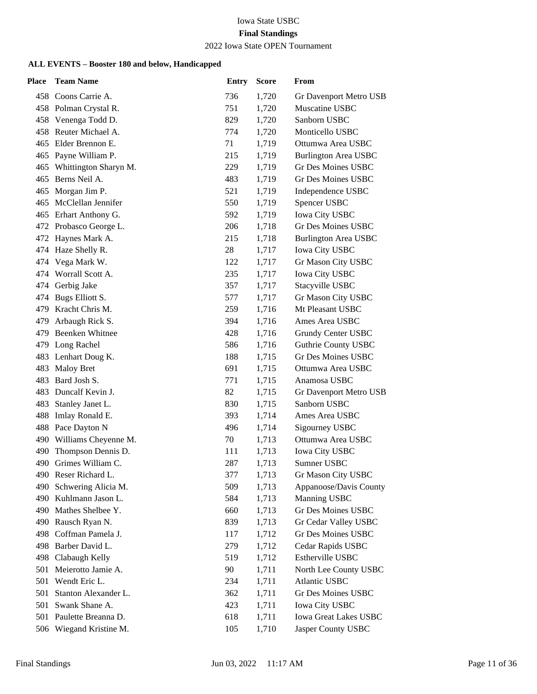# 2022 Iowa State OPEN Tournament

| <b>Place</b> | <b>Team Name</b>          | Entry | <b>Score</b> | From                        |
|--------------|---------------------------|-------|--------------|-----------------------------|
|              | 458 Coons Carrie A.       | 736   | 1,720        | Gr Davenport Metro USB      |
|              | 458 Polman Crystal R.     | 751   | 1,720        | Muscatine USBC              |
|              | 458 Venenga Todd D.       | 829   | 1,720        | Sanborn USBC                |
|              | 458 Reuter Michael A.     | 774   | 1,720        | Monticello USBC             |
|              | 465 Elder Brennon E.      | 71    | 1,719        | Ottumwa Area USBC           |
|              | 465 Payne William P.      | 215   | 1,719        | <b>Burlington Area USBC</b> |
|              | 465 Whittington Sharyn M. | 229   | 1,719        | <b>Gr Des Moines USBC</b>   |
|              | 465 Berns Neil A.         | 483   | 1,719        | <b>Gr Des Moines USBC</b>   |
|              | 465 Morgan Jim P.         | 521   | 1,719        | Independence USBC           |
|              | 465 McClellan Jennifer    | 550   | 1,719        | Spencer USBC                |
|              | 465 Erhart Anthony G.     | 592   | 1,719        | Iowa City USBC              |
|              | 472 Probasco George L.    | 206   | 1,718        | <b>Gr Des Moines USBC</b>   |
|              | 472 Haynes Mark A.        | 215   | 1,718        | <b>Burlington Area USBC</b> |
|              | 474 Haze Shelly R.        | 28    | 1,717        | <b>Iowa City USBC</b>       |
|              | 474 Vega Mark W.          | 122   | 1,717        | Gr Mason City USBC          |
|              | 474 Worrall Scott A.      | 235   | 1,717        | <b>Iowa City USBC</b>       |
|              | 474 Gerbig Jake           | 357   | 1,717        | Stacyville USBC             |
|              | 474 Bugs Elliott S.       | 577   | 1,717        | Gr Mason City USBC          |
|              | 479 Kracht Chris M.       | 259   | 1,716        | Mt Pleasant USBC            |
|              | 479 Arbaugh Rick S.       | 394   | 1,716        | Ames Area USBC              |
|              | 479 Beenken Whitnee       | 428   | 1,716        | Grundy Center USBC          |
|              | 479 Long Rachel           | 586   | 1,716        | Guthrie County USBC         |
|              | 483 Lenhart Doug K.       | 188   | 1,715        | <b>Gr Des Moines USBC</b>   |
|              | 483 Maloy Bret            | 691   | 1,715        | Ottumwa Area USBC           |
|              | 483 Bard Josh S.          | 771   | 1,715        | Anamosa USBC                |
|              | 483 Duncalf Kevin J.      | 82    | 1,715        | Gr Davenport Metro USB      |
| 483          | Stanley Janet L.          | 830   | 1,715        | Sanborn USBC                |
|              | 488 Imlay Ronald E.       | 393   | 1,714        | Ames Area USBC              |
|              | 488 Pace Dayton N         | 496   | 1,714        | Sigourney USBC              |
|              | 490 Williams Cheyenne M.  | 70    | 1,713        | Ottumwa Area USBC           |
| 490          | Thompson Dennis D.        | 111   | 1,713        | <b>Iowa City USBC</b>       |
|              | 490 Grimes William C.     | 287   | 1,713        | Sumner USBC                 |
|              | 490 Reser Richard L.      | 377   | 1,713        | Gr Mason City USBC          |
| 490.         | Schwering Alicia M.       | 509   | 1,713        | Appanoose/Davis County      |
| 490          | Kuhlmann Jason L.         | 584   | 1,713        | Manning USBC                |
|              | 490 Mathes Shelbee Y.     | 660   | 1,713        | Gr Des Moines USBC          |
|              | 490 Rausch Ryan N.        | 839   | 1,713        | Gr Cedar Valley USBC        |
| 498          | Coffman Pamela J.         | 117   | 1,712        | <b>Gr Des Moines USBC</b>   |
|              | 498 Barber David L.       | 279   | 1,712        | Cedar Rapids USBC           |
|              | 498 Clabaugh Kelly        | 519   | 1,712        | Estherville USBC            |
| 501          | Meierotto Jamie A.        | 90    | 1,711        | North Lee County USBC       |
| 501          | Wendt Eric L.             | 234   | 1,711        | <b>Atlantic USBC</b>        |
| 501          | Stanton Alexander L.      | 362   | 1,711        | Gr Des Moines USBC          |
|              | 501 Swank Shane A.        | 423   | 1,711        | <b>Iowa City USBC</b>       |
|              | 501 Paulette Breanna D.   | 618   | 1,711        | Iowa Great Lakes USBC       |
| 506          | Wiegand Kristine M.       | 105   | 1,710        | Jasper County USBC          |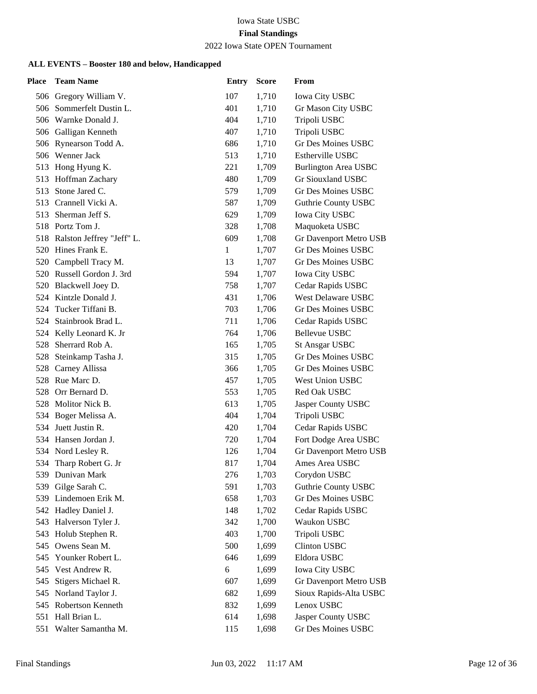# 2022 Iowa State OPEN Tournament

| <b>Place</b> | <b>Team Name</b>              | <b>Entry</b> | <b>Score</b> | From                        |
|--------------|-------------------------------|--------------|--------------|-----------------------------|
|              | 506 Gregory William V.        | 107          | 1,710        | Iowa City USBC              |
|              | 506 Sommerfelt Dustin L.      | 401          | 1,710        | Gr Mason City USBC          |
|              | 506 Warnke Donald J.          | 404          | 1,710        | Tripoli USBC                |
|              | 506 Galligan Kenneth          | 407          | 1,710        | Tripoli USBC                |
|              | 506 Rynearson Todd A.         | 686          | 1,710        | <b>Gr Des Moines USBC</b>   |
|              | 506 Wenner Jack               | 513          | 1,710        | Estherville USBC            |
|              | 513 Hong Hyung K.             | 221          | 1,709        | <b>Burlington Area USBC</b> |
|              | 513 Hoffman Zachary           | 480          | 1,709        | Gr Siouxland USBC           |
|              | 513 Stone Jared C.            | 579          | 1,709        | <b>Gr Des Moines USBC</b>   |
| 513          | Crannell Vicki A.             | 587          | 1,709        | <b>Guthrie County USBC</b>  |
| 513          | Sherman Jeff S.               | 629          | 1,709        | Iowa City USBC              |
|              | 518 Portz Tom J.              | 328          | 1,708        | Maquoketa USBC              |
|              | 518 Ralston Jeffrey "Jeff" L. | 609          | 1,708        | Gr Davenport Metro USB      |
|              | 520 Hines Frank E.            | $\mathbf{1}$ | 1,707        | <b>Gr Des Moines USBC</b>   |
|              | 520 Campbell Tracy M.         | 13           | 1,707        | <b>Gr Des Moines USBC</b>   |
|              | 520 Russell Gordon J. 3rd     | 594          | 1,707        | Iowa City USBC              |
|              | 520 Blackwell Joey D.         | 758          | 1,707        | Cedar Rapids USBC           |
| 524          | Kintzle Donald J.             | 431          | 1,706        | <b>West Delaware USBC</b>   |
| 524          | Tucker Tiffani B.             | 703          | 1,706        | Gr Des Moines USBC          |
|              | 524 Stainbrook Brad L.        | 711          | 1,706        | Cedar Rapids USBC           |
|              | 524 Kelly Leonard K. Jr       | 764          | 1,706        | <b>Bellevue USBC</b>        |
| 528          | Sherrard Rob A.               | 165          | 1,705        | <b>St Ansgar USBC</b>       |
| 528          | Steinkamp Tasha J.            | 315          | 1,705        | Gr Des Moines USBC          |
|              | 528 Carney Allissa            | 366          | 1,705        | Gr Des Moines USBC          |
|              | 528 Rue Marc D.               | 457          | 1,705        | West Union USBC             |
| 528          | Orr Bernard D.                | 553          | 1,705        | Red Oak USBC                |
| 528          | Molitor Nick B.               | 613          | 1,705        | Jasper County USBC          |
|              | 534 Boger Melissa A.          | 404          | 1,704        | Tripoli USBC                |
|              | 534 Juett Justin R.           | 420          | 1,704        | Cedar Rapids USBC           |
|              | 534 Hansen Jordan J.          | 720          | 1,704        | Fort Dodge Area USBC        |
|              | 534 Nord Lesley R.            | 126          | 1,704        | Gr Davenport Metro USB      |
| 534          | Tharp Robert G. Jr            | 817          | 1,704        | Ames Area USBC              |
|              | 539 Dunivan Mark              | 276          | 1,703        | Corydon USBC                |
| 539          | Gilge Sarah C.                | 591          | 1,703        | <b>Guthrie County USBC</b>  |
| 539          | Lindemoen Erik M.             | 658          | 1,703        | Gr Des Moines USBC          |
| 542          | Hadley Daniel J.              | 148          | 1,702        | Cedar Rapids USBC           |
| 543          | Halverson Tyler J.            | 342          | 1,700        | Waukon USBC                 |
| 543          | Holub Stephen R.              | 403          | 1,700        | Tripoli USBC                |
| 545          | Owens Sean M.                 | 500          | 1,699        | Clinton USBC                |
| 545          | Younker Robert L.             | 646          | 1,699        | Eldora USBC                 |
| 545          | Vest Andrew R.                | 6            | 1,699        | <b>Iowa City USBC</b>       |
| 545          | Stigers Michael R.            | 607          | 1,699        | Gr Davenport Metro USB      |
| 545          | Norland Taylor J.             | 682          | 1,699        | Sioux Rapids-Alta USBC      |
|              | 545 Robertson Kenneth         | 832          | 1,699        | Lenox USBC                  |
| 551          | Hall Brian L.                 | 614          | 1,698        | Jasper County USBC          |
| 551          | Walter Samantha M.            | 115          | 1,698        | Gr Des Moines USBC          |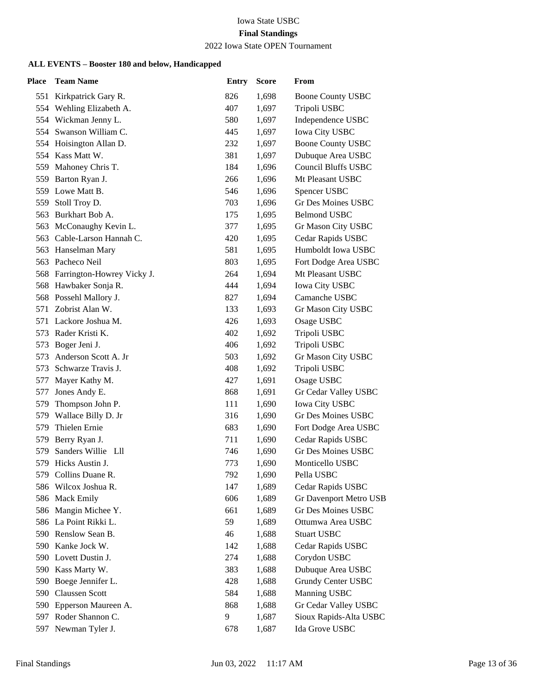# 2022 Iowa State OPEN Tournament

| Place | <b>Team Name</b>               | <b>Entry</b> | <b>Score</b> | From                       |
|-------|--------------------------------|--------------|--------------|----------------------------|
|       | 551 Kirkpatrick Gary R.        | 826          | 1,698        | Boone County USBC          |
|       | 554 Wehling Elizabeth A.       | 407          | 1,697        | Tripoli USBC               |
|       | 554 Wickman Jenny L.           | 580          | 1,697        | Independence USBC          |
|       | 554 Swanson William C.         | 445          | 1,697        | Iowa City USBC             |
|       | 554 Hoisington Allan D.        | 232          | 1,697        | <b>Boone County USBC</b>   |
| 554   | Kass Matt W.                   | 381          | 1,697        | Dubuque Area USBC          |
| 559   | Mahoney Chris T.               | 184          | 1,696        | <b>Council Bluffs USBC</b> |
|       | 559 Barton Ryan J.             | 266          | 1,696        | Mt Pleasant USBC           |
|       | 559 Lowe Matt B.               | 546          | 1,696        | Spencer USBC               |
| 559   | Stoll Troy D.                  | 703          | 1,696        | Gr Des Moines USBC         |
| 563   | Burkhart Bob A.                | 175          | 1,695        | <b>Belmond USBC</b>        |
|       | 563 McConaughy Kevin L.        | 377          | 1,695        | Gr Mason City USBC         |
|       | 563 Cable-Larson Hannah C.     | 420          | 1,695        | Cedar Rapids USBC          |
|       | 563 Hanselman Mary             | 581          | 1,695        | Humboldt Iowa USBC         |
|       | 563 Pacheco Neil               | 803          | 1,695        | Fort Dodge Area USBC       |
|       | 568 Farrington-Howrey Vicky J. | 264          | 1,694        | Mt Pleasant USBC           |
|       | 568 Hawbaker Sonja R.          | 444          | 1,694        | Iowa City USBC             |
|       | 568 Possehl Mallory J.         | 827          | 1,694        | Camanche USBC              |
| 571   | Zobrist Alan W.                | 133          | 1,693        | Gr Mason City USBC         |
|       | 571 Lackore Joshua M.          | 426          | 1,693        | Osage USBC                 |
| 573   | Rader Kristi K.                | 402          | 1,692        | Tripoli USBC               |
| 573   | Boger Jeni J.                  | 406          | 1,692        | Tripoli USBC               |
| 573   | Anderson Scott A. Jr           | 503          | 1,692        | Gr Mason City USBC         |
|       | 573 Schwarze Travis J.         | 408          | 1,692        | Tripoli USBC               |
| 577   | Mayer Kathy M.                 | 427          | 1,691        | Osage USBC                 |
| 577   | Jones Andy E.                  | 868          | 1,691        | Gr Cedar Valley USBC       |
| 579   | Thompson John P.               | 111          | 1,690        | Iowa City USBC             |
|       | 579 Wallace Billy D. Jr        | 316          | 1,690        | <b>Gr Des Moines USBC</b>  |
| 579   | Thielen Ernie                  | 683          | 1,690        | Fort Dodge Area USBC       |
| 579   | Berry Ryan J.                  | 711          | 1,690        | Cedar Rapids USBC          |
| 579   | Sanders Willie Lll             | 746          | 1,690        | Gr Des Moines USBC         |
| 579   | Hicks Austin J.                | 773          | 1,690        | Monticello USBC            |
|       | 579 Collins Duane R.           | 792          | 1,690        | Pella USBC                 |
| 586   | Wilcox Joshua R.               | 147          | 1,689        | Cedar Rapids USBC          |
|       | 586 Mack Emily                 | 606          | 1,689        | Gr Davenport Metro USB     |
|       | 586 Mangin Michee Y.           | 661          | 1,689        | Gr Des Moines USBC         |
|       | 586 La Point Rikki L.          | 59           | 1,689        | Ottumwa Area USBC          |
|       | 590 Renslow Sean B.            | 46           | 1,688        | <b>Stuart USBC</b>         |
| 590   | Kanke Jock W.                  | 142          | 1,688        | Cedar Rapids USBC          |
|       | 590 Lovett Dustin J.           | 274          | 1,688        | Corydon USBC               |
|       | 590 Kass Marty W.              | 383          | 1,688        | Dubuque Area USBC          |
| 590   | Boege Jennifer L.              | 428          | 1,688        | Grundy Center USBC         |
| 590   | Claussen Scott                 | 584          | 1,688        | Manning USBC               |
|       | 590 Epperson Maureen A.        | 868          | 1,688        | Gr Cedar Valley USBC       |
| 597   | Roder Shannon C.               | 9            | 1,687        | Sioux Rapids-Alta USBC     |
| 597   | Newman Tyler J.                | 678          | 1,687        | Ida Grove USBC             |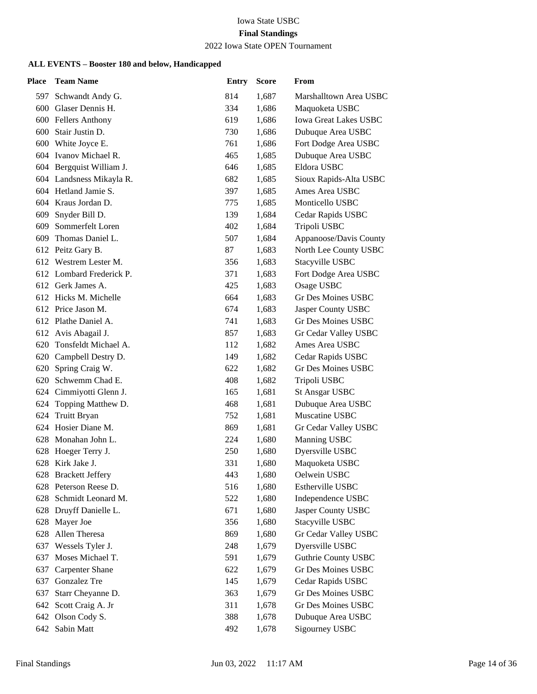# 2022 Iowa State OPEN Tournament

| Place | <b>Team Name</b>         | <b>Entry</b> | <b>Score</b> | From                         |
|-------|--------------------------|--------------|--------------|------------------------------|
|       | 597 Schwandt Andy G.     | 814          | 1,687        | Marshalltown Area USBC       |
|       | 600 Glaser Dennis H.     | 334          | 1,686        | Maquoketa USBC               |
|       | 600 Fellers Anthony      | 619          | 1,686        | <b>Iowa Great Lakes USBC</b> |
|       | 600 Stair Justin D.      | 730          | 1,686        | Dubuque Area USBC            |
|       | 600 White Joyce E.       | 761          | 1,686        | Fort Dodge Area USBC         |
|       | 604 Ivanov Michael R.    | 465          | 1,685        | Dubuque Area USBC            |
|       | 604 Bergquist William J. | 646          | 1,685        | Eldora USBC                  |
|       | 604 Landsness Mikayla R. | 682          | 1,685        | Sioux Rapids-Alta USBC       |
|       | 604 Hetland Jamie S.     | 397          | 1,685        | Ames Area USBC               |
|       | 604 Kraus Jordan D.      | 775          | 1,685        | Monticello USBC              |
| 609   | Snyder Bill D.           | 139          | 1,684        | Cedar Rapids USBC            |
|       | 609 Sommerfelt Loren     | 402          | 1,684        | Tripoli USBC                 |
|       | 609 Thomas Daniel L.     | 507          | 1,684        | Appanoose/Davis County       |
|       | 612 Peitz Gary B.        | 87           | 1,683        | North Lee County USBC        |
|       | 612 Westrem Lester M.    | 356          | 1,683        | Stacyville USBC              |
|       | 612 Lombard Frederick P. | 371          | 1,683        | Fort Dodge Area USBC         |
|       | 612 Gerk James A.        | 425          | 1,683        | Osage USBC                   |
|       | 612 Hicks M. Michelle    | 664          | 1,683        | <b>Gr Des Moines USBC</b>    |
|       | 612 Price Jason M.       | 674          | 1,683        | Jasper County USBC           |
|       | 612 Plathe Daniel A.     | 741          | 1,683        | <b>Gr Des Moines USBC</b>    |
|       | 612 Avis Abagail J.      | 857          | 1,683        | Gr Cedar Valley USBC         |
|       | 620 Tonsfeldt Michael A. | 112          | 1,682        | Ames Area USBC               |
|       | 620 Campbell Destry D.   | 149          | 1,682        | Cedar Rapids USBC            |
|       | 620 Spring Craig W.      | 622          | 1,682        | Gr Des Moines USBC           |
|       | 620 Schwemm Chad E.      | 408          | 1,682        | Tripoli USBC                 |
|       | 624 Cimmiyotti Glenn J.  | 165          | 1,681        | <b>St Ansgar USBC</b>        |
| 624   | Topping Matthew D.       | 468          | 1,681        | Dubuque Area USBC            |
|       | 624 Truitt Bryan         | 752          | 1,681        | Muscatine USBC               |
|       | 624 Hosier Diane M.      | 869          | 1,681        | Gr Cedar Valley USBC         |
|       | 628 Monahan John L.      | 224          | 1,680        | Manning USBC                 |
| 628   | Hoeger Terry J.          | 250          | 1,680        | Dyersville USBC              |
|       | 628 Kirk Jake J.         | 331          | 1,680        | Maquoketa USBC               |
|       | 628 Brackett Jeffery     | 443          | 1,680        | Oelwein USBC                 |
|       | 628 Peterson Reese D.    | 516          | 1,680        | Estherville USBC             |
| 628   | Schmidt Leonard M.       | 522          | 1,680        | Independence USBC            |
|       | 628 Druyff Danielle L.   | 671          | 1,680        | Jasper County USBC           |
| 628   | Mayer Joe                | 356          | 1,680        | Stacyville USBC              |
| 628   | Allen Theresa            | 869          | 1,680        | Gr Cedar Valley USBC         |
| 637   | Wessels Tyler J.         | 248          | 1,679        | Dyersville USBC              |
| 637   | Moses Michael T.         | 591          | 1,679        | <b>Guthrie County USBC</b>   |
| 637   | <b>Carpenter Shane</b>   | 622          | 1,679        | Gr Des Moines USBC           |
| 637   | Gonzalez Tre             | 145          | 1,679        | Cedar Rapids USBC            |
| 637   | Starr Cheyanne D.        | 363          | 1,679        | <b>Gr Des Moines USBC</b>    |
| 642   | Scott Craig A. Jr        | 311          | 1,678        | Gr Des Moines USBC           |
|       | 642 Olson Cody S.        | 388          | 1,678        | Dubuque Area USBC            |
| 642   | Sabin Matt               | 492          | 1,678        | Sigourney USBC               |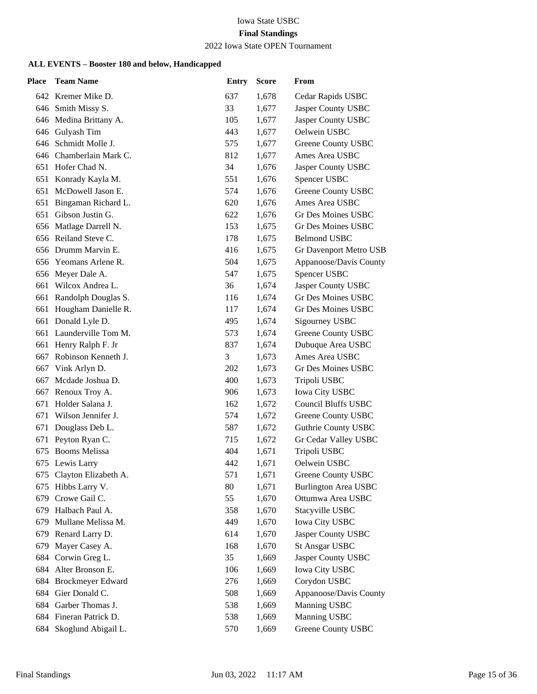#### 2022 Iowa State OPEN Tournament

| <b>Place</b> | <b>Team Name</b>         | <b>Entry</b> | <b>Score</b> | From                        |
|--------------|--------------------------|--------------|--------------|-----------------------------|
|              | 642 Kremer Mike D.       | 637          | 1,678        | Cedar Rapids USBC           |
|              | 646 Smith Missy S.       | 33           | 1,677        | Jasper County USBC          |
|              | 646 Medina Brittany A.   | 105          | 1,677        | Jasper County USBC          |
|              | 646 Gulyash Tim          | 443          | 1,677        | Oelwein USBC                |
|              | 646 Schmidt Molle J.     | 575          | 1,677        | Greene County USBC          |
|              | 646 Chamberlain Mark C.  | 812          | 1,677        | Ames Area USBC              |
|              | 651 Hofer Chad N.        | 34           | 1,676        | Jasper County USBC          |
|              | 651 Konrady Kayla M.     | 551          | 1,676        | Spencer USBC                |
| 651          | McDowell Jason E.        | 574          | 1,676        | Greene County USBC          |
| 651          | Bingaman Richard L.      | 620          | 1,676        | Ames Area USBC              |
| 651          | Gibson Justin G.         | 622          | 1,676        | Gr Des Moines USBC          |
|              | 656 Matlage Darrell N.   | 153          | 1,675        | Gr Des Moines USBC          |
| 656          | Reiland Steve C.         | 178          | 1,675        | <b>Belmond USBC</b>         |
|              | 656 Drumm Marvin E.      | 416          | 1,675        | Gr Davenport Metro USB      |
|              | 656 Yeomans Arlene R.    | 504          | 1,675        | Appanoose/Davis County      |
|              | 656 Meyer Dale A.        | 547          | 1,675        | Spencer USBC                |
| 661          | Wilcox Andrea L.         | 36           | 1,674        | Jasper County USBC          |
| 661          | Randolph Douglas S.      | 116          | 1,674        | Gr Des Moines USBC          |
|              | 661 Hougham Danielle R.  | 117          | 1,674        | <b>Gr Des Moines USBC</b>   |
|              | 661 Donald Lyle D.       | 495          | 1,674        | Sigourney USBC              |
|              | 661 Launderville Tom M.  | 573          | 1,674        | Greene County USBC          |
| 661          | Henry Ralph F. Jr        | 837          | 1,674        | Dubuque Area USBC           |
| 667          | Robinson Kenneth J.      | 3            | 1,673        | Ames Area USBC              |
| 667          | Vink Arlyn D.            | 202          | 1,673        | Gr Des Moines USBC          |
| 667          | Mcdade Joshua D.         | 400          | 1,673        | Tripoli USBC                |
| 667          | Renoux Troy A.           | 906          | 1,673        | Iowa City USBC              |
| 671          | Holder Salana J.         | 162          | 1,672        | <b>Council Bluffs USBC</b>  |
| 671          | Wilson Jennifer J.       | 574          | 1,672        | Greene County USBC          |
| 671          | Douglass Deb L.          | 587          | 1,672        | <b>Guthrie County USBC</b>  |
| 671          | Peyton Ryan C.           | 715          | 1,672        | Gr Cedar Valley USBC        |
| 675          | <b>Booms Melissa</b>     | 404          | 1,671        | Tripoli USBC                |
| 675          | Lewis Larry              | 442          | 1,671        | Oelwein USBC                |
| 675          | Clayton Elizabeth A.     | 571          | 1,671        | Greene County USBC          |
| 675          | Hibbs Larry V.           | 80           | 1,671        | <b>Burlington Area USBC</b> |
| 679          | Crowe Gail C.            | 55           | 1,670        | Ottumwa Area USBC           |
| 679          | Halbach Paul A.          | 358          | 1,670        | Stacyville USBC             |
| 679          | Mullane Melissa M.       | 449          | 1,670        | Iowa City USBC              |
| 679          | Renard Larry D.          | 614          | 1,670        | Jasper County USBC          |
| 679          | Mayer Casey A.           | 168          | 1,670        | <b>St Ansgar USBC</b>       |
| 684          | Corwin Greg L.           | 35           | 1,669        | Jasper County USBC          |
| 684          | Alter Bronson E.         | 106          | 1,669        | <b>Iowa City USBC</b>       |
| 684          | <b>Brockmeyer Edward</b> | 276          | 1,669        | Corydon USBC                |
| 684          | Gier Donald C.           | 508          | 1,669        | Appanoose/Davis County      |
|              | 684 Garber Thomas J.     | 538          | 1,669        | Manning USBC                |
|              | 684 Fineran Patrick D.   | 538          | 1,669        | Manning USBC                |
| 684          | Skoglund Abigail L.      | 570          | 1,669        | Greene County USBC          |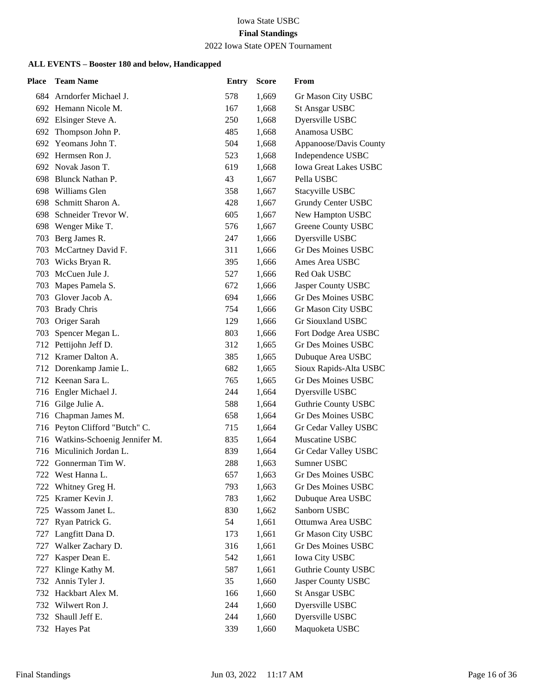#### 2022 Iowa State OPEN Tournament

| Place | <b>Team Name</b>                 | <b>Entry</b> | <b>Score</b> | From                       |
|-------|----------------------------------|--------------|--------------|----------------------------|
|       | 684 Arndorfer Michael J.         | 578          | 1,669        | Gr Mason City USBC         |
|       | 692 Hemann Nicole M.             | 167          | 1,668        | <b>St Ansgar USBC</b>      |
|       | 692 Elsinger Steve A.            | 250          | 1,668        | Dyersville USBC            |
| 692   | Thompson John P.                 | 485          | 1,668        | Anamosa USBC               |
| 692   | Yeomans John T.                  | 504          | 1,668        | Appanoose/Davis County     |
|       | 692 Hermsen Ron J.               | 523          | 1,668        | Independence USBC          |
|       | 692 Novak Jason T.               | 619          | 1,668        | Iowa Great Lakes USBC      |
|       | 698 Blunck Nathan P.             | 43           | 1,667        | Pella USBC                 |
| 698   | Williams Glen                    | 358          | 1,667        | Stacyville USBC            |
| 698   | Schmitt Sharon A.                | 428          | 1,667        | Grundy Center USBC         |
| 698   | Schneider Trevor W.              | 605          | 1,667        | New Hampton USBC           |
| 698   | Wenger Mike T.                   | 576          | 1,667        | Greene County USBC         |
| 703   | Berg James R.                    | 247          | 1,666        | Dyersville USBC            |
| 703   | McCartney David F.               | 311          | 1,666        | Gr Des Moines USBC         |
| 703   | Wicks Bryan R.                   | 395          | 1,666        | Ames Area USBC             |
| 703   | McCuen Jule J.                   | 527          | 1,666        | Red Oak USBC               |
| 703   | Mapes Pamela S.                  | 672          | 1,666        | Jasper County USBC         |
| 703   | Glover Jacob A.                  | 694          | 1,666        | <b>Gr Des Moines USBC</b>  |
| 703   | <b>Brady Chris</b>               | 754          | 1,666        | Gr Mason City USBC         |
| 703   | Origer Sarah                     | 129          | 1,666        | Gr Siouxland USBC          |
| 703   | Spencer Megan L.                 | 803          | 1,666        | Fort Dodge Area USBC       |
| 712   | Pettijohn Jeff D.                | 312          | 1,665        | <b>Gr Des Moines USBC</b>  |
|       | 712 Kramer Dalton A.             | 385          | 1,665        | Dubuque Area USBC          |
|       | 712 Dorenkamp Jamie L.           | 682          | 1,665        | Sioux Rapids-Alta USBC     |
|       | 712 Keenan Sara L.               | 765          | 1,665        | <b>Gr Des Moines USBC</b>  |
|       | 716 Engler Michael J.            | 244          | 1,664        | Dyersville USBC            |
|       | 716 Gilge Julie A.               | 588          | 1,664        | <b>Guthrie County USBC</b> |
|       | 716 Chapman James M.             | 658          | 1,664        | Gr Des Moines USBC         |
|       | 716 Peyton Clifford "Butch" C.   | 715          | 1,664        | Gr Cedar Valley USBC       |
|       | 716 Watkins-Schoenig Jennifer M. | 835          | 1,664        | Muscatine USBC             |
|       | 716 Miculinich Jordan L.         | 839          | 1,664        | Gr Cedar Valley USBC       |
|       | 722 Gonnerman Tim W.             | 288          | 1,663        | Sumner USBC                |
| 722   | West Hanna L.                    | 657          | 1,663        | <b>Gr Des Moines USBC</b>  |
| 722   | Whitney Greg H.                  | 793          | 1,663        | Gr Des Moines USBC         |
| 725   | Kramer Kevin J.                  | 783          | 1,662        | Dubuque Area USBC          |
| 725   | Wassom Janet L.                  | 830          | 1,662        | Sanborn USBC               |
| 727   | Ryan Patrick G.                  | 54           | 1,661        | Ottumwa Area USBC          |
| 727   | Langfitt Dana D.                 | 173          | 1,661        | Gr Mason City USBC         |
| 727   | Walker Zachary D.                | 316          | 1,661        | Gr Des Moines USBC         |
| 727   | Kasper Dean E.                   | 542          | 1,661        | <b>Iowa City USBC</b>      |
| 727   | Klinge Kathy M.                  | 587          | 1,661        | <b>Guthrie County USBC</b> |
| 732   | Annis Tyler J.                   | 35           | 1,660        | Jasper County USBC         |
| 732   | Hackbart Alex M.                 | 166          | 1,660        | <b>St Ansgar USBC</b>      |
| 732   | Wilwert Ron J.                   | 244          | 1,660        | Dyersville USBC            |
| 732   | Shaull Jeff E.                   | 244          | 1,660        | Dyersville USBC            |
| 732   | Hayes Pat                        | 339          | 1,660        | Maquoketa USBC             |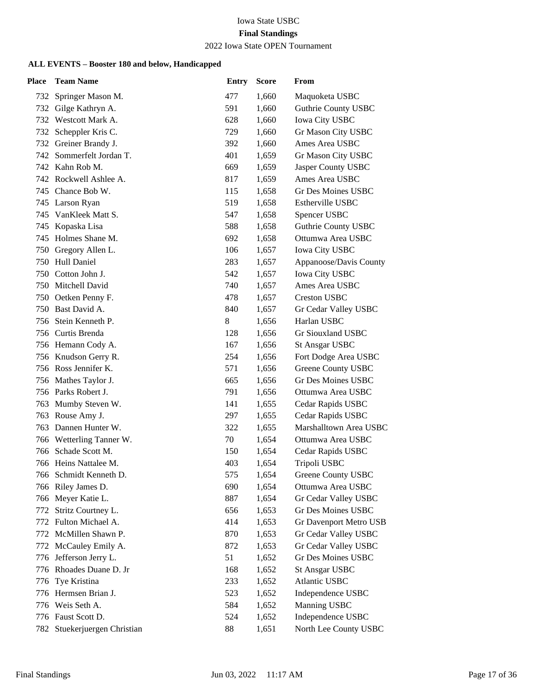#### 2022 Iowa State OPEN Tournament

| Place | <b>Team Name</b>         | <b>Entry</b> | <b>Score</b> | From                       |
|-------|--------------------------|--------------|--------------|----------------------------|
| 732   | Springer Mason M.        | 477          | 1,660        | Maquoketa USBC             |
| 732   | Gilge Kathryn A.         | 591          | 1,660        | <b>Guthrie County USBC</b> |
|       | 732 Westcott Mark A.     | 628          | 1,660        | Iowa City USBC             |
| 732   | Scheppler Kris C.        | 729          | 1,660        | Gr Mason City USBC         |
| 732   | Greiner Brandy J.        | 392          | 1,660        | Ames Area USBC             |
| 742   | Sommerfelt Jordan T.     | 401          | 1,659        | Gr Mason City USBC         |
|       | 742 Kahn Rob M.          | 669          | 1,659        | Jasper County USBC         |
|       | 742 Rockwell Ashlee A.   | 817          | 1,659        | Ames Area USBC             |
|       | 745 Chance Bob W.        | 115          | 1,658        | Gr Des Moines USBC         |
|       | 745 Larson Ryan          | 519          | 1,658        | <b>Estherville USBC</b>    |
| 745   | VanKleek Matt S.         | 547          | 1,658        | Spencer USBC               |
|       | 745 Kopaska Lisa         | 588          | 1,658        | Guthrie County USBC        |
| 745   | Holmes Shane M.          | 692          | 1,658        | Ottumwa Area USBC          |
| 750   | Gregory Allen L.         | 106          | 1,657        | Iowa City USBC             |
|       | 750 Hull Daniel          | 283          | 1,657        | Appanoose/Davis County     |
|       | 750 Cotton John J.       | 542          | 1,657        | Iowa City USBC             |
|       | 750 Mitchell David       | 740          | 1,657        | Ames Area USBC             |
|       | 750 Oetken Penny F.      | 478          | 1,657        | <b>Creston USBC</b>        |
| 750   | Bast David A.            | 840          | 1,657        | Gr Cedar Valley USBC       |
|       | 756 Stein Kenneth P.     | $\,8$        | 1,656        | Harlan USBC                |
|       | 756 Curtis Brenda        | 128          | 1,656        | Gr Siouxland USBC          |
|       | 756 Hemann Cody A.       | 167          | 1,656        | <b>St Ansgar USBC</b>      |
|       | 756 Knudson Gerry R.     | 254          | 1,656        | Fort Dodge Area USBC       |
|       | 756 Ross Jennifer K.     | 571          | 1,656        | Greene County USBC         |
|       | 756 Mathes Taylor J.     | 665          | 1,656        | Gr Des Moines USBC         |
|       | 756 Parks Robert J.      | 791          | 1,656        | Ottumwa Area USBC          |
| 763   | Mumby Steven W.          | 141          | 1,655        | Cedar Rapids USBC          |
| 763   | Rouse Amy J.             | 297          | 1,655        | Cedar Rapids USBC          |
| 763   | Dannen Hunter W.         | 322          | 1,655        | Marshalltown Area USBC     |
|       | 766 Wetterling Tanner W. | 70           | 1,654        | Ottumwa Area USBC          |
| 766   | Schade Scott M.          | 150          | 1,654        | Cedar Rapids USBC          |
|       | 766 Heins Nattalee M.    | 403          | 1,654        | Tripoli USBC               |
|       | 766 Schmidt Kenneth D.   | 575          | 1,654        | Greene County USBC         |
| 766   | Riley James D.           | 690          | 1,654        | Ottumwa Area USBC          |
|       | 766 Meyer Katie L.       | 887          | 1,654        | Gr Cedar Valley USBC       |
| 772   | Stritz Courtney L.       | 656          | 1,653        | Gr Des Moines USBC         |
|       | 772 Fulton Michael A.    | 414          | 1,653        | Gr Davenport Metro USB     |
| 772   | McMillen Shawn P.        | 870          | 1,653        | Gr Cedar Valley USBC       |
| 772   | McCauley Emily A.        | 872          | 1,653        | Gr Cedar Valley USBC       |
| 776   | Jefferson Jerry L.       | 51           | 1,652        | Gr Des Moines USBC         |
| 776   | Rhoades Duane D. Jr      | 168          | 1,652        | <b>St Ansgar USBC</b>      |
| 776   | Tye Kristina             | 233          | 1,652        | <b>Atlantic USBC</b>       |
|       | 776 Hermsen Brian J.     | 523          | 1,652        | Independence USBC          |
|       | 776 Weis Seth A.         | 584          | 1,652        | Manning USBC               |
|       | 776 Faust Scott D.       | 524          | 1,652        | Independence USBC          |
| 782   | Stuekerjuergen Christian | 88           | 1,651        | North Lee County USBC      |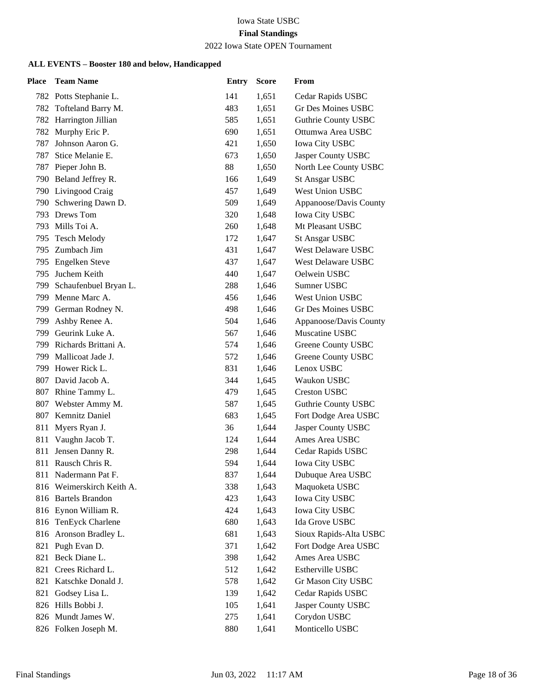#### 2022 Iowa State OPEN Tournament

| <b>Place</b> | <b>Team Name</b>          | <b>Entry</b> | <b>Score</b> | From                       |
|--------------|---------------------------|--------------|--------------|----------------------------|
|              | 782 Potts Stephanie L.    | 141          | 1,651        | Cedar Rapids USBC          |
| 782          | Tofteland Barry M.        | 483          | 1,651        | Gr Des Moines USBC         |
|              | 782 Harrington Jillian    | 585          | 1,651        | <b>Guthrie County USBC</b> |
|              | 782 Murphy Eric P.        | 690          | 1,651        | Ottumwa Area USBC          |
| 787          | Johnson Aaron G.          | 421          | 1,650        | <b>Iowa City USBC</b>      |
| 787          | Stice Melanie E.          | 673          | 1,650        | Jasper County USBC         |
| 787          | Pieper John B.            | 88           | 1,650        | North Lee County USBC      |
|              | 790 Beland Jeffrey R.     | 166          | 1,649        | <b>St Ansgar USBC</b>      |
|              | 790 Livingood Craig       | 457          | 1,649        | <b>West Union USBC</b>     |
| 790          | Schwering Dawn D.         | 509          | 1,649        | Appanoose/Davis County     |
| 793          | Drews Tom                 | 320          | 1,648        | <b>Iowa City USBC</b>      |
|              | 793 Mills Toi A.          | 260          | 1,648        | Mt Pleasant USBC           |
| 795          | <b>Tesch Melody</b>       | 172          | 1,647        | <b>St Ansgar USBC</b>      |
| 795          | Zumbach Jim               | 431          | 1,647        | <b>West Delaware USBC</b>  |
| 795          | <b>Engelken Steve</b>     | 437          | 1,647        | <b>West Delaware USBC</b>  |
| 795.         | Juchem Keith              | 440          | 1,647        | Oelwein USBC               |
| 799          | Schaufenbuel Bryan L.     | 288          | 1,646        | Sumner USBC                |
| 799          | Menne Marc A.             | 456          | 1,646        | West Union USBC            |
| 799          | German Rodney N.          | 498          | 1,646        | <b>Gr Des Moines USBC</b>  |
| 799          | Ashby Renee A.            | 504          | 1,646        | Appanoose/Davis County     |
| 799          | Geurink Luke A.           | 567          | 1,646        | Muscatine USBC             |
| 799          | Richards Brittani A.      | 574          | 1,646        | Greene County USBC         |
| 799          | Mallicoat Jade J.         | 572          | 1,646        | Greene County USBC         |
|              | 799 Hower Rick L.         | 831          | 1,646        | Lenox USBC                 |
|              | 807 David Jacob A.        | 344          | 1,645        | Waukon USBC                |
|              | 807 Rhine Tammy L.        | 479          | 1,645        | <b>Creston USBC</b>        |
|              | 807 Webster Ammy M.       | 587          | 1,645        | <b>Guthrie County USBC</b> |
|              | 807 Kemnitz Daniel        | 683          | 1,645        | Fort Dodge Area USBC       |
| 811          | Myers Ryan J.             | 36           | 1,644        | Jasper County USBC         |
| 811          | Vaughn Jacob T.           | 124          | 1,644        | Ames Area USBC             |
| 811          | Jensen Danny R.           | 298          | 1,644        | Cedar Rapids USBC          |
|              | 811 Rausch Chris R.       | 594          | 1,644        | <b>Iowa City USBC</b>      |
|              | 811 Nadermann Pat F.      | 837          | 1,644        | Dubuque Area USBC          |
|              | 816 Weimerskirch Keith A. | 338          | 1,643        | Maquoketa USBC             |
|              | 816 Bartels Brandon       | 423          | 1,643        | Iowa City USBC             |
|              | 816 Eynon William R.      | 424          | 1,643        | Iowa City USBC             |
|              | 816 TenEyck Charlene      | 680          | 1,643        | Ida Grove USBC             |
|              | 816 Aronson Bradley L.    | 681          | 1,643        | Sioux Rapids-Alta USBC     |
| 821          | Pugh Evan D.              | 371          | 1,642        | Fort Dodge Area USBC       |
| 821          | Beck Diane L.             | 398          | 1,642        | Ames Area USBC             |
| 821          | Crees Richard L.          | 512          | 1,642        | Estherville USBC           |
| 821          | Katschke Donald J.        | 578          | 1,642        | Gr Mason City USBC         |
| 821          | Godsey Lisa L.            | 139          | 1,642        | Cedar Rapids USBC          |
|              | 826 Hills Bobbi J.        | 105          | 1,641        | Jasper County USBC         |
|              | 826 Mundt James W.        | 275          | 1,641        | Corydon USBC               |
|              | 826 Folken Joseph M.      | 880          | 1,641        | Monticello USBC            |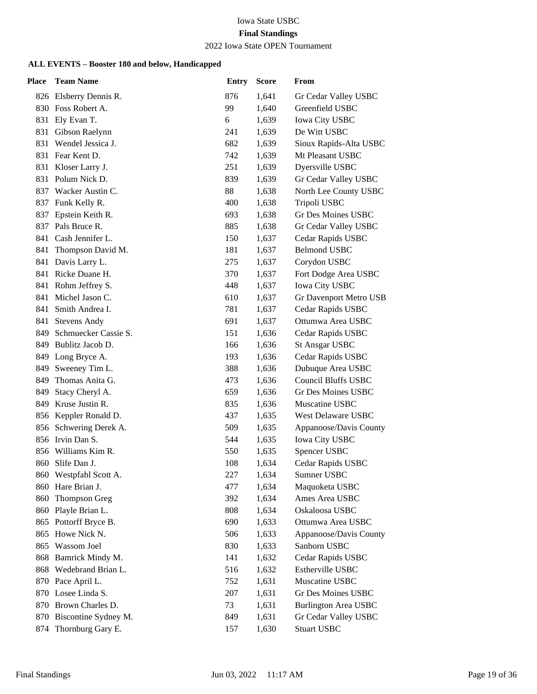#### 2022 Iowa State OPEN Tournament

| <b>Place</b> | <b>Team Name</b>                                 | <b>Entry</b> | <b>Score</b>   | From                                       |
|--------------|--------------------------------------------------|--------------|----------------|--------------------------------------------|
|              | 826 Elsberry Dennis R.                           | 876          | 1,641          | Gr Cedar Valley USBC                       |
|              | 830 Foss Robert A.                               | 99           | 1,640          | Greenfield USBC                            |
| 831          | Ely Evan T.                                      | 6            | 1,639          | <b>Iowa City USBC</b>                      |
|              | 831 Gibson Raelynn                               | 241          | 1,639          | De Witt USBC                               |
| 831          | Wendel Jessica J.                                | 682          | 1,639          | Sioux Rapids-Alta USBC                     |
|              | 831 Fear Kent D.                                 | 742          | 1,639          | Mt Pleasant USBC                           |
| 831          | Kloser Larry J.                                  | 251          | 1,639          | Dyersville USBC                            |
|              | 831 Polum Nick D.                                | 839          | 1,639          | Gr Cedar Valley USBC                       |
|              | 837 Wacker Austin C.                             | 88           | 1,638          | North Lee County USBC                      |
|              | 837 Funk Kelly R.                                | 400          | 1,638          | Tripoli USBC                               |
| 837          | Epstein Keith R.                                 | 693          | 1,638          | <b>Gr Des Moines USBC</b>                  |
| 837          | Pals Bruce R.                                    | 885          | 1,638          | Gr Cedar Valley USBC                       |
|              | 841 Cash Jennifer L.                             | 150          | 1,637          | Cedar Rapids USBC                          |
| 841          | Thompson David M.                                | 181          | 1,637          | <b>Belmond USBC</b>                        |
| 841          | Davis Larry L.                                   | 275          | 1,637          | Corydon USBC                               |
|              | 841 Ricke Duane H.                               | 370          | 1,637          | Fort Dodge Area USBC                       |
|              | 841 Rohm Jeffrey S.                              | 448          | 1,637          | <b>Iowa City USBC</b>                      |
| 841          | Michel Jason C.                                  | 610          | 1,637          | Gr Davenport Metro USB                     |
| 841          | Smith Andrea I.                                  | 781          | 1,637          | Cedar Rapids USBC                          |
|              | 841 Stevens Andy                                 | 691          | 1,637          | Ottumwa Area USBC                          |
| 849          | Schmuecker Cassie S.                             | 151          | 1,636          | Cedar Rapids USBC                          |
|              | 849 Bublitz Jacob D.                             | 166          | 1,636          | <b>St Ansgar USBC</b>                      |
|              | 849 Long Bryce A.                                | 193          | 1,636          | Cedar Rapids USBC                          |
|              | 849 Sweeney Tim L.                               | 388          | 1,636          | Dubuque Area USBC                          |
|              | 849 Thomas Anita G.                              | 473          | 1,636          | <b>Council Bluffs USBC</b>                 |
| 849          | Stacy Cheryl A.                                  | 659          | 1,636          | Gr Des Moines USBC                         |
| 849          | Kruse Justin R.                                  | 835          | 1,636          | Muscatine USBC                             |
|              | 856 Keppler Ronald D.                            | 437          | 1,635          | West Delaware USBC                         |
| 856          | Schwering Derek A.                               | 509          | 1,635          | Appanoose/Davis County                     |
|              | 856 Irvin Dan S.                                 | 544          | 1,635          | <b>Iowa City USBC</b>                      |
| 856          | Williams Kim R.                                  | 550          | 1,635          | Spencer USBC                               |
| 860          | Slife Dan J.                                     | 108          | 1,634          | Cedar Rapids USBC                          |
|              | 860 Westpfahl Scott A.                           | 227          | 1,634          | Sumner USBC                                |
| 860          | Hare Brian J.                                    | 477          | 1,634          | Maquoketa USBC                             |
| 860          | Thompson Greg                                    | 392          | 1,634          | Ames Area USBC                             |
|              | 860 Playle Brian L.                              | 808          | 1,634          | Oskaloosa USBC                             |
|              | 865 Pottorff Bryce B.                            | 690          | 1,633          | Ottumwa Area USBC                          |
| 865          | Howe Nick N.                                     | 506          | 1,633          | Appanoose/Davis County                     |
| 865          | Wassom Joel                                      | 830          | 1,633          | Sanborn USBC                               |
|              | 868 Bamrick Mindy M.                             | 141          | 1,632          | Cedar Rapids USBC                          |
| 868          | Wedebrand Brian L.                               | 516          | 1,632          | Estherville USBC                           |
|              | 870 Pace April L.                                | 752          | 1,631          | Muscatine USBC                             |
|              | 870 Losee Linda S.                               | 207          | 1,631          | <b>Gr Des Moines USBC</b>                  |
|              | 870 Brown Charles D.<br>870 Biscontine Sydney M. | 73           | 1,631          | <b>Burlington Area USBC</b>                |
|              | Thornburg Gary E.                                | 849<br>157   | 1,631<br>1,630 | Gr Cedar Valley USBC<br><b>Stuart USBC</b> |
| 874          |                                                  |              |                |                                            |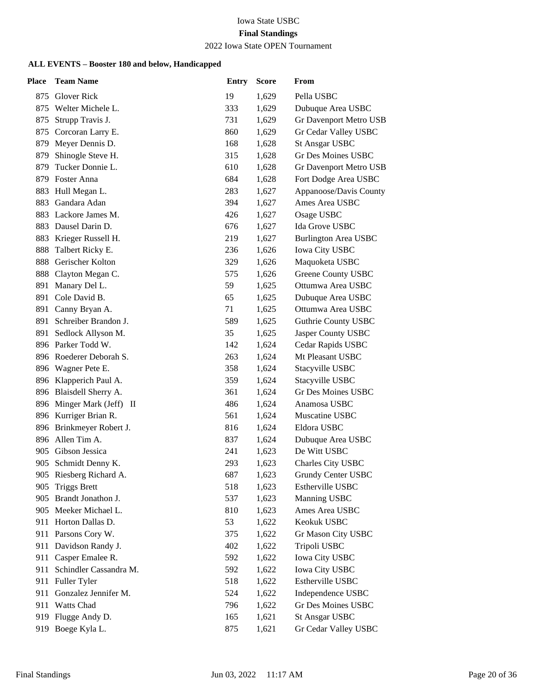#### 2022 Iowa State OPEN Tournament

| Place | <b>Team Name</b>          | <b>Entry</b> | <b>Score</b> | From                        |
|-------|---------------------------|--------------|--------------|-----------------------------|
| 875   | <b>Glover Rick</b>        | 19           | 1,629        | Pella USBC                  |
|       | 875 Welter Michele L.     | 333          | 1,629        | Dubuque Area USBC           |
| 875   | Strupp Travis J.          | 731          | 1,629        | Gr Davenport Metro USB      |
|       | 875 Corcoran Larry E.     | 860          | 1,629        | Gr Cedar Valley USBC        |
| 879   | Meyer Dennis D.           | 168          | 1,628        | <b>St Ansgar USBC</b>       |
| 879   | Shinogle Steve H.         | 315          | 1,628        | Gr Des Moines USBC          |
| 879   | Tucker Donnie L.          | 610          | 1,628        | Gr Davenport Metro USB      |
|       | 879 Foster Anna           | 684          | 1,628        | Fort Dodge Area USBC        |
| 883   | Hull Megan L.             | 283          | 1,627        | Appanoose/Davis County      |
| 883   | Gandara Adan              | 394          | 1,627        | Ames Area USBC              |
|       | 883 Lackore James M.      | 426          | 1,627        | Osage USBC                  |
|       | 883 Dausel Darin D.       | 676          | 1,627        | Ida Grove USBC              |
| 883   | Krieger Russell H.        | 219          | 1,627        | <b>Burlington Area USBC</b> |
| 888   | Talbert Ricky E.          | 236          | 1,626        | <b>Iowa City USBC</b>       |
| 888   | Gerischer Kolton          | 329          | 1,626        | Maquoketa USBC              |
|       | 888 Clayton Megan C.      | 575          | 1,626        | Greene County USBC          |
| 891   | Manary Del L.             | 59           | 1,625        | Ottumwa Area USBC           |
| 891   | Cole David B.             | 65           | 1,625        | Dubuque Area USBC           |
| 891   | Canny Bryan A.            | 71           | 1,625        | Ottumwa Area USBC           |
| 891   | Schreiber Brandon J.      | 589          | 1,625        | <b>Guthrie County USBC</b>  |
| 891   | Sedlock Allyson M.        | 35           | 1,625        | Jasper County USBC          |
|       | 896 Parker Todd W.        | 142          | 1,624        | Cedar Rapids USBC           |
|       | 896 Roederer Deborah S.   | 263          | 1,624        | Mt Pleasant USBC            |
|       | 896 Wagner Pete E.        | 358          | 1,624        | Stacyville USBC             |
|       | 896 Klapperich Paul A.    | 359          | 1,624        | Stacyville USBC             |
|       | 896 Blaisdell Sherry A.   | 361          | 1,624        | <b>Gr Des Moines USBC</b>   |
|       | 896 Minger Mark (Jeff) II | 486          | 1,624        | Anamosa USBC                |
|       | 896 Kurriger Brian R.     | 561          | 1,624        | Muscatine USBC              |
|       | 896 Brinkmeyer Robert J.  | 816          | 1,624        | Eldora USBC                 |
| 896   | Allen Tim A.              | 837          | 1,624        | Dubuque Area USBC           |
| 905   | Gibson Jessica            | 241          | 1,623        | De Witt USBC                |
| 905   | Schmidt Denny K.          | 293          | 1,623        | Charles City USBC           |
|       | 905 Riesberg Richard A.   | 687          | 1,623        | Grundy Center USBC          |
| 905   | <b>Triggs Brett</b>       | 518          | 1,623        | Estherville USBC            |
| 905   | Brandt Jonathon J.        | 537          | 1,623        | Manning USBC                |
|       | 905 Meeker Michael L.     | 810          | 1,623        | Ames Area USBC              |
| 911   | Horton Dallas D.          | 53           | 1,622        | Keokuk USBC                 |
|       | 911 Parsons Cory W.       | 375          | 1,622        | Gr Mason City USBC          |
|       | 911 Davidson Randy J.     | 402          | 1,622        | Tripoli USBC                |
|       | 911 Casper Emalee R.      | 592          | 1,622        | Iowa City USBC              |
| 911   | Schindler Cassandra M.    | 592          | 1,622        | Iowa City USBC              |
| 911   | Fuller Tyler              | 518          | 1,622        | Estherville USBC            |
| 911   | Gonzalez Jennifer M.      | 524          | 1,622        | Independence USBC           |
| 911   | Watts Chad                | 796          | 1,622        | Gr Des Moines USBC          |
| 919   | Flugge Andy D.            | 165          | 1,621        | <b>St Ansgar USBC</b>       |
| 919   | Boege Kyla L.             | 875          | 1,621        | Gr Cedar Valley USBC        |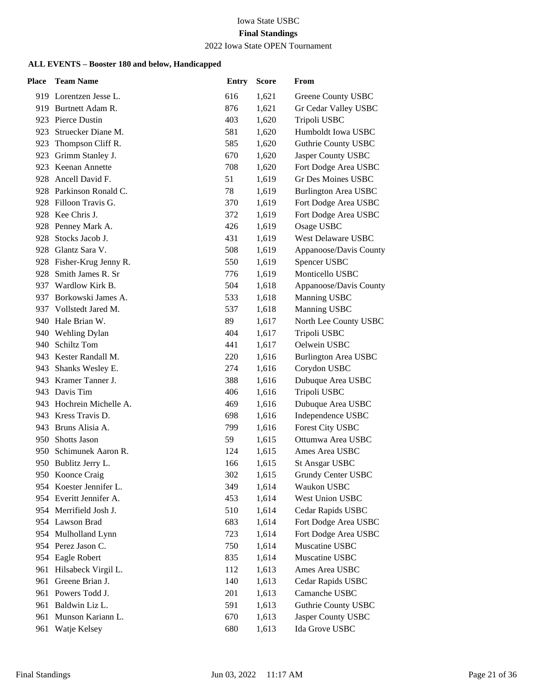#### 2022 Iowa State OPEN Tournament

| <b>Place</b> | <b>Team Name</b>         | <b>Entry</b> | <b>Score</b> | From                        |
|--------------|--------------------------|--------------|--------------|-----------------------------|
|              | 919 Lorentzen Jesse L.   | 616          | 1,621        | Greene County USBC          |
|              | 919 Burtnett Adam R.     | 876          | 1,621        | Gr Cedar Valley USBC        |
|              | 923 Pierce Dustin        | 403          | 1,620        | Tripoli USBC                |
|              | 923 Struecker Diane M.   | 581          | 1,620        | Humboldt Iowa USBC          |
|              | 923 Thompson Cliff R.    | 585          | 1,620        | Guthrie County USBC         |
| 923          | Grimm Stanley J.         | 670          | 1,620        | Jasper County USBC          |
|              | 923 Keenan Annette       | 708          | 1,620        | Fort Dodge Area USBC        |
|              | 928 Ancell David F.      | 51           | 1,619        | Gr Des Moines USBC          |
|              | 928 Parkinson Ronald C.  | 78           | 1,619        | <b>Burlington Area USBC</b> |
|              | 928 Filloon Travis G.    | 370          | 1,619        | Fort Dodge Area USBC        |
|              | 928 Kee Chris J.         | 372          | 1,619        | Fort Dodge Area USBC        |
|              | 928 Penney Mark A.       | 426          | 1,619        | Osage USBC                  |
| 928          | Stocks Jacob J.          | 431          | 1,619        | West Delaware USBC          |
| 928          | Glantz Sara V.           | 508          | 1,619        | Appanoose/Davis County      |
|              | 928 Fisher-Krug Jenny R. | 550          | 1,619        | Spencer USBC                |
|              | 928 Smith James R. Sr    | 776          | 1,619        | Monticello USBC             |
|              | 937 Wardlow Kirk B.      | 504          | 1,618        | Appanoose/Davis County      |
| 937          | Borkowski James A.       | 533          | 1,618        | Manning USBC                |
|              | 937 Vollstedt Jared M.   | 537          | 1,618        | Manning USBC                |
|              | 940 Hale Brian W.        | 89           | 1,617        | North Lee County USBC       |
|              | 940 Wehling Dylan        | 404          | 1,617        | Tripoli USBC                |
|              | 940 Schiltz Tom          | 441          | 1,617        | Oelwein USBC                |
|              | 943 Kester Randall M.    | 220          | 1,616        | <b>Burlington Area USBC</b> |
|              | 943 Shanks Wesley E.     | 274          | 1,616        | Corydon USBC                |
|              | 943 Kramer Tanner J.     | 388          | 1,616        | Dubuque Area USBC           |
|              | 943 Davis Tim            | 406          | 1,616        | Tripoli USBC                |
|              | 943 Hochrein Michelle A. | 469          | 1,616        | Dubuque Area USBC           |
|              | 943 Kress Travis D.      | 698          | 1,616        | Independence USBC           |
|              | 943 Bruns Alisia A.      | 799          | 1,616        | Forest City USBC            |
|              | 950 Shotts Jason         | 59           | 1,615        | Ottumwa Area USBC           |
| 950-         | Schimunek Aaron R.       | 124          | 1,615        | Ames Area USBC              |
|              | 950 Bublitz Jerry L.     | 166          | 1,615        | <b>St Ansgar USBC</b>       |
|              | 950 Koonce Craig         | 302          | 1,615        | <b>Grundy Center USBC</b>   |
|              | 954 Koester Jennifer L.  | 349          | 1,614        | Waukon USBC                 |
|              | 954 Everitt Jennifer A.  | 453          | 1,614        | West Union USBC             |
|              | 954 Merrifield Josh J.   | 510          | 1,614        | Cedar Rapids USBC           |
|              | 954 Lawson Brad          | 683          | 1,614        | Fort Dodge Area USBC        |
|              | 954 Mulholland Lynn      | 723          | 1,614        | Fort Dodge Area USBC        |
|              | 954 Perez Jason C.       | 750          | 1,614        | Muscatine USBC              |
|              | 954 Eagle Robert         | 835          | 1,614        | Muscatine USBC              |
| 961          | Hilsabeck Virgil L.      | 112          | 1,613        | Ames Area USBC              |
| 961          | Greene Brian J.          | 140          | 1,613        | Cedar Rapids USBC           |
|              | 961 Powers Todd J.       | 201          | 1,613        | Camanche USBC               |
|              | 961 Baldwin Liz L.       | 591          | 1,613        | Guthrie County USBC         |
| 961          | Munson Kariann L.        | 670          | 1,613        | Jasper County USBC          |
| 961          | Watje Kelsey             | 680          | 1,613        | Ida Grove USBC              |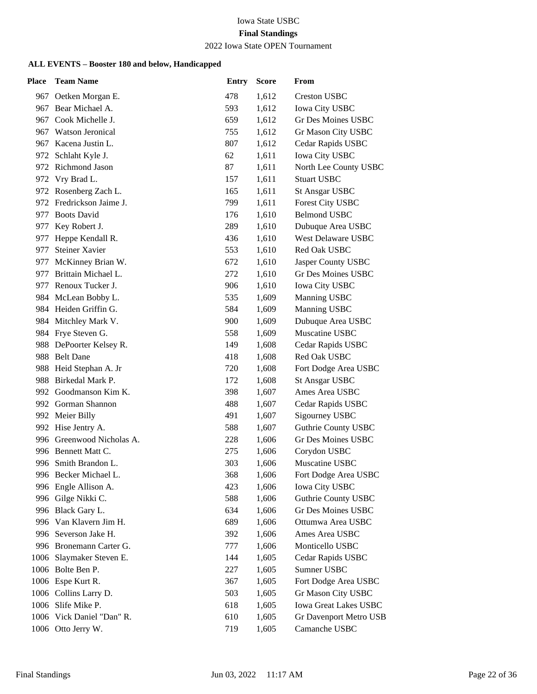# Iowa State USBC

# **Final Standings**

#### 2022 Iowa State OPEN Tournament

| <b>Place</b> | <b>Team Name</b>          | <b>Entry</b> | <b>Score</b> | From                       |
|--------------|---------------------------|--------------|--------------|----------------------------|
|              | 967 Oetken Morgan E.      | 478          | 1,612        | <b>Creston USBC</b>        |
| 967          | Bear Michael A.           | 593          | 1,612        | Iowa City USBC             |
| 967          | Cook Michelle J.          | 659          | 1,612        | Gr Des Moines USBC         |
|              | 967 Watson Jeronical      | 755          | 1,612        | Gr Mason City USBC         |
|              | 967 Kacena Justin L.      | 807          | 1,612        | Cedar Rapids USBC          |
| 972          | Schlaht Kyle J.           | 62           | 1,611        | Iowa City USBC             |
|              | 972 Richmond Jason        | 87           | 1,611        | North Lee County USBC      |
|              | 972 Vry Brad L.           | 157          | 1,611        | <b>Stuart USBC</b>         |
|              | 972 Rosenberg Zach L.     | 165          | 1,611        | <b>St Ansgar USBC</b>      |
|              | 972 Fredrickson Jaime J.  | 799          | 1,611        | <b>Forest City USBC</b>    |
| 977          | <b>Boots David</b>        | 176          | 1,610        | <b>Belmond USBC</b>        |
|              | 977 Key Robert J.         | 289          | 1,610        | Dubuque Area USBC          |
| 977          | Heppe Kendall R.          | 436          | 1,610        | West Delaware USBC         |
| 977          | <b>Steiner Xavier</b>     | 553          | 1,610        | <b>Red Oak USBC</b>        |
| 977          | McKinney Brian W.         | 672          | 1,610        | Jasper County USBC         |
|              | 977 Brittain Michael L.   | 272          | 1,610        | <b>Gr Des Moines USBC</b>  |
|              | 977 Renoux Tucker J.      | 906          | 1,610        | <b>Iowa City USBC</b>      |
|              | 984 McLean Bobby L.       | 535          | 1,609        | Manning USBC               |
|              | 984 Heiden Griffin G.     | 584          | 1,609        | Manning USBC               |
|              | 984 Mitchley Mark V.      | 900          | 1,609        | Dubuque Area USBC          |
|              | 984 Frye Steven G.        | 558          | 1,609        | Muscatine USBC             |
| 988          | DePoorter Kelsey R.       | 149          | 1,608        | Cedar Rapids USBC          |
|              | 988 Belt Dane             | 418          | 1,608        | Red Oak USBC               |
|              | 988 Heid Stephan A. Jr    | 720          | 1,608        | Fort Dodge Area USBC       |
|              | 988 Birkedal Mark P.      | 172          | 1,608        | <b>St Ansgar USBC</b>      |
| 992          | Goodmanson Kim K.         | 398          | 1,607        | Ames Area USBC             |
|              | 992 Gorman Shannon        | 488          | 1,607        | Cedar Rapids USBC          |
|              | 992 Meier Billy           | 491          | 1,607        | Sigourney USBC             |
|              | 992 Hise Jentry A.        | 588          | 1,607        | <b>Guthrie County USBC</b> |
|              | 996 Greenwood Nicholas A. | 228          | 1,606        | <b>Gr Des Moines USBC</b>  |
|              | 996 Bennett Matt C.       | 275          | 1,606        | Corydon USBC               |
|              | 996 Smith Brandon L.      | 303          | 1,606        | Muscatine USBC             |
|              | 996 Becker Michael L.     | 368          | 1,606        | Fort Dodge Area USBC       |
|              | 996 Engle Allison A.      | 423          | 1,606        | <b>Iowa City USBC</b>      |
|              | 996 Gilge Nikki C.        | 588          | 1,606        | Guthrie County USBC        |
|              | 996 Black Gary L.         | 634          | 1,606        | Gr Des Moines USBC         |
|              | 996 Van Klavern Jim H.    | 689          | 1,606        | Ottumwa Area USBC          |
|              | 996 Severson Jake H.      | 392          | 1,606        | Ames Area USBC             |
|              | 996 Bronemann Carter G.   | 777          | 1,606        | Monticello USBC            |
|              | 1006 Slaymaker Steven E.  | 144          | 1,605        | Cedar Rapids USBC          |
|              | 1006 Bolte Ben P.         | 227          | 1,605        | Sumner USBC                |
|              | 1006 Espe Kurt R.         | 367          | 1,605        | Fort Dodge Area USBC       |
|              | 1006 Collins Larry D.     | 503          | 1,605        | Gr Mason City USBC         |
|              | 1006 Slife Mike P.        | 618          | 1,605        | Iowa Great Lakes USBC      |
|              | 1006 Vick Daniel "Dan" R. | 610          | 1,605        | Gr Davenport Metro USB     |
|              | 1006 Otto Jerry W.        | 719          | 1,605        | Camanche USBC              |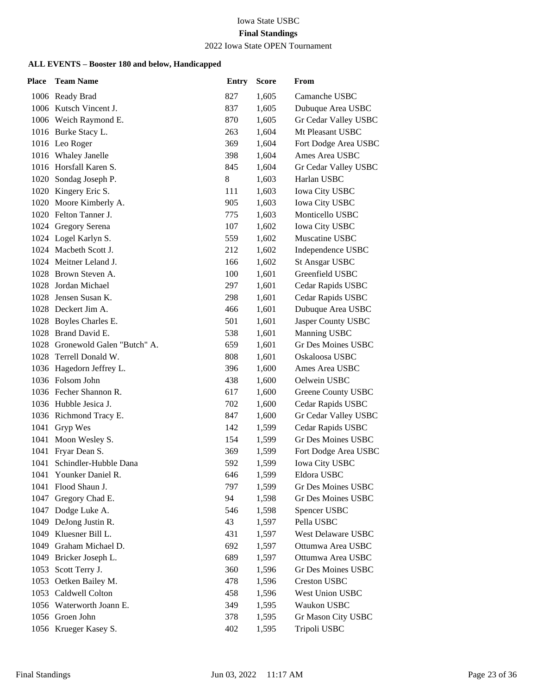### 2022 Iowa State OPEN Tournament

| <b>Place</b> | <b>Team Name</b>           | <b>Entry</b> | <b>Score</b> | From                      |
|--------------|----------------------------|--------------|--------------|---------------------------|
|              | 1006 Ready Brad            | 827          | 1,605        | Camanche USBC             |
|              | 1006 Kutsch Vincent J.     | 837          | 1,605        | Dubuque Area USBC         |
|              | 1006 Weich Raymond E.      | 870          | 1,605        | Gr Cedar Valley USBC      |
|              | 1016 Burke Stacy L.        | 263          | 1,604        | Mt Pleasant USBC          |
|              | 1016 Leo Roger             | 369          | 1,604        | Fort Dodge Area USBC      |
|              | 1016 Whaley Janelle        | 398          | 1,604        | Ames Area USBC            |
|              | 1016 Horsfall Karen S.     | 845          | 1,604        | Gr Cedar Valley USBC      |
|              | 1020 Sondag Joseph P.      | 8            | 1,603        | Harlan USBC               |
|              | 1020 Kingery Eric S.       | 111          | 1,603        | <b>Iowa City USBC</b>     |
|              | 1020 Moore Kimberly A.     | 905          | 1,603        | Iowa City USBC            |
|              | 1020 Felton Tanner J.      | 775          | 1,603        | Monticello USBC           |
|              | 1024 Gregory Serena        | 107          | 1,602        | <b>Iowa City USBC</b>     |
|              | 1024 Logel Karlyn S.       | 559          | 1,602        | Muscatine USBC            |
|              | 1024 Macbeth Scott J.      | 212          | 1,602        | Independence USBC         |
|              | 1024 Meitner Leland J.     | 166          | 1,602        | <b>St Ansgar USBC</b>     |
|              | 1028 Brown Steven A.       | 100          | 1,601        | Greenfield USBC           |
|              | 1028 Jordan Michael        | 297          | 1,601        | Cedar Rapids USBC         |
| 1028         | Jensen Susan K.            | 298          | 1,601        | Cedar Rapids USBC         |
|              | 1028 Deckert Jim A.        | 466          | 1,601        | Dubuque Area USBC         |
|              | 1028 Boyles Charles E.     | 501          | 1,601        | Jasper County USBC        |
|              | 1028 Brand David E.        | 538          | 1,601        | Manning USBC              |
| 1028         | Gronewold Galen "Butch" A. | 659          | 1,601        | Gr Des Moines USBC        |
|              | 1028 Terrell Donald W.     | 808          | 1,601        | Oskaloosa USBC            |
|              | 1036 Hagedorn Jeffrey L.   | 396          | 1,600        | Ames Area USBC            |
|              | 1036 Folsom John           | 438          | 1,600        | Oelwein USBC              |
|              | 1036 Fecher Shannon R.     | 617          | 1,600        | Greene County USBC        |
|              | 1036 Hubble Jesica J.      | 702          | 1,600        | Cedar Rapids USBC         |
|              | 1036 Richmond Tracy E.     | 847          | 1,600        | Gr Cedar Valley USBC      |
|              | 1041 Gryp Wes              | 142          | 1,599        | Cedar Rapids USBC         |
| 1041         | Moon Wesley S.             | 154          | 1,599        | <b>Gr Des Moines USBC</b> |
| 1041         | Fryar Dean S.              | 369          | 1,599        | Fort Dodge Area USBC      |
| 1041         | Schindler-Hubble Dana      | 592          | 1,599        | <b>Iowa City USBC</b>     |
|              | 1041 Younker Daniel R.     | 646          | 1,599        | Eldora USBC               |
| 1041         | Flood Shaun J.             | 797          | 1,599        | Gr Des Moines USBC        |
| 1047         | Gregory Chad E.            | 94           | 1,598        | Gr Des Moines USBC        |
|              | 1047 Dodge Luke A.         | 546          | 1,598        | Spencer USBC              |
| 1049         | DeJong Justin R.           | 43           | 1,597        | Pella USBC                |
|              | 1049 Kluesner Bill L.      | 431          | 1,597        | West Delaware USBC        |
| 1049         | Graham Michael D.          | 692          | 1,597        | Ottumwa Area USBC         |
| 1049         | Bricker Joseph L.          | 689          | 1,597        | Ottumwa Area USBC         |
| 1053         | Scott Terry J.             | 360          | 1,596        | Gr Des Moines USBC        |
| 1053         | Oetken Bailey M.           | 478          | 1,596        | <b>Creston USBC</b>       |
|              | 1053 Caldwell Colton       | 458          | 1,596        | West Union USBC           |
|              | 1056 Waterworth Joann E.   | 349          | 1,595        | Waukon USBC               |
|              | 1056 Groen John            | 378          | 1,595        | Gr Mason City USBC        |
|              | 1056 Krueger Kasey S.      | 402          | 1,595        | Tripoli USBC              |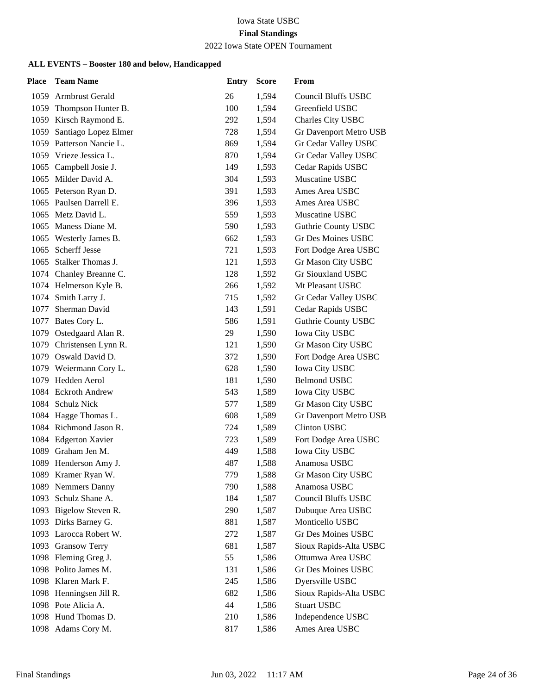#### 2022 Iowa State OPEN Tournament

| Place | <b>Team Name</b>         | <b>Entry</b> | <b>Score</b> | From                       |
|-------|--------------------------|--------------|--------------|----------------------------|
|       | 1059 Armbrust Gerald     | 26           | 1,594        | <b>Council Bluffs USBC</b> |
|       | 1059 Thompson Hunter B.  | 100          | 1,594        | Greenfield USBC            |
|       | 1059 Kirsch Raymond E.   | 292          | 1,594        | Charles City USBC          |
| 1059  | Santiago Lopez Elmer     | 728          | 1,594        | Gr Davenport Metro USB     |
|       | 1059 Patterson Nancie L. | 869          | 1,594        | Gr Cedar Valley USBC       |
|       | 1059 Vrieze Jessica L.   | 870          | 1,594        | Gr Cedar Valley USBC       |
|       | 1065 Campbell Josie J.   | 149          | 1,593        | Cedar Rapids USBC          |
|       | 1065 Milder David A.     | 304          | 1,593        | Muscatine USBC             |
|       | 1065 Peterson Ryan D.    | 391          | 1,593        | Ames Area USBC             |
|       | 1065 Paulsen Darrell E.  | 396          | 1,593        | Ames Area USBC             |
|       | 1065 Metz David L.       | 559          | 1,593        | Muscatine USBC             |
|       | 1065 Maness Diane M.     | 590          | 1,593        | <b>Guthrie County USBC</b> |
|       | 1065 Westerly James B.   | 662          | 1,593        | <b>Gr Des Moines USBC</b>  |
| 1065  | <b>Scherff Jesse</b>     | 721          | 1,593        | Fort Dodge Area USBC       |
|       | 1065 Stalker Thomas J.   | 121          | 1,593        | Gr Mason City USBC         |
|       | 1074 Chanley Breanne C.  | 128          | 1,592        | Gr Siouxland USBC          |
|       | 1074 Helmerson Kyle B.   | 266          | 1,592        | Mt Pleasant USBC           |
|       | 1074 Smith Larry J.      | 715          | 1,592        | Gr Cedar Valley USBC       |
| 1077  | Sherman David            | 143          | 1,591        | Cedar Rapids USBC          |
|       | 1077 Bates Cory L.       | 586          | 1,591        | <b>Guthrie County USBC</b> |
|       | 1079 Ostedgaard Alan R.  | 29           | 1,590        | Iowa City USBC             |
|       | 1079 Christensen Lynn R. | 121          | 1,590        | Gr Mason City USBC         |
|       | 1079 Oswald David D.     | 372          | 1,590        | Fort Dodge Area USBC       |
|       | 1079 Weiermann Cory L.   | 628          | 1,590        | <b>Iowa City USBC</b>      |
|       | 1079 Hedden Aerol        | 181          | 1,590        | <b>Belmond USBC</b>        |
|       | 1084 Eckroth Andrew      | 543          | 1,589        | <b>Iowa City USBC</b>      |
|       | 1084 Schulz Nick         | 577          | 1,589        | Gr Mason City USBC         |
|       | 1084 Hagge Thomas L.     | 608          | 1,589        | Gr Davenport Metro USB     |
|       | 1084 Richmond Jason R.   | 724          | 1,589        | <b>Clinton USBC</b>        |
|       | 1084 Edgerton Xavier     | 723          | 1,589        | Fort Dodge Area USBC       |
| 1089  | Graham Jen M.            | 449          | 1,588        | Iowa City USBC             |
|       | 1089 Henderson Amy J.    | 487          | 1,588        | Anamosa USBC               |
|       | 1089 Kramer Ryan W.      | 779          | 1,588        | Gr Mason City USBC         |
|       | 1089 Nemmers Danny       | 790          | 1,588        | Anamosa USBC               |
| 1093  | Schulz Shane A.          | 184          | 1,587        | <b>Council Bluffs USBC</b> |
|       | 1093 Bigelow Steven R.   | 290          | 1,587        | Dubuque Area USBC          |
|       | 1093 Dirks Barney G.     | 881          | 1,587        | Monticello USBC            |
|       | 1093 Larocca Robert W.   | 272          | 1,587        | <b>Gr Des Moines USBC</b>  |
|       | 1093 Gransow Terry       | 681          | 1,587        | Sioux Rapids-Alta USBC     |
|       | 1098 Fleming Greg J.     | 55           | 1,586        | Ottumwa Area USBC          |
|       | 1098 Polito James M.     | 131          | 1,586        | <b>Gr Des Moines USBC</b>  |
|       | 1098 Klaren Mark F.      | 245          | 1,586        | Dyersville USBC            |
|       | 1098 Henningsen Jill R.  | 682          | 1,586        | Sioux Rapids-Alta USBC     |
|       | 1098 Pote Alicia A.      | 44           | 1,586        | <b>Stuart USBC</b>         |
|       | 1098 Hund Thomas D.      | 210          | 1,586        | Independence USBC          |
|       | 1098 Adams Cory M.       | 817          | 1,586        | Ames Area USBC             |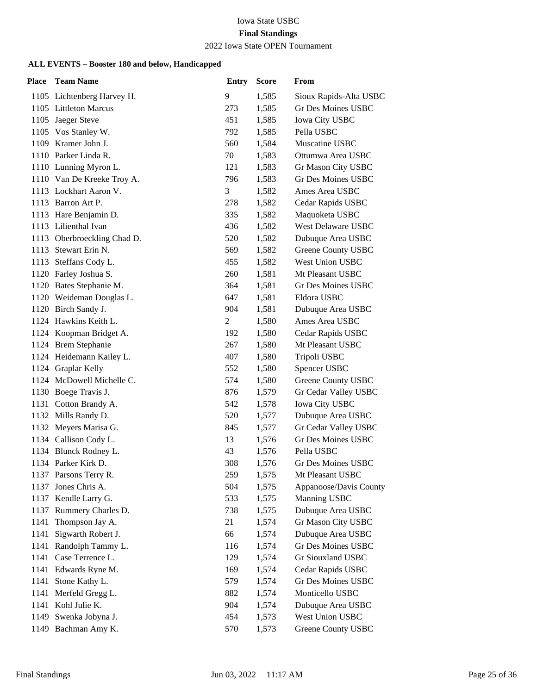#### 2022 Iowa State OPEN Tournament

| Place | <b>Team Name</b>            | <b>Entry</b> | <b>Score</b> | From                      |
|-------|-----------------------------|--------------|--------------|---------------------------|
|       | 1105 Lichtenberg Harvey H.  | 9            | 1,585        | Sioux Rapids-Alta USBC    |
|       | 1105 Littleton Marcus       | 273          | 1,585        | Gr Des Moines USBC        |
|       | 1105 Jaeger Steve           | 451          | 1,585        | Iowa City USBC            |
|       | 1105 Vos Stanley W.         | 792          | 1,585        | Pella USBC                |
|       | 1109 Kramer John J.         | 560          | 1,584        | Muscatine USBC            |
|       | 1110 Parker Linda R.        | 70           | 1,583        | Ottumwa Area USBC         |
|       | 1110 Lunning Myron L.       | 121          | 1,583        | Gr Mason City USBC        |
|       | 1110 Van De Kreeke Troy A.  | 796          | 1,583        | Gr Des Moines USBC        |
|       | 1113 Lockhart Aaron V.      | 3            | 1,582        | Ames Area USBC            |
|       | 1113 Barron Art P.          | 278          | 1,582        | Cedar Rapids USBC         |
|       | 1113 Hare Benjamin D.       | 335          | 1,582        | Maquoketa USBC            |
|       | 1113 Lilienthal Ivan        | 436          | 1,582        | West Delaware USBC        |
|       | 1113 Oberbroeckling Chad D. | 520          | 1,582        | Dubuque Area USBC         |
|       | 1113 Stewart Erin N.        | 569          | 1,582        | Greene County USBC        |
| 1113  | Steffans Cody L.            | 455          | 1,582        | West Union USBC           |
|       | 1120 Farley Joshua S.       | 260          | 1,581        | Mt Pleasant USBC          |
|       | 1120 Bates Stephanie M.     | 364          | 1,581        | Gr Des Moines USBC        |
|       | 1120 Weideman Douglas L.    | 647          | 1,581        | Eldora USBC               |
|       | 1120 Birch Sandy J.         | 904          | 1,581        | Dubuque Area USBC         |
|       | 1124 Hawkins Keith L.       | 2            | 1,580        | Ames Area USBC            |
|       | 1124 Koopman Bridget A.     | 192          | 1,580        | Cedar Rapids USBC         |
|       | 1124 Brem Stephanie         | 267          | 1,580        | Mt Pleasant USBC          |
|       | 1124 Heidemann Kailey L.    | 407          | 1,580        | Tripoli USBC              |
|       | 1124 Graplar Kelly          | 552          | 1,580        | Spencer USBC              |
|       | 1124 McDowell Michelle C.   | 574          | 1,580        | Greene County USBC        |
|       | 1130 Boege Travis J.        | 876          | 1,579        | Gr Cedar Valley USBC      |
|       | 1131 Cotton Brandy A.       | 542          | 1,578        | Iowa City USBC            |
|       | 1132 Mills Randy D.         | 520          | 1,577        | Dubuque Area USBC         |
|       | 1132 Meyers Marisa G.       | 845          | 1,577        | Gr Cedar Valley USBC      |
|       | 1134 Callison Cody L.       | 13           | 1,576        | Gr Des Moines USBC        |
|       | 1134 Blunck Rodney L.       | 43           | 1,576        | Pella USBC                |
|       | 1134 Parker Kirk D.         | 308          | 1,576        | Gr Des Moines USBC        |
|       | 1137 Parsons Terry R.       | 259          | 1,575        | Mt Pleasant USBC          |
| 1137  | Jones Chris A.              | 504          | 1,575        | Appanoose/Davis County    |
|       | 1137 Kendle Larry G.        | 533          | 1,575        | Manning USBC              |
|       | 1137 Rummery Charles D.     | 738          | 1,575        | Dubuque Area USBC         |
| 1141  | Thompson Jay A.             | 21           | 1,574        | Gr Mason City USBC        |
| 1141  | Sigwarth Robert J.          | 66           | 1,574        | Dubuque Area USBC         |
| 1141  | Randolph Tammy L.           | 116          | 1,574        | <b>Gr Des Moines USBC</b> |
|       | 1141 Case Terrence L.       | 129          | 1,574        | Gr Siouxland USBC         |
| 1141  | Edwards Ryne M.             | 169          | 1,574        | Cedar Rapids USBC         |
| 1141  | Stone Kathy L.              | 579          | 1,574        | Gr Des Moines USBC        |
| 1141  | Merfeld Gregg L.            | 882          | 1,574        | Monticello USBC           |
| 1141  | Kohl Julie K.               | 904          | 1,574        | Dubuque Area USBC         |
| 1149  | Swenka Jobyna J.            | 454          | 1,573        | West Union USBC           |
| 1149  | Bachman Amy K.              | 570          | 1,573        | Greene County USBC        |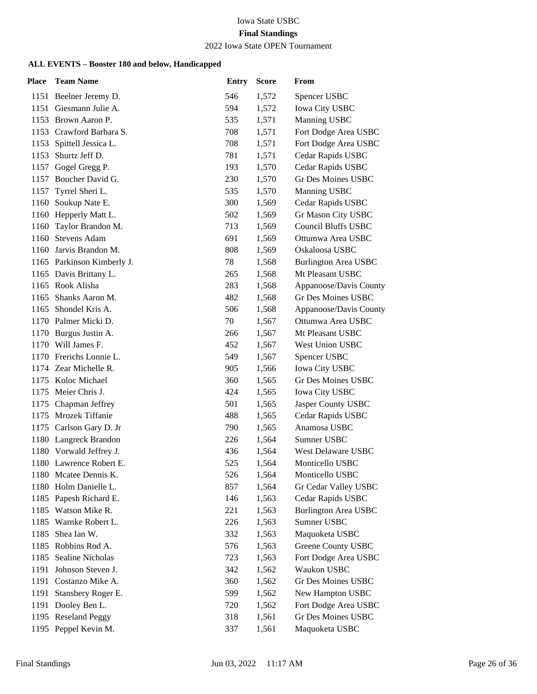# 2022 Iowa State OPEN Tournament

| <b>Place</b> | <b>Team Name</b>           | <b>Entry</b> | <b>Score</b> | From                        |
|--------------|----------------------------|--------------|--------------|-----------------------------|
|              | 1151 Beelner Jeremy D.     | 546          | 1,572        | Spencer USBC                |
| 1151         | Giesmann Julie A.          | 594          | 1,572        | <b>Iowa City USBC</b>       |
|              | 1153 Brown Aaron P.        | 535          | 1,571        | Manning USBC                |
|              | 1153 Crawford Barbara S.   | 708          | 1,571        | Fort Dodge Area USBC        |
|              | 1153 Spittell Jessica L.   | 708          | 1,571        | Fort Dodge Area USBC        |
| 1153         | Shurtz Jeff D.             | 781          | 1,571        | Cedar Rapids USBC           |
| 1157         | Gogel Gregg P.             | 193          | 1,570        | Cedar Rapids USBC           |
|              | 1157 Boucher David G.      | 230          | 1,570        | <b>Gr Des Moines USBC</b>   |
| 1157         | Tyrrel Sheri L.            | 535          | 1,570        | Manning USBC                |
| 1160         | Soukup Nate E.             | 300          | 1,569        | Cedar Rapids USBC           |
|              | 1160 Hepperly Matt L.      | 502          | 1,569        | Gr Mason City USBC          |
|              | 1160 Taylor Brandon M.     | 713          | 1,569        | <b>Council Bluffs USBC</b>  |
|              | 1160 Stevens Adam          | 691          | 1,569        | Ottumwa Area USBC           |
|              | 1160 Jarvis Brandon M.     | 808          | 1,569        | Oskaloosa USBC              |
|              | 1165 Parkinson Kimberly J. | 78           | 1,568        | <b>Burlington Area USBC</b> |
|              | 1165 Davis Brittany L.     | 265          | 1,568        | Mt Pleasant USBC            |
|              | 1165 Rook Alisha           | 283          | 1,568        | Appanoose/Davis County      |
|              | 1165 Shanks Aaron M.       | 482          | 1,568        | <b>Gr Des Moines USBC</b>   |
|              | 1165 Shondel Kris A.       | 506          | 1,568        | Appanoose/Davis County      |
|              | 1170 Palmer Micki D.       | 70           | 1,567        | Ottumwa Area USBC           |
|              | 1170 Burgus Justin A.      | 266          | 1,567        | Mt Pleasant USBC            |
|              | 1170 Will James F.         | 452          | 1,567        | <b>West Union USBC</b>      |
|              | 1170 Frerichs Lonnie L.    | 549          | 1,567        | Spencer USBC                |
|              | 1174 Zear Michelle R.      | 905          | 1,566        | Iowa City USBC              |
|              | 1175 Koloc Michael         | 360          | 1,565        | <b>Gr Des Moines USBC</b>   |
|              | 1175 Meier Chris J.        | 424          | 1,565        | <b>Iowa City USBC</b>       |
|              | 1175 Chapman Jeffrey       | 501          | 1,565        | Jasper County USBC          |
|              | 1175 Mrozek Tiffanie       | 488          | 1,565        | Cedar Rapids USBC           |
|              | 1175 Carlson Gary D. Jr    | 790          | 1,565        | Anamosa USBC                |
|              | 1180 Langreck Brandon      | 226          | 1,564        | Sumner USBC                 |
|              | 1180 Vorwald Jeffrey J.    | 436          | 1,564        | <b>West Delaware USBC</b>   |
|              | 1180 Lawrence Robert E.    | 525          | 1,564        | Monticello USBC             |
|              | 1180 Mcatee Dennis K.      | 526          | 1,564        | Monticello USBC             |
|              | 1180 Holm Danielle L.      | 857          | 1,564        | Gr Cedar Valley USBC        |
| 1185         | Papesh Richard E.          | 146          | 1,563        | Cedar Rapids USBC           |
|              | 1185 Watson Mike R.        | 221          | 1,563        | <b>Burlington Area USBC</b> |
| 1185         | Warnke Robert L.           | 226          | 1,563        | Sumner USBC                 |
| 1185         | Shea Ian W.                | 332          | 1,563        | Maquoketa USBC              |
| 1185         | Robbins Rod A.             | 576          | 1,563        | <b>Greene County USBC</b>   |
|              | 1185 Sealine Nicholas      | 723          | 1,563        | Fort Dodge Area USBC        |
| 1191         | Johnson Steven J.          | 342          | 1,562        | Waukon USBC                 |
| 1191         | Costanzo Mike A.           | 360          | 1,562        | Gr Des Moines USBC          |
| 1191         | Stansbery Roger E.         | 599          | 1,562        | New Hampton USBC            |
|              | 1191 Dooley Ben L.         | 720          | 1,562        | Fort Dodge Area USBC        |
|              | 1195 Reseland Peggy        | 318          | 1,561        | Gr Des Moines USBC          |
| 1195         | Peppel Kevin M.            | 337          | 1,561        | Maquoketa USBC              |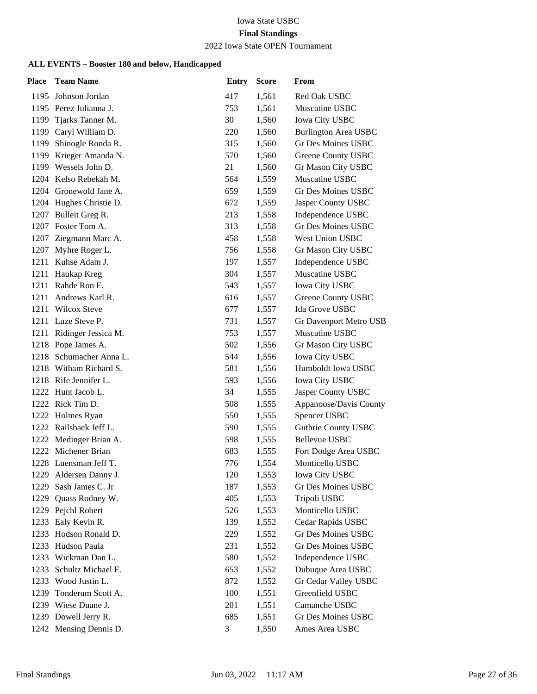# 2022 Iowa State OPEN Tournament

| Place | <b>Team Name</b>        | <b>Entry</b> | <b>Score</b> | From                        |
|-------|-------------------------|--------------|--------------|-----------------------------|
| 1195  | Johnson Jordan          | 417          | 1,561        | Red Oak USBC                |
|       | 1195 Perez Julianna J.  | 753          | 1,561        | Muscatine USBC              |
| 1199  | Tjarks Tanner M.        | 30           | 1,560        | <b>Iowa City USBC</b>       |
|       | 1199 Caryl William D.   | 220          | 1,560        | <b>Burlington Area USBC</b> |
| 1199  | Shinogle Ronda R.       | 315          | 1,560        | <b>Gr Des Moines USBC</b>   |
| 1199  | Krieger Amanda N.       | 570          | 1,560        | Greene County USBC          |
| 1199  | Wessels John D.         | 21           | 1,560        | Gr Mason City USBC          |
|       | 1204 Kelso Rebekah M.   | 564          | 1,559        | Muscatine USBC              |
|       | 1204 Gronewold Jane A.  | 659          | 1,559        | <b>Gr Des Moines USBC</b>   |
|       | 1204 Hughes Christie D. | 672          | 1,559        | Jasper County USBC          |
|       | 1207 Bulleit Greg R.    | 213          | 1,558        | Independence USBC           |
|       | 1207 Foster Tom A.      | 313          | 1,558        | <b>Gr Des Moines USBC</b>   |
|       | 1207 Ziegmann Marc A.   | 458          | 1,558        | West Union USBC             |
| 1207  | Myhre Roger L.          | 756          | 1,558        | Gr Mason City USBC          |
|       | 1211 Kuhse Adam J.      | 197          | 1,557        | Independence USBC           |
|       | 1211 Haukap Kreg        | 304          | 1,557        | Muscatine USBC              |
| 1211  | Rahde Ron E.            | 543          | 1,557        | Iowa City USBC              |
| 1211  | Andrews Karl R.         | 616          | 1,557        | Greene County USBC          |
| 1211  | <b>Wilcox Steve</b>     | 677          | 1,557        | Ida Grove USBC              |
|       | 1211 Luze Steve P.      | 731          | 1,557        | Gr Davenport Metro USB      |
| 1211  | Ridinger Jessica M.     | 753          | 1,557        | Muscatine USBC              |
| 1218  | Pope James A.           | 502          | 1,556        | Gr Mason City USBC          |
|       | 1218 Schumacher Anna L. | 544          | 1,556        | <b>Iowa City USBC</b>       |
|       | 1218 Witham Richard S.  | 581          | 1,556        | Humboldt Iowa USBC          |
|       | 1218 Rife Jennifer L.   | 593          | 1,556        | Iowa City USBC              |
| 1222  | Hunt Jacob L.           | 34           | 1,555        | Jasper County USBC          |
|       | 1222 Rick Tim D.        | 508          | 1,555        | Appanoose/Davis County      |
|       | 1222 Holmes Ryan        | 550          | 1,555        | Spencer USBC                |
|       | 1222 Railsback Jeff L.  | 590          | 1,555        | <b>Guthrie County USBC</b>  |
| 1222  | Medinger Brian A.       | 598          | 1,555        | <b>Bellevue USBC</b>        |
|       | 1222 Michener Brian     | 683          | 1,555        | Fort Dodge Area USBC        |
|       | 1228 Luensman Jeff T.   | 776          | 1,554        | Monticello USBC             |
| 1229  | Aldersen Danny J.       | 120          | 1,553        | <b>Iowa City USBC</b>       |
| 1229  | Sash James C. Jr        | 187          | 1,553        | Gr Des Moines USBC          |
| 1229  | Quass Rodney W.         | 405          | 1,553        | Tripoli USBC                |
|       | 1229 Pejchl Robert      | 526          | 1,553        | Monticello USBC             |
| 1233  | Ealy Kevin R.           | 139          | 1,552        | Cedar Rapids USBC           |
| 1233  | Hodson Ronald D.        | 229          | 1,552        | Gr Des Moines USBC          |
| 1233  | Hudson Paula            | 231          | 1,552        | Gr Des Moines USBC          |
| 1233  | Wickman Dan L.          | 580          | 1,552        | Independence USBC           |
| 1233  | Schultz Michael E.      | 653          | 1,552        | Dubuque Area USBC           |
| 1233  | Wood Justin L.          | 872          | 1,552        | Gr Cedar Valley USBC        |
| 1239  | Tonderum Scott A.       | 100          | 1,551        | Greenfield USBC             |
|       | 1239 Wiese Duane J.     | 201          | 1,551        | Camanche USBC               |
|       | 1239 Dowell Jerry R.    | 685          | 1,551        | Gr Des Moines USBC          |
|       | 1242 Mensing Dennis D.  | 3            | 1,550        | Ames Area USBC              |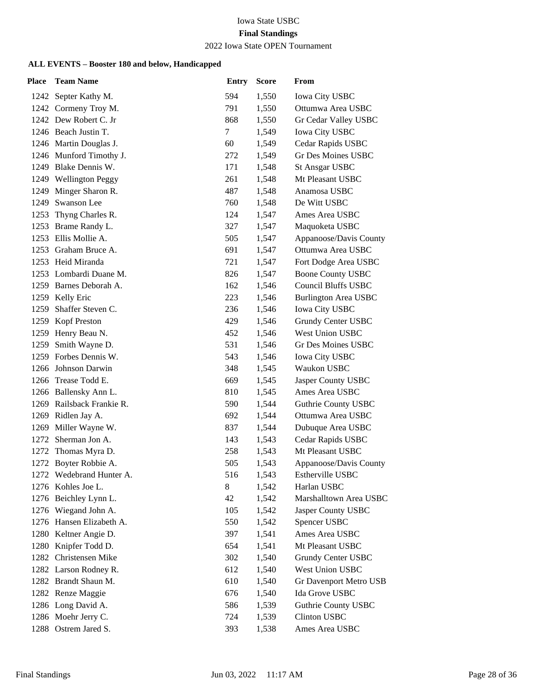#### 2022 Iowa State OPEN Tournament

| <b>Place</b> | <b>Team Name</b>          | <b>Entry</b> | <b>Score</b> | From                        |
|--------------|---------------------------|--------------|--------------|-----------------------------|
|              | 1242 Septer Kathy M.      | 594          | 1,550        | <b>Iowa City USBC</b>       |
|              | 1242 Cormeny Troy M.      | 791          | 1,550        | Ottumwa Area USBC           |
|              | 1242 Dew Robert C. Jr     | 868          | 1,550        | Gr Cedar Valley USBC        |
|              | 1246 Beach Justin T.      | $\tau$       | 1,549        | Iowa City USBC              |
|              | 1246 Martin Douglas J.    | 60           | 1,549        | Cedar Rapids USBC           |
|              | 1246 Munford Timothy J.   | 272          | 1,549        | <b>Gr Des Moines USBC</b>   |
|              | 1249 Blake Dennis W.      | 171          | 1,548        | <b>St Ansgar USBC</b>       |
|              | 1249 Wellington Peggy     | 261          | 1,548        | Mt Pleasant USBC            |
| 1249         | Minger Sharon R.          | 487          | 1,548        | Anamosa USBC                |
| 1249         | Swanson Lee               | 760          | 1,548        | De Witt USBC                |
| 1253         | Thyng Charles R.          | 124          | 1,547        | Ames Area USBC              |
|              | 1253 Brame Randy L.       | 327          | 1,547        | Maquoketa USBC              |
| 1253         | Ellis Mollie A.           | 505          | 1,547        | Appanoose/Davis County      |
|              | 1253 Graham Bruce A.      | 691          | 1,547        | Ottumwa Area USBC           |
|              | 1253 Heid Miranda         | 721          | 1,547        | Fort Dodge Area USBC        |
|              | 1253 Lombardi Duane M.    | 826          | 1,547        | <b>Boone County USBC</b>    |
|              | 1259 Barnes Deborah A.    | 162          | 1,546        | <b>Council Bluffs USBC</b>  |
| 1259         | Kelly Eric                | 223          | 1,546        | <b>Burlington Area USBC</b> |
| 1259         | Shaffer Steven C.         | 236          | 1,546        | <b>Iowa City USBC</b>       |
|              | 1259 Kopf Preston         | 429          | 1,546        | Grundy Center USBC          |
| 1259         | Henry Beau N.             | 452          | 1,546        | West Union USBC             |
| 1259         | Smith Wayne D.            | 531          | 1,546        | Gr Des Moines USBC          |
|              | 1259 Forbes Dennis W.     | 543          | 1,546        | <b>Iowa City USBC</b>       |
|              | 1266 Johnson Darwin       | 348          | 1,545        | Waukon USBC                 |
|              | 1266 Trease Todd E.       | 669          | 1,545        | Jasper County USBC          |
|              | 1266 Ballensky Ann L.     | 810          | 1,545        | Ames Area USBC              |
|              | 1269 Railsback Frankie R. | 590          | 1,544        | <b>Guthrie County USBC</b>  |
|              | 1269 Ridlen Jay A.        | 692          | 1,544        | Ottumwa Area USBC           |
| 1269         | Miller Wayne W.           | 837          | 1,544        | Dubuque Area USBC           |
| 1272         | Sherman Jon A.            | 143          | 1,543        | Cedar Rapids USBC           |
|              | 1272 Thomas Myra D.       | 258          | 1,543        | Mt Pleasant USBC            |
|              | 1272 Boyter Robbie A.     | 505          | 1,543        | Appanoose/Davis County      |
|              | 1272 Wedebrand Hunter A.  | 516          | 1,543        | Estherville USBC            |
|              | 1276 Kohles Joe L.        | 8            | 1,542        | Harlan USBC                 |
|              | 1276 Beichley Lynn L.     | 42           | 1,542        | Marshalltown Area USBC      |
|              | 1276 Wiegand John A.      | 105          | 1,542        | Jasper County USBC          |
|              | 1276 Hansen Elizabeth A.  | 550          | 1,542        | Spencer USBC                |
|              | 1280 Keltner Angie D.     | 397          | 1,541        | Ames Area USBC              |
| 1280         | Knipfer Todd D.           | 654          | 1,541        | Mt Pleasant USBC            |
|              | 1282 Christensen Mike     | 302          | 1,540        | Grundy Center USBC          |
|              | 1282 Larson Rodney R.     | 612          | 1,540        | West Union USBC             |
|              | 1282 Brandt Shaun M.      | 610          | 1,540        | Gr Davenport Metro USB      |
|              | 1282 Renze Maggie         | 676          | 1,540        | Ida Grove USBC              |
|              | 1286 Long David A.        | 586          | 1,539        | <b>Guthrie County USBC</b>  |
|              | 1286 Moehr Jerry C.       | 724          | 1,539        | Clinton USBC                |
|              | 1288 Ostrem Jared S.      | 393          | 1,538        | Ames Area USBC              |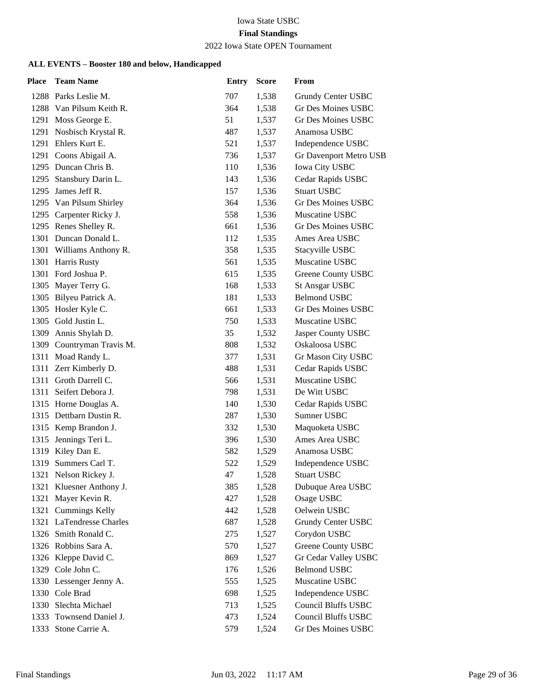# Iowa State USBC

# **Final Standings**

### 2022 Iowa State OPEN Tournament

| <b>Place</b> | <b>Team Name</b>          | <b>Entry</b> | <b>Score</b> | From                       |
|--------------|---------------------------|--------------|--------------|----------------------------|
|              | 1288 Parks Leslie M.      | 707          | 1,538        | Grundy Center USBC         |
|              | 1288 Van Pilsum Keith R.  | 364          | 1,538        | Gr Des Moines USBC         |
|              | 1291 Moss George E.       | 51           | 1,537        | <b>Gr Des Moines USBC</b>  |
|              | 1291 Nosbisch Krystal R.  | 487          | 1,537        | Anamosa USBC               |
|              | 1291 Ehlers Kurt E.       | 521          | 1,537        | Independence USBC          |
|              | 1291 Coons Abigail A.     | 736          | 1,537        | Gr Davenport Metro USB     |
|              | 1295 Duncan Chris B.      | 110          | 1,536        | <b>Iowa City USBC</b>      |
|              | 1295 Stansbury Darin L.   | 143          | 1,536        | Cedar Rapids USBC          |
|              | 1295 James Jeff R.        | 157          | 1,536        | <b>Stuart USBC</b>         |
|              | 1295 Van Pilsum Shirley   | 364          | 1,536        | <b>Gr Des Moines USBC</b>  |
|              | 1295 Carpenter Ricky J.   | 558          | 1,536        | Muscatine USBC             |
|              | 1295 Renes Shelley R.     | 661          | 1,536        | Gr Des Moines USBC         |
|              | 1301 Duncan Donald L.     | 112          | 1,535        | Ames Area USBC             |
|              | 1301 Williams Anthony R.  | 358          | 1,535        | Stacyville USBC            |
|              | 1301 Harris Rusty         | 561          | 1,535        | Muscatine USBC             |
|              | 1301 Ford Joshua P.       | 615          | 1,535        | Greene County USBC         |
|              | 1305 Mayer Terry G.       | 168          | 1,533        | <b>St Ansgar USBC</b>      |
|              | 1305 Bilyeu Patrick A.    | 181          | 1,533        | <b>Belmond USBC</b>        |
|              | 1305 Hosler Kyle C.       | 661          | 1,533        | <b>Gr Des Moines USBC</b>  |
|              | 1305 Gold Justin L.       | 750          | 1,533        | Muscatine USBC             |
|              | 1309 Annis Shylah D.      | 35           | 1,532        | Jasper County USBC         |
|              | 1309 Countryman Travis M. | 808          | 1,532        | Oskaloosa USBC             |
|              | 1311 Moad Randy L.        | 377          | 1,531        | Gr Mason City USBC         |
|              | 1311 Zerr Kimberly D.     | 488          | 1,531        | Cedar Rapids USBC          |
|              | 1311 Groth Darrell C.     | 566          | 1,531        | Muscatine USBC             |
|              | 1311 Seifert Debora J.    | 798          | 1,531        | De Witt USBC               |
|              | 1315 Horne Douglas A.     | 140          | 1,530        | Cedar Rapids USBC          |
|              | 1315 Dettbarn Dustin R.   | 287          | 1,530        | Sumner USBC                |
|              | 1315 Kemp Brandon J.      | 332          | 1,530        | Maquoketa USBC             |
| 1315         | Jennings Teri L.          | 396          | 1,530        | Ames Area USBC             |
|              | 1319 Kiley Dan E.         | 582          | 1,529        | Anamosa USBC               |
|              | 1319 Summers Carl T.      | 522          | 1,529        | Independence USBC          |
|              | 1321 Nelson Rickey J.     | 47           | 1,528        | <b>Stuart USBC</b>         |
|              | 1321 Kluesner Anthony J.  | 385          | 1,528        | Dubuque Area USBC          |
|              | 1321 Mayer Kevin R.       | 427          | 1,528        | Osage USBC                 |
|              | 1321 Cummings Kelly       | 442          | 1,528        | Oelwein USBC               |
|              | 1321 LaTendresse Charles  | 687          | 1,528        | Grundy Center USBC         |
|              | 1326 Smith Ronald C.      | 275          | 1,527        | Corydon USBC               |
|              | 1326 Robbins Sara A.      | 570          | 1,527        | Greene County USBC         |
|              | 1326 Kleppe David C.      | 869          | 1,527        | Gr Cedar Valley USBC       |
|              | 1329 Cole John C.         | 176          | 1,526        | <b>Belmond USBC</b>        |
|              | 1330 Lessenger Jenny A.   | 555          | 1,525        | Muscatine USBC             |
|              | 1330 Cole Brad            | 698          | 1,525        | Independence USBC          |
|              | 1330 Slechta Michael      | 713          | 1,525        | <b>Council Bluffs USBC</b> |
|              | 1333 Townsend Daniel J.   | 473          | 1,524        | <b>Council Bluffs USBC</b> |
|              | 1333 Stone Carrie A.      | 579          | 1,524        | Gr Des Moines USBC         |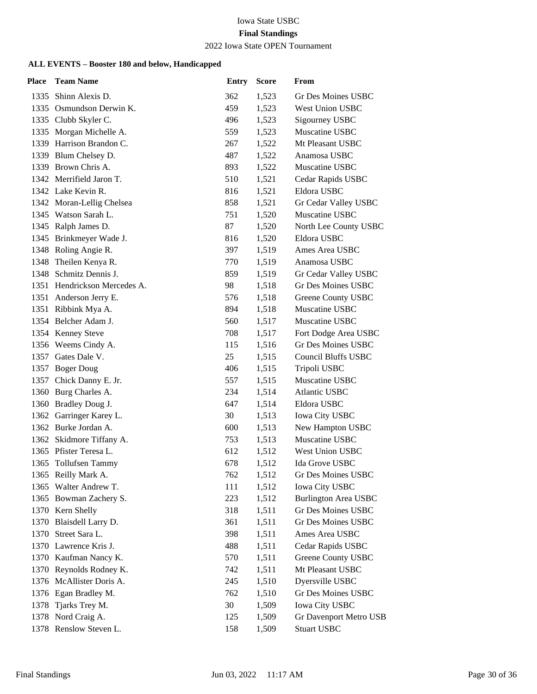#### 2022 Iowa State OPEN Tournament

| <b>Place</b> | <b>Team Name</b>             | <b>Entry</b> | <b>Score</b> | From                        |
|--------------|------------------------------|--------------|--------------|-----------------------------|
|              | 1335 Shinn Alexis D.         | 362          | 1,523        | Gr Des Moines USBC          |
|              | 1335 Osmundson Derwin K.     | 459          | 1,523        | West Union USBC             |
|              | 1335 Clubb Skyler C.         | 496          | 1,523        | Sigourney USBC              |
|              | 1335 Morgan Michelle A.      | 559          | 1,523        | Muscatine USBC              |
|              | 1339 Harrison Brandon C.     | 267          | 1,522        | Mt Pleasant USBC            |
|              | 1339 Blum Chelsey D.         | 487          | 1,522        | Anamosa USBC                |
|              | 1339 Brown Chris A.          | 893          | 1,522        | Muscatine USBC              |
|              | 1342 Merrifield Jaron T.     | 510          | 1,521        | Cedar Rapids USBC           |
|              | 1342 Lake Kevin R.           | 816          | 1,521        | Eldora USBC                 |
|              | 1342 Moran-Lellig Chelsea    | 858          | 1,521        | Gr Cedar Valley USBC        |
|              | 1345 Watson Sarah L.         | 751          | 1,520        | Muscatine USBC              |
|              | 1345 Ralph James D.          | 87           | 1,520        | North Lee County USBC       |
|              | 1345 Brinkmeyer Wade J.      | 816          | 1,520        | Eldora USBC                 |
|              | 1348 Roling Angie R.         | 397          | 1,519        | Ames Area USBC              |
|              | 1348 Theilen Kenya R.        | 770          | 1,519        | Anamosa USBC                |
|              | 1348 Schmitz Dennis J.       | 859          | 1,519        | Gr Cedar Valley USBC        |
|              | 1351 Hendrickson Mercedes A. | 98           | 1,518        | <b>Gr Des Moines USBC</b>   |
|              | 1351 Anderson Jerry E.       | 576          | 1,518        | Greene County USBC          |
|              | 1351 Ribbink Mya A.          | 894          | 1,518        | Muscatine USBC              |
|              | 1354 Belcher Adam J.         | 560          | 1,517        | Muscatine USBC              |
|              | 1354 Kenney Steve            | 708          | 1,517        | Fort Dodge Area USBC        |
|              | 1356 Weems Cindy A.          | 115          | 1,516        | Gr Des Moines USBC          |
|              | 1357 Gates Dale V.           | 25           | 1,515        | <b>Council Bluffs USBC</b>  |
|              | 1357 Boger Doug              | 406          | 1,515        | Tripoli USBC                |
|              | 1357 Chick Danny E. Jr.      | 557          | 1,515        | Muscatine USBC              |
|              | 1360 Burg Charles A.         | 234          | 1,514        | <b>Atlantic USBC</b>        |
|              | 1360 Bradley Doug J.         | 647          | 1,514        | Eldora USBC                 |
|              | 1362 Garringer Karey L.      | 30           | 1,513        | <b>Iowa City USBC</b>       |
|              | 1362 Burke Jordan A.         | 600          | 1,513        | New Hampton USBC            |
|              | 1362 Skidmore Tiffany A.     | 753          | 1,513        | Muscatine USBC              |
|              | 1365 Pfister Teresa L.       | 612          | 1,512        | West Union USBC             |
|              | 1365 Tollufsen Tammy         | 678          | 1,512        | Ida Grove USBC              |
|              | 1365 Reilly Mark A.          | 762          | 1,512        | Gr Des Moines USBC          |
|              | 1365 Walter Andrew T.        | 111          | 1,512        | <b>Iowa City USBC</b>       |
|              | 1365 Bowman Zachery S.       | 223          | 1,512        | <b>Burlington Area USBC</b> |
|              | 1370 Kern Shelly             | 318          | 1,511        | Gr Des Moines USBC          |
|              | 1370 Blaisdell Larry D.      | 361          | 1,511        | Gr Des Moines USBC          |
|              | 1370 Street Sara L.          | 398          | 1,511        | Ames Area USBC              |
|              | 1370 Lawrence Kris J.        | 488          | 1,511        | Cedar Rapids USBC           |
|              | 1370 Kaufman Nancy K.        | 570          | 1,511        | Greene County USBC          |
|              | 1370 Reynolds Rodney K.      | 742          | 1,511        | Mt Pleasant USBC            |
|              | 1376 McAllister Doris A.     | 245          | 1,510        | Dyersville USBC             |
|              | 1376 Egan Bradley M.         | 762          | 1,510        | Gr Des Moines USBC          |
|              | 1378 Tjarks Trey M.          | 30           | 1,509        | Iowa City USBC              |
|              | 1378 Nord Craig A.           | 125          | 1,509        | Gr Davenport Metro USB      |
|              | 1378 Renslow Steven L.       | 158          | 1,509        | <b>Stuart USBC</b>          |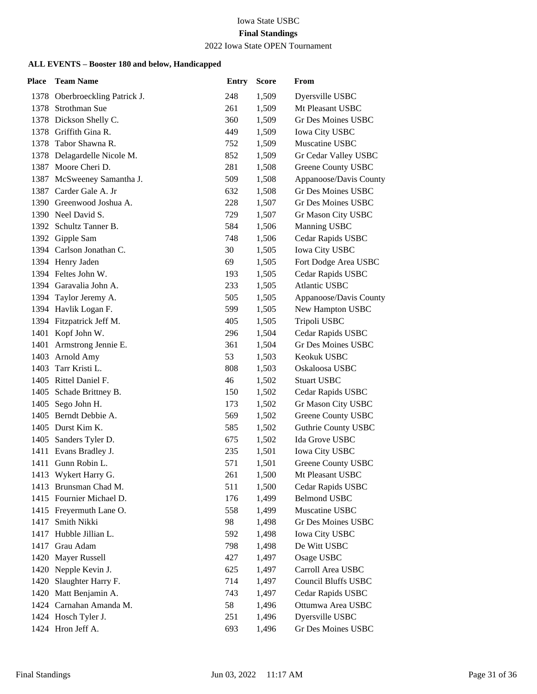#### 2022 Iowa State OPEN Tournament

| <b>Place</b> | <b>Team Name</b>               | <b>Entry</b> | <b>Score</b> | From                       |
|--------------|--------------------------------|--------------|--------------|----------------------------|
|              | 1378 Oberbroeckling Patrick J. | 248          | 1,509        | Dyersville USBC            |
|              | 1378 Strothman Sue             | 261          | 1,509        | Mt Pleasant USBC           |
|              | 1378 Dickson Shelly C.         | 360          | 1,509        | <b>Gr Des Moines USBC</b>  |
|              | 1378 Griffith Gina R.          | 449          | 1,509        | <b>Iowa City USBC</b>      |
|              | 1378 Tabor Shawna R.           | 752          | 1,509        | Muscatine USBC             |
|              | 1378 Delagardelle Nicole M.    | 852          | 1,509        | Gr Cedar Valley USBC       |
| 1387         | Moore Cheri D.                 | 281          | 1,508        | <b>Greene County USBC</b>  |
|              | 1387 McSweeney Samantha J.     | 509          | 1,508        | Appanoose/Davis County     |
|              | 1387 Carder Gale A. Jr         | 632          | 1,508        | <b>Gr Des Moines USBC</b>  |
|              | 1390 Greenwood Joshua A.       | 228          | 1,507        | <b>Gr Des Moines USBC</b>  |
|              | 1390 Neel David S.             | 729          | 1,507        | Gr Mason City USBC         |
|              | 1392 Schultz Tanner B.         | 584          | 1,506        | Manning USBC               |
|              | 1392 Gipple Sam                | 748          | 1,506        | Cedar Rapids USBC          |
|              | 1394 Carlson Jonathan C.       | 30           | 1,505        | <b>Iowa City USBC</b>      |
|              | 1394 Henry Jaden               | 69           | 1,505        | Fort Dodge Area USBC       |
|              | 1394 Feltes John W.            | 193          | 1,505        | Cedar Rapids USBC          |
|              | 1394 Garavalia John A.         | 233          | 1,505        | <b>Atlantic USBC</b>       |
|              | 1394 Taylor Jeremy A.          | 505          | 1,505        | Appanoose/Davis County     |
|              | 1394 Havlik Logan F.           | 599          | 1,505        | New Hampton USBC           |
|              | 1394 Fitzpatrick Jeff M.       | 405          | 1,505        | Tripoli USBC               |
|              | 1401 Kopf John W.              | 296          | 1,504        | Cedar Rapids USBC          |
|              | 1401 Armstrong Jennie E.       | 361          | 1,504        | <b>Gr Des Moines USBC</b>  |
|              | 1403 Arnold Amy                | 53           | 1,503        | Keokuk USBC                |
|              | 1403 Tarr Kristi L.            | 808          | 1,503        | Oskaloosa USBC             |
|              | 1405 Rittel Daniel F.          | 46           | 1,502        | <b>Stuart USBC</b>         |
|              | 1405 Schade Brittney B.        | 150          | 1,502        | Cedar Rapids USBC          |
| 1405         | Sego John H.                   | 173          | 1,502        | Gr Mason City USBC         |
|              | 1405 Berndt Debbie A.          | 569          | 1,502        | <b>Greene County USBC</b>  |
|              | 1405 Durst Kim K.              | 585          | 1,502        | <b>Guthrie County USBC</b> |
|              | 1405 Sanders Tyler D.          | 675          | 1,502        | Ida Grove USBC             |
|              | 1411 Evans Bradley J.          | 235          | 1,501        | Iowa City USBC             |
|              | 1411 Gunn Robin L.             | 571          | 1,501        | Greene County USBC         |
|              | 1413 Wykert Harry G.           | 261          | 1,500        | Mt Pleasant USBC           |
|              | 1413 Brunsman Chad M.          | 511          | 1,500        | Cedar Rapids USBC          |
|              | 1415 Fournier Michael D.       | 176          | 1,499        | <b>Belmond USBC</b>        |
|              | 1415 Freyermuth Lane O.        | 558          | 1,499        | Muscatine USBC             |
| 1417         | Smith Nikki                    | 98           | 1,498        | Gr Des Moines USBC         |
| 1417         | Hubble Jillian L.              | 592          | 1,498        | <b>Iowa City USBC</b>      |
| 1417         | Grau Adam                      | 798          | 1,498        | De Witt USBC               |
|              | 1420 Mayer Russell             | 427          | 1,497        | Osage USBC                 |
|              | 1420 Nepple Kevin J.           | 625          | 1,497        | Carroll Area USBC          |
| 1420         | Slaughter Harry F.             | 714          | 1,497        | Council Bluffs USBC        |
| 1420         | Matt Benjamin A.               | 743          | 1,497        | Cedar Rapids USBC          |
|              | 1424 Carnahan Amanda M.        | 58           | 1,496        | Ottumwa Area USBC          |
|              | 1424 Hosch Tyler J.            | 251          | 1,496        | Dyersville USBC            |
|              | 1424 Hron Jeff A.              | 693          | 1,496        | Gr Des Moines USBC         |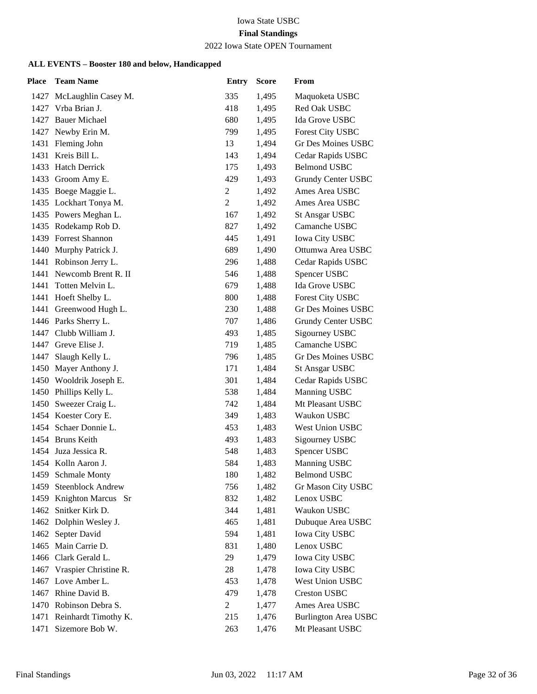### 2022 Iowa State OPEN Tournament

| <b>Place</b> | <b>Team Name</b>           | <b>Entry</b>   | <b>Score</b> | From                        |
|--------------|----------------------------|----------------|--------------|-----------------------------|
|              | 1427 McLaughlin Casey M.   | 335            | 1,495        | Maquoketa USBC              |
|              | 1427 Vrba Brian J.         | 418            | 1,495        | Red Oak USBC                |
| 1427         | <b>Bauer Michael</b>       | 680            | 1,495        | Ida Grove USBC              |
|              | 1427 Newby Erin M.         | 799            | 1,495        | <b>Forest City USBC</b>     |
|              | 1431 Fleming John          | 13             | 1,494        | <b>Gr Des Moines USBC</b>   |
| 1431         | Kreis Bill L.              | 143            | 1,494        | Cedar Rapids USBC           |
| 1433         | <b>Hatch Derrick</b>       | 175            | 1,493        | <b>Belmond USBC</b>         |
|              | 1433 Groom Amy E.          | 429            | 1,493        | Grundy Center USBC          |
|              | 1435 Boege Maggie L.       | 2              | 1,492        | Ames Area USBC              |
|              | 1435 Lockhart Tonya M.     | $\overline{c}$ | 1,492        | Ames Area USBC              |
|              | 1435 Powers Meghan L.      | 167            | 1,492        | <b>St Ansgar USBC</b>       |
|              | 1435 Rodekamp Rob D.       | 827            | 1,492        | Camanche USBC               |
|              | 1439 Forrest Shannon       | 445            | 1,491        | <b>Iowa City USBC</b>       |
|              | 1440 Murphy Patrick J.     | 689            | 1,490        | Ottumwa Area USBC           |
|              | 1441 Robinson Jerry L.     | 296            | 1,488        | Cedar Rapids USBC           |
|              | 1441 Newcomb Brent R. II   | 546            | 1,488        | Spencer USBC                |
|              | 1441 Totten Melvin L.      | 679            | 1,488        | Ida Grove USBC              |
|              | 1441 Hoeft Shelby L.       | 800            | 1,488        | <b>Forest City USBC</b>     |
| 1441         | Greenwood Hugh L.          | 230            | 1,488        | <b>Gr Des Moines USBC</b>   |
|              | 1446 Parks Sherry L.       | 707            | 1,486        | Grundy Center USBC          |
|              | 1447 Clubb William J.      | 493            | 1,485        | Sigourney USBC              |
| 1447         | Greve Elise J.             | 719            | 1,485        | Camanche USBC               |
| 1447         | Slaugh Kelly L.            | 796            | 1,485        | Gr Des Moines USBC          |
|              | 1450 Mayer Anthony J.      | 171            | 1,484        | <b>St Ansgar USBC</b>       |
|              | 1450 Wooldrik Joseph E.    | 301            | 1,484        | Cedar Rapids USBC           |
|              | 1450 Phillips Kelly L.     | 538            | 1,484        | Manning USBC                |
| 1450         | Sweezer Craig L.           | 742            | 1,484        | Mt Pleasant USBC            |
|              | 1454 Koester Cory E.       | 349            | 1,483        | Waukon USBC                 |
|              | 1454 Schaer Donnie L.      | 453            | 1,483        | <b>West Union USBC</b>      |
|              | 1454 Bruns Keith           | 493            | 1,483        | Sigourney USBC              |
|              | 1454 Juza Jessica R.       | 548            | 1,483        | Spencer USBC                |
|              | 1454 Kolln Aaron J.        | 584            | 1,483        | <b>Manning USBC</b>         |
|              | 1459 Schmale Monty         | 180            | 1,482        | <b>Belmond USBC</b>         |
| 1459         | <b>Steenblock Andrew</b>   | 756            | 1,482        | Gr Mason City USBC          |
| 1459         | Knighton Marcus Sr         | 832            | 1,482        | Lenox USBC                  |
|              | 1462 Snitker Kirk D.       | 344            | 1,481        | Waukon USBC                 |
|              | 1462 Dolphin Wesley J.     | 465            | 1,481        | Dubuque Area USBC           |
|              | 1462 Septer David          | 594            | 1,481        | <b>Iowa City USBC</b>       |
| 1465         | Main Carrie D.             | 831            | 1,480        | Lenox USBC                  |
|              | 1466 Clark Gerald L.       | 29             | 1,479        | <b>Iowa City USBC</b>       |
|              | 1467 Vraspier Christine R. | 28             | 1,478        | <b>Iowa City USBC</b>       |
|              | 1467 Love Amber L.         | 453            | 1,478        | West Union USBC             |
| 1467         | Rhine David B.             | 479            | 1,478        | <b>Creston USBC</b>         |
|              | 1470 Robinson Debra S.     | $\overline{c}$ | 1,477        | Ames Area USBC              |
| 1471         | Reinhardt Timothy K.       | 215            | 1,476        | <b>Burlington Area USBC</b> |
| 1471         | Sizemore Bob W.            | 263            | 1,476        | Mt Pleasant USBC            |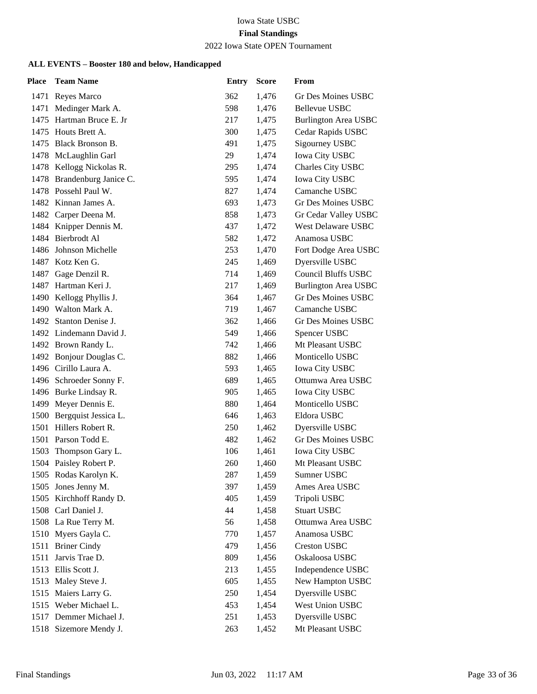#### 2022 Iowa State OPEN Tournament

| Place | <b>Team Name</b>           | <b>Entry</b> | <b>Score</b> | From                        |
|-------|----------------------------|--------------|--------------|-----------------------------|
|       | 1471 Reyes Marco           | 362          | 1,476        | Gr Des Moines USBC          |
| 1471  | Medinger Mark A.           | 598          | 1,476        | <b>Bellevue USBC</b>        |
|       | 1475 Hartman Bruce E. Jr   | 217          | 1,475        | <b>Burlington Area USBC</b> |
|       | 1475 Houts Brett A.        | 300          | 1,475        | Cedar Rapids USBC           |
| 1475  | Black Bronson B.           | 491          | 1,475        | Sigourney USBC              |
|       | 1478 McLaughlin Garl       | 29           | 1,474        | <b>Iowa City USBC</b>       |
|       | 1478 Kellogg Nickolas R.   | 295          | 1,474        | Charles City USBC           |
|       | 1478 Brandenburg Janice C. | 595          | 1,474        | Iowa City USBC              |
|       | 1478 Possehl Paul W.       | 827          | 1,474        | Camanche USBC               |
|       | 1482 Kinnan James A.       | 693          | 1,473        | Gr Des Moines USBC          |
|       | 1482 Carper Deena M.       | 858          | 1,473        | Gr Cedar Valley USBC        |
|       | 1484 Knipper Dennis M.     | 437          | 1,472        | West Delaware USBC          |
|       | 1484 Bierbrodt Al          | 582          | 1,472        | Anamosa USBC                |
|       | 1486 Johnson Michelle      | 253          | 1,470        | Fort Dodge Area USBC        |
|       | 1487 Kotz Ken G.           | 245          | 1,469        | Dyersville USBC             |
|       | 1487 Gage Denzil R.        | 714          | 1,469        | Council Bluffs USBC         |
|       | 1487 Hartman Keri J.       | 217          | 1,469        | <b>Burlington Area USBC</b> |
|       | 1490 Kellogg Phyllis J.    | 364          | 1,467        | Gr Des Moines USBC          |
|       | 1490 Walton Mark A.        | 719          | 1,467        | Camanche USBC               |
|       | 1492 Stanton Denise J.     | 362          | 1,466        | <b>Gr Des Moines USBC</b>   |
|       | 1492 Lindemann David J.    | 549          | 1,466        | Spencer USBC                |
|       | 1492 Brown Randy L.        | 742          | 1,466        | Mt Pleasant USBC            |
|       | 1492 Bonjour Douglas C.    | 882          | 1,466        | Monticello USBC             |
|       | 1496 Cirillo Laura A.      | 593          | 1,465        | <b>Iowa City USBC</b>       |
|       | 1496 Schroeder Sonny F.    | 689          | 1,465        | Ottumwa Area USBC           |
|       | 1496 Burke Lindsay R.      | 905          | 1,465        | <b>Iowa City USBC</b>       |
| 1499  | Meyer Dennis E.            | 880          | 1,464        | Monticello USBC             |
|       | 1500 Bergquist Jessica L.  | 646          | 1,463        | Eldora USBC                 |
|       | 1501 Hillers Robert R.     | 250          | 1,462        | Dyersville USBC             |
|       | 1501 Parson Todd E.        | 482          | 1,462        | <b>Gr Des Moines USBC</b>   |
| 1503  | Thompson Gary L.           | 106          | 1,461        | <b>Iowa City USBC</b>       |
|       | 1504 Paisley Robert P.     | 260          | 1,460        | Mt Pleasant USBC            |
|       | 1505 Rodas Karolyn K.      | 287          | 1,459        | Sumner USBC                 |
|       | 1505 Jones Jenny M.        | 397          | 1,459        | Ames Area USBC              |
|       | 1505 Kirchhoff Randy D.    | 405          | 1,459        | Tripoli USBC                |
|       | 1508 Carl Daniel J.        | 44           | 1,458        | <b>Stuart USBC</b>          |
|       | 1508 La Rue Terry M.       | 56           | 1,458        | Ottumwa Area USBC           |
|       | 1510 Myers Gayla C.        | 770          | 1,457        | Anamosa USBC                |
| 1511  | <b>Briner Cindy</b>        | 479          | 1,456        | <b>Creston USBC</b>         |
| 1511  | Jarvis Trae D.             | 809          | 1,456        | Oskaloosa USBC              |
|       | 1513 Ellis Scott J.        | 213          | 1,455        | Independence USBC           |
| 1513  | Maley Steve J.             | 605          | 1,455        | New Hampton USBC            |
|       | 1515 Maiers Larry G.       | 250          | 1,454        | Dyersville USBC             |
|       | 1515 Weber Michael L.      | 453          | 1,454        | West Union USBC             |
|       | 1517 Demmer Michael J.     | 251          | 1,453        | Dyersville USBC             |
| 1518  | Sizemore Mendy J.          | 263          | 1,452        | Mt Pleasant USBC            |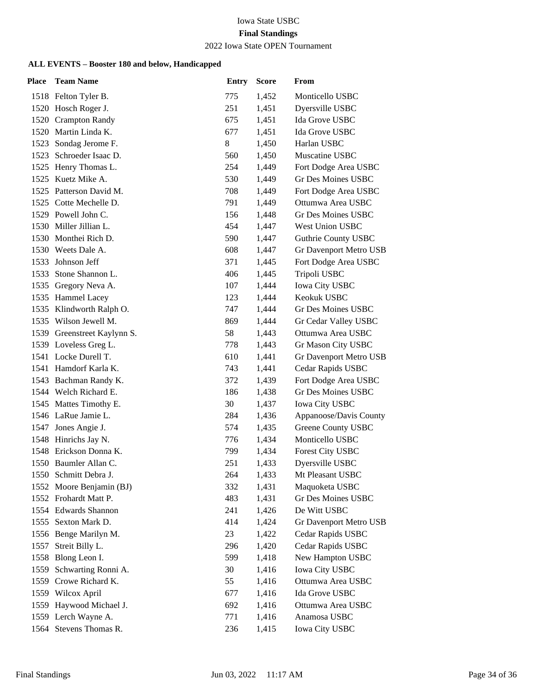# Iowa State USBC

# **Final Standings**

#### 2022 Iowa State OPEN Tournament

| <b>Place</b> | <b>Team Name</b>            | <b>Entry</b> | <b>Score</b> | From                       |
|--------------|-----------------------------|--------------|--------------|----------------------------|
|              | 1518 Felton Tyler B.        | 775          | 1,452        | Monticello USBC            |
|              | 1520 Hosch Roger J.         | 251          | 1,451        | Dyersville USBC            |
|              | 1520 Crampton Randy         | 675          | 1,451        | Ida Grove USBC             |
|              | 1520 Martin Linda K.        | 677          | 1,451        | Ida Grove USBC             |
| 1523         | Sondag Jerome F.            | 8            | 1,450        | Harlan USBC                |
| 1523         | Schroeder Isaac D.          | 560          | 1,450        | Muscatine USBC             |
|              | 1525 Henry Thomas L.        | 254          | 1,449        | Fort Dodge Area USBC       |
|              | 1525 Kuetz Mike A.          | 530          | 1,449        | Gr Des Moines USBC         |
|              | 1525 Patterson David M.     | 708          | 1,449        | Fort Dodge Area USBC       |
|              | 1525 Cotte Mechelle D.      | 791          | 1,449        | Ottumwa Area USBC          |
|              | 1529 Powell John C.         | 156          | 1,448        | <b>Gr Des Moines USBC</b>  |
|              | 1530 Miller Jillian L.      | 454          | 1,447        | West Union USBC            |
|              | 1530 Monthei Rich D.        | 590          | 1,447        | <b>Guthrie County USBC</b> |
|              | 1530 Weets Dale A.          | 608          | 1,447        | Gr Davenport Metro USB     |
|              | 1533 Johnson Jeff           | 371          | 1,445        | Fort Dodge Area USBC       |
|              | 1533 Stone Shannon L.       | 406          | 1,445        | Tripoli USBC               |
|              | 1535 Gregory Neva A.        | 107          | 1,444        | Iowa City USBC             |
|              | 1535 Hammel Lacey           | 123          | 1,444        | Keokuk USBC                |
|              | 1535 Klindworth Ralph O.    | 747          | 1,444        | Gr Des Moines USBC         |
|              | 1535 Wilson Jewell M.       | 869          | 1,444        | Gr Cedar Valley USBC       |
|              | 1539 Greenstreet Kaylynn S. | 58           | 1,443        | Ottumwa Area USBC          |
|              | 1539 Loveless Greg L.       | 778          | 1,443        | Gr Mason City USBC         |
|              | 1541 Locke Durell T.        | 610          | 1,441        | Gr Davenport Metro USB     |
|              | 1541 Hamdorf Karla K.       | 743          | 1,441        | Cedar Rapids USBC          |
|              | 1543 Bachman Randy K.       | 372          | 1,439        | Fort Dodge Area USBC       |
|              | 1544 Welch Richard E.       | 186          | 1,438        | Gr Des Moines USBC         |
|              | 1545 Mattes Timothy E.      | 30           | 1,437        | <b>Iowa City USBC</b>      |
|              | 1546 LaRue Jamie L.         | 284          | 1,436        | Appanoose/Davis County     |
|              | 1547 Jones Angie J.         | 574          | 1,435        | <b>Greene County USBC</b>  |
|              | 1548 Hinrichs Jay N.        | 776          | 1,434        | Monticello USBC            |
|              | 1548 Erickson Donna K.      | 799          | 1,434        | Forest City USBC           |
|              | 1550 Baumler Allan C.       | 251          | 1,433        | Dyersville USBC            |
|              | 1550 Schmitt Debra J.       | 264          | 1,433        | Mt Pleasant USBC           |
| 1552         | Moore Benjamin (BJ)         | 332          | 1,431        | Maquoketa USBC             |
|              | 1552 Frohardt Matt P.       | 483          | 1,431        | Gr Des Moines USBC         |
|              | 1554 Edwards Shannon        | 241          | 1,426        | De Witt USBC               |
| 1555         | Sexton Mark D.              | 414          | 1,424        | Gr Davenport Metro USB     |
| 1556         | Benge Marilyn M.            | 23           | 1,422        | Cedar Rapids USBC          |
| 1557         | Streit Billy L.             | 296          | 1,420        | Cedar Rapids USBC          |
| 1558         | Blong Leon I.               | 599          | 1,418        | New Hampton USBC           |
| 1559         | Schwarting Ronni A.         | 30           | 1,416        | Iowa City USBC             |
| 1559         | Crowe Richard K.            | 55           | 1,416        | Ottumwa Area USBC          |
|              | 1559 Wilcox April           | 677          | 1,416        | Ida Grove USBC             |
|              | 1559 Haywood Michael J.     | 692          | 1,416        | Ottumwa Area USBC          |
| 1559         | Lerch Wayne A.              | 771          | 1,416        | Anamosa USBC               |
| 1564         | Stevens Thomas R.           | 236          | 1,415        | <b>Iowa City USBC</b>      |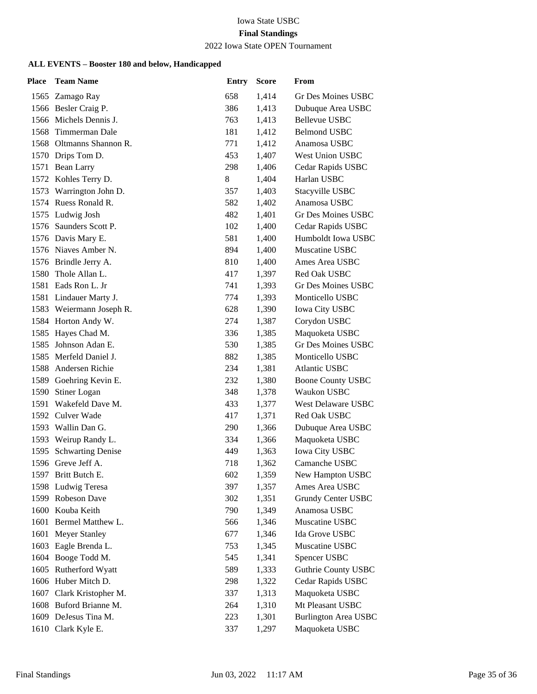# Iowa State USBC

# **Final Standings**

#### 2022 Iowa State OPEN Tournament

| Place | <b>Team Name</b>         | <b>Entry</b> | <b>Score</b> | From                        |
|-------|--------------------------|--------------|--------------|-----------------------------|
|       | 1565 Zamago Ray          | 658          | 1,414        | Gr Des Moines USBC          |
|       | 1566 Besler Craig P.     | 386          | 1,413        | Dubuque Area USBC           |
|       | 1566 Michels Dennis J.   | 763          | 1,413        | <b>Bellevue USBC</b>        |
|       | 1568 Timmerman Dale      | 181          | 1,412        | <b>Belmond USBC</b>         |
|       | 1568 Oltmanns Shannon R. | 771          | 1,412        | Anamosa USBC                |
|       | 1570 Drips Tom D.        | 453          | 1,407        | <b>West Union USBC</b>      |
|       | 1571 Bean Larry          | 298          | 1,406        | Cedar Rapids USBC           |
|       | 1572 Kohles Terry D.     | 8            | 1,404        | Harlan USBC                 |
|       | 1573 Warrington John D.  | 357          | 1,403        | Stacyville USBC             |
|       | 1574 Ruess Ronald R.     | 582          | 1,402        | Anamosa USBC                |
|       | 1575 Ludwig Josh         | 482          | 1,401        | <b>Gr Des Moines USBC</b>   |
|       | 1576 Saunders Scott P.   | 102          | 1,400        | Cedar Rapids USBC           |
|       | 1576 Davis Mary E.       | 581          | 1,400        | Humboldt Iowa USBC          |
|       | 1576 Niaves Amber N.     | 894          | 1,400        | Muscatine USBC              |
|       | 1576 Brindle Jerry A.    | 810          | 1,400        | Ames Area USBC              |
|       | 1580 Thole Allan L.      | 417          | 1,397        | Red Oak USBC                |
|       | 1581 Eads Ron L. Jr      | 741          | 1,393        | <b>Gr Des Moines USBC</b>   |
|       | 1581 Lindauer Marty J.   | 774          | 1,393        | Monticello USBC             |
|       | 1583 Weiermann Joseph R. | 628          | 1,390        | <b>Iowa City USBC</b>       |
|       | 1584 Horton Andy W.      | 274          | 1,387        | Corydon USBC                |
|       | 1585 Hayes Chad M.       | 336          | 1,385        | Maquoketa USBC              |
| 1585  | Johnson Adan E.          | 530          | 1,385        | <b>Gr Des Moines USBC</b>   |
|       | 1585 Merfeld Daniel J.   | 882          | 1,385        | Monticello USBC             |
|       | 1588 Andersen Richie     | 234          | 1,381        | <b>Atlantic USBC</b>        |
|       | 1589 Goehring Kevin E.   | 232          | 1,380        | <b>Boone County USBC</b>    |
| 1590  | Stiner Logan             | 348          | 1,378        | Waukon USBC                 |
| 1591  | Wakefeld Dave M.         | 433          | 1,377        | <b>West Delaware USBC</b>   |
|       | 1592 Culver Wade         | 417          | 1,371        | Red Oak USBC                |
|       | 1593 Wallin Dan G.       | 290          | 1,366        | Dubuque Area USBC           |
|       | 1593 Weirup Randy L.     | 334          | 1,366        | Maquoketa USBC              |
| 1595  | <b>Schwarting Denise</b> | 449          | 1,363        | Iowa City USBC              |
|       | 1596 Greve Jeff A.       | 718          | 1,362        | Camanche USBC               |
|       | 1597 Britt Butch E.      | 602          | 1,359        | New Hampton USBC            |
| 1598  | Ludwig Teresa            | 397          | 1,357        | Ames Area USBC              |
|       | 1599 Robeson Dave        | 302          | 1,351        | Grundy Center USBC          |
|       | 1600 Kouba Keith         | 790          | 1,349        | Anamosa USBC                |
| 1601  | Bermel Matthew L.        | 566          | 1,346        | Muscatine USBC              |
| 1601  | <b>Meyer Stanley</b>     | 677          | 1,346        | Ida Grove USBC              |
| 1603  | Eagle Brenda L.          | 753          | 1,345        | Muscatine USBC              |
|       | 1604 Booge Todd M.       | 545          | 1,341        | Spencer USBC                |
| 1605  | Rutherford Wyatt         | 589          | 1,333        | <b>Guthrie County USBC</b>  |
|       | 1606 Huber Mitch D.      | 298          | 1,322        | Cedar Rapids USBC           |
| 1607  | Clark Kristopher M.      | 337          | 1,313        | Maquoketa USBC              |
|       | 1608 Buford Brianne M.   | 264          | 1,310        | Mt Pleasant USBC            |
|       | 1609 DeJesus Tina M.     | 223          | 1,301        | <b>Burlington Area USBC</b> |
|       | 1610 Clark Kyle E.       | 337          | 1,297        | Maquoketa USBC              |